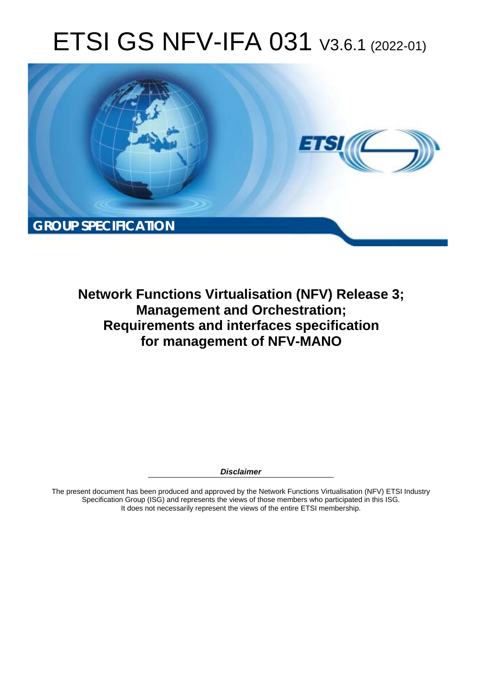# ETSI GS NFV-IFA 031 V3.6.1 (2022-01)



**Network Functions Virtualisation (NFV) Release 3; Management and Orchestration; Requirements and interfaces specification for management of NFV-MANO** 

*Disclaimer* 

The present document has been produced and approved by the Network Functions Virtualisation (NFV) ETSI Industry Specification Group (ISG) and represents the views of those members who participated in this ISG. It does not necessarily represent the views of the entire ETSI membership.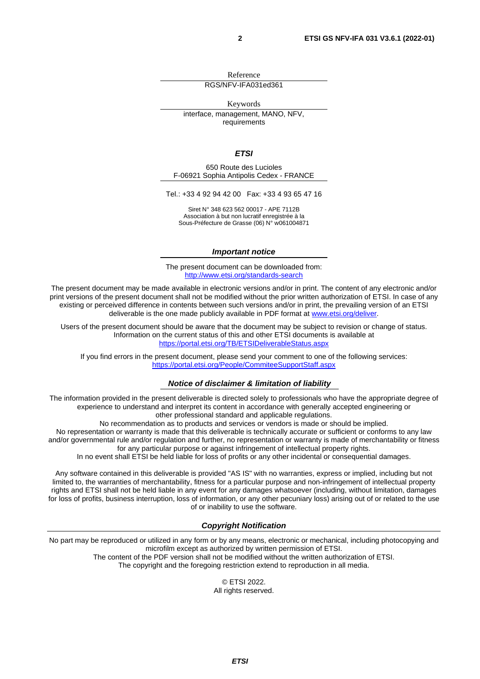Reference RGS/NFV-IFA031ed361

Keywords

interface, management, MANO, NFV, requirements

#### *ETSI*

650 Route des Lucioles F-06921 Sophia Antipolis Cedex - FRANCE

Tel.: +33 4 92 94 42 00 Fax: +33 4 93 65 47 16

Siret N° 348 623 562 00017 - APE 7112B Association à but non lucratif enregistrée à la Sous-Préfecture de Grasse (06) N° w061004871

#### *Important notice*

The present document can be downloaded from: <http://www.etsi.org/standards-search>

The present document may be made available in electronic versions and/or in print. The content of any electronic and/or print versions of the present document shall not be modified without the prior written authorization of ETSI. In case of any existing or perceived difference in contents between such versions and/or in print, the prevailing version of an ETSI deliverable is the one made publicly available in PDF format at [www.etsi.org/deliver.](http://www.etsi.org/deliver)

Users of the present document should be aware that the document may be subject to revision or change of status. Information on the current status of this and other ETSI documents is available at <https://portal.etsi.org/TB/ETSIDeliverableStatus.aspx>

If you find errors in the present document, please send your comment to one of the following services: <https://portal.etsi.org/People/CommiteeSupportStaff.aspx>

#### *Notice of disclaimer & limitation of liability*

The information provided in the present deliverable is directed solely to professionals who have the appropriate degree of experience to understand and interpret its content in accordance with generally accepted engineering or other professional standard and applicable regulations.

No recommendation as to products and services or vendors is made or should be implied.

No representation or warranty is made that this deliverable is technically accurate or sufficient or conforms to any law and/or governmental rule and/or regulation and further, no representation or warranty is made of merchantability or fitness for any particular purpose or against infringement of intellectual property rights.

In no event shall ETSI be held liable for loss of profits or any other incidental or consequential damages.

Any software contained in this deliverable is provided "AS IS" with no warranties, express or implied, including but not limited to, the warranties of merchantability, fitness for a particular purpose and non-infringement of intellectual property rights and ETSI shall not be held liable in any event for any damages whatsoever (including, without limitation, damages for loss of profits, business interruption, loss of information, or any other pecuniary loss) arising out of or related to the use of or inability to use the software.

#### *Copyright Notification*

No part may be reproduced or utilized in any form or by any means, electronic or mechanical, including photocopying and microfilm except as authorized by written permission of ETSI. The content of the PDF version shall not be modified without the written authorization of ETSI.

The copyright and the foregoing restriction extend to reproduction in all media.

© ETSI 2022. All rights reserved.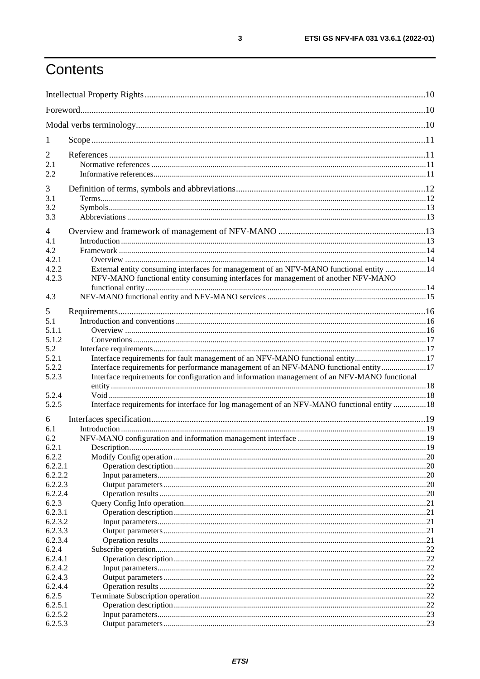# Contents

| 1                  |                                                                                               |    |
|--------------------|-----------------------------------------------------------------------------------------------|----|
| 2                  |                                                                                               |    |
| 2.1                |                                                                                               |    |
| 2.2                |                                                                                               |    |
| 3                  |                                                                                               |    |
| 3.1                |                                                                                               |    |
| 3.2                |                                                                                               |    |
| 3.3                |                                                                                               |    |
| $\overline{4}$     |                                                                                               |    |
| 4.1                |                                                                                               |    |
| 4.2                |                                                                                               |    |
| 4.2.1              |                                                                                               |    |
| 4.2.2              | External entity consuming interfaces for management of an NFV-MANO functional entity  14      |    |
| 4.2.3              | NFV-MANO functional entity consuming interfaces for management of another NFV-MANO            |    |
|                    |                                                                                               |    |
| 4.3                |                                                                                               |    |
| 5                  |                                                                                               |    |
| 5.1                |                                                                                               |    |
| 5.1.1              |                                                                                               |    |
| 5.1.2              |                                                                                               |    |
| 5.2                |                                                                                               |    |
| 5.2.1              | Interface requirements for fault management of an NFV-MANO functional entity17                |    |
| 5.2.2              | Interface requirements for performance management of an NFV-MANO functional entity17          |    |
| 5.2.3              | Interface requirements for configuration and information management of an NFV-MANO functional |    |
| 5.2.4              |                                                                                               |    |
| 5.2.5              | Interface requirements for interface for log management of an NFV-MANO functional entity  18  |    |
|                    |                                                                                               |    |
| 6<br>6.1           |                                                                                               |    |
| 6.2                |                                                                                               |    |
| 6.2.1              |                                                                                               |    |
| 6.2.2              |                                                                                               |    |
| 6.2.2.1            |                                                                                               |    |
| 6.2.2.2            |                                                                                               |    |
| 6.2.2.3            |                                                                                               |    |
| 6.2.2.4            |                                                                                               |    |
| 6.2.3              |                                                                                               |    |
| 6.2.3.1            |                                                                                               |    |
| 6.2.3.2            |                                                                                               | 21 |
| 6.2.3.3            |                                                                                               | 21 |
| 6.2.3.4            |                                                                                               | 21 |
| 6.2.4              |                                                                                               |    |
| 6.2.4.1            |                                                                                               |    |
| 6.2.4.2<br>6.2.4.3 |                                                                                               |    |
| 6.2.4.4            |                                                                                               |    |
| 6.2.5              |                                                                                               |    |
| 6.2.5.1            |                                                                                               |    |
| 6.2.5.2            |                                                                                               |    |
| 6.2.5.3            |                                                                                               |    |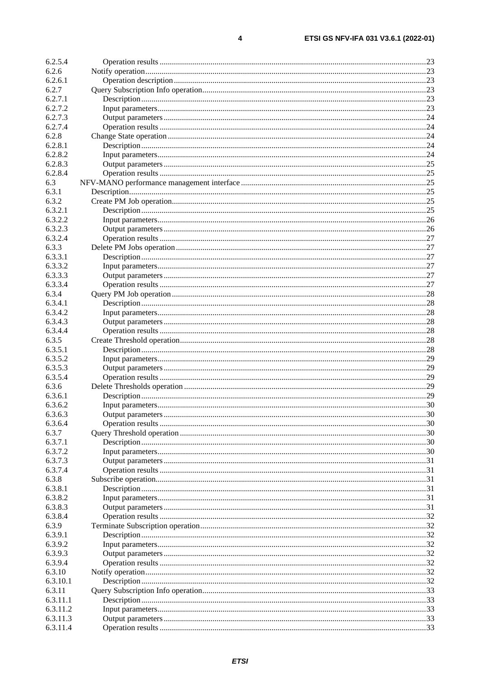$\overline{\mathbf{4}}$ 

| 6.2.5.4  |    |
|----------|----|
| 6.2.6    |    |
| 6.2.6.1  |    |
| 6.2.7    |    |
| 6.2.7.1  |    |
| 6.2.7.2  |    |
| 6.2.7.3  |    |
| 6.2.7.4  |    |
| 6.2.8    |    |
| 6.2.8.1  |    |
| 6.2.8.2  |    |
| 6.2.8.3  |    |
| 6.2.8.4  |    |
| 6.3      |    |
| 6.3.1    |    |
| 6.3.2    |    |
| 6.3.2.1  |    |
| 6.3.2.2  |    |
| 6.3.2.3  |    |
| 6.3.2.4  |    |
| 6.3.3    |    |
| 6.3.3.1  |    |
| 6.3.3.2  |    |
| 6.3.3.3  |    |
| 6.3.3.4  |    |
| 6.3.4    |    |
| 6.3.4.1  |    |
| 6.3.4.2  |    |
| 6.3.4.3  |    |
| 6.3.4.4  |    |
| 6.3.5    |    |
| 6.3.5.1  |    |
| 6.3.5.2  |    |
| 6.3.5.3  |    |
| 6.3.5.4  |    |
| 6.3.6    |    |
| 6.3.6.1  |    |
|          |    |
| 6.3.6.2  |    |
| 6.3.6.3  |    |
| 6.3.6.4  |    |
| 6.3.7    |    |
| 6.3.7.1  |    |
| 6.3.7.2  |    |
| 6.3.7.3  |    |
| 6.3.7.4  | 31 |
| 6.3.8    |    |
| 6.3.8.1  |    |
| 6.3.8.2  |    |
| 6.3.8.3  |    |
| 6.3.8.4  |    |
| 6.3.9    |    |
| 6.3.9.1  |    |
| 6.3.9.2  |    |
| 6.3.9.3  |    |
| 6.3.9.4  |    |
| 6.3.10   |    |
| 6.3.10.1 | 32 |
| 6.3.11   |    |
| 6.3.11.1 |    |
| 6.3.11.2 |    |
| 6.3.11.3 |    |
| 6.3.11.4 |    |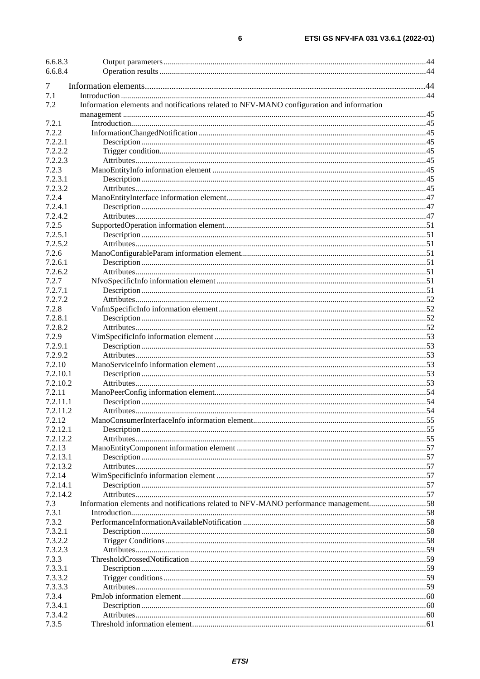| 6.6.8.3<br>6.6.8.4 |                                                                                          |  |
|--------------------|------------------------------------------------------------------------------------------|--|
| 7                  |                                                                                          |  |
| 7.1                |                                                                                          |  |
| 7.2                | Information elements and notifications related to NFV-MANO configuration and information |  |
|                    |                                                                                          |  |
| 7.2.1              |                                                                                          |  |
| 7.2.2              |                                                                                          |  |
| 7.2.2.1            |                                                                                          |  |
| 7.2.2.2            |                                                                                          |  |
| 7.2.2.3            |                                                                                          |  |
| 7.2.3<br>7.2.3.1   |                                                                                          |  |
| 7.2.3.2            |                                                                                          |  |
| 7.2.4              |                                                                                          |  |
| 7.2.4.1            |                                                                                          |  |
| 7.2.4.2            |                                                                                          |  |
| 7.2.5              |                                                                                          |  |
| 7.2.5.1            |                                                                                          |  |
| 7.2.5.2            |                                                                                          |  |
| 7.2.6              |                                                                                          |  |
| 7.2.6.1            |                                                                                          |  |
| 7.2.6.2            |                                                                                          |  |
| 7.2.7              |                                                                                          |  |
| 7.2.7.1            |                                                                                          |  |
| 7.2.7.2            |                                                                                          |  |
| 7.2.8              |                                                                                          |  |
| 7.2.8.1            |                                                                                          |  |
| 7.2.8.2            |                                                                                          |  |
| 7.2.9              |                                                                                          |  |
| 7.2.9.1            |                                                                                          |  |
| 7.2.9.2            |                                                                                          |  |
| 7.2.10             |                                                                                          |  |
| 7.2.10.1           |                                                                                          |  |
| 7.2.10.2           |                                                                                          |  |
| 7.2.11             |                                                                                          |  |
| 7.2.11.1           |                                                                                          |  |
| 7.2.11.2           |                                                                                          |  |
| 7.2.12             |                                                                                          |  |
| 7.2.12.1           |                                                                                          |  |
| 7.2.12.2<br>7.2.13 |                                                                                          |  |
| 7.2.13.1           |                                                                                          |  |
| 7.2.13.2           |                                                                                          |  |
| 7.2.14             |                                                                                          |  |
| 7.2.14.1           |                                                                                          |  |
| 7.2.14.2           |                                                                                          |  |
| 7.3                | Information elements and notifications related to NFV-MANO performance management58      |  |
| 7.3.1              |                                                                                          |  |
| 7.3.2              |                                                                                          |  |
| 7.3.2.1            |                                                                                          |  |
| 7.3.2.2            |                                                                                          |  |
| 7.3.2.3            |                                                                                          |  |
| 7.3.3              |                                                                                          |  |
| 7.3.3.1            |                                                                                          |  |
| 7.3.3.2            |                                                                                          |  |
| 7.3.3.3            |                                                                                          |  |
| 7.3.4              |                                                                                          |  |
| 7.3.4.1            |                                                                                          |  |
| 7.3.4.2            |                                                                                          |  |
| 7.3.5              |                                                                                          |  |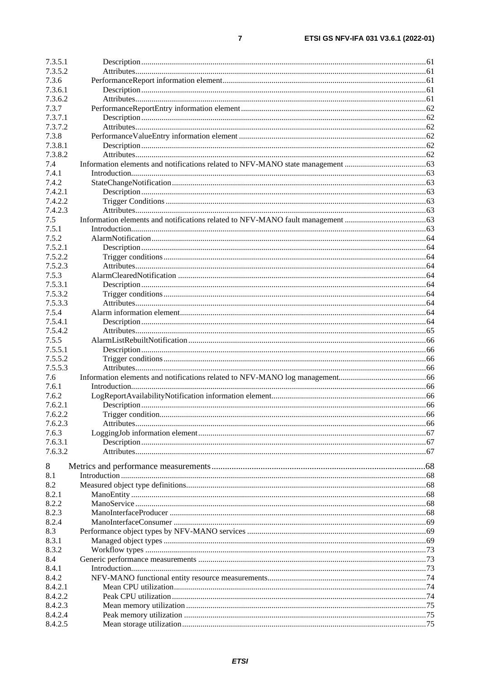| 7.3.5.1 |  |
|---------|--|
| 7.3.5.2 |  |
| 7.3.6   |  |
| 7.3.6.1 |  |
| 7.3.6.2 |  |
| 7.3.7   |  |
| 7.3.7.1 |  |
| 7.3.7.2 |  |
| 7.3.8   |  |
| 7.3.8.1 |  |
| 7.3.8.2 |  |
| 7.4     |  |
| 7.4.1   |  |
| 7.4.2   |  |
| 7.4.2.1 |  |
| 7.4.2.2 |  |
| 7.4.2.3 |  |
| 7.5     |  |
| 7.5.1   |  |
| 7.5.2   |  |
| 7.5.2.1 |  |
| 7.5.2.2 |  |
| 7.5.2.3 |  |
| 7.5.3   |  |
|         |  |
| 7.5.3.1 |  |
| 7.5.3.2 |  |
| 7.5.3.3 |  |
| 7.5.4   |  |
| 7.5.4.1 |  |
| 7.5.4.2 |  |
| 7.5.5   |  |
| 7.5.5.1 |  |
| 7.5.5.2 |  |
| 7.5.5.3 |  |
| 7.6     |  |
| 7.6.1   |  |
| 7.6.2   |  |
| 7.6.2.1 |  |
| 7.6.2.2 |  |
| 7.6.2.3 |  |
| 7.6.3   |  |
| 7.6.3.1 |  |
| 7.6.3.2 |  |
|         |  |
| 8       |  |
| 8.1     |  |
| 8.2     |  |
| 8.2.1   |  |
| 8.2.2   |  |
| 8.2.3   |  |
| 8.2.4   |  |
| 8.3     |  |
| 8.3.1   |  |
| 8.3.2   |  |
| 8.4     |  |
| 8.4.1   |  |
| 8.4.2   |  |
| 8.4.2.1 |  |
| 8.4.2.2 |  |
|         |  |
| 8.4.2.3 |  |
| 8.4.2.4 |  |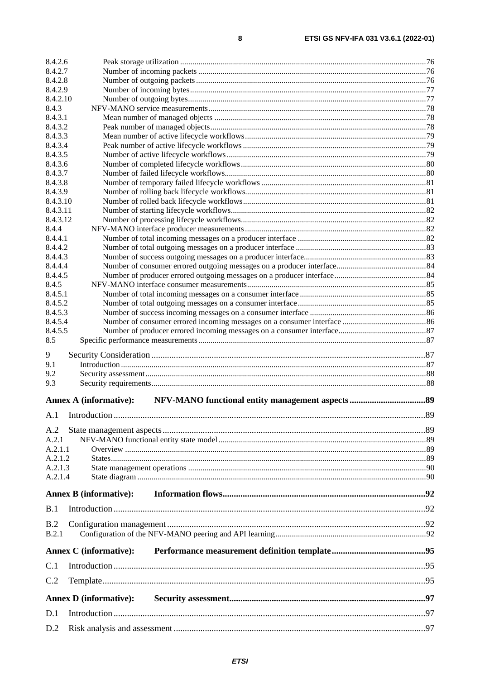| 8.4.2.6            |                               |  |
|--------------------|-------------------------------|--|
| 8.4.2.7            |                               |  |
| 8.4.2.8            |                               |  |
| 8.4.2.9            |                               |  |
| 8.4.2.10           |                               |  |
| 8.4.3              |                               |  |
| 8.4.3.1            |                               |  |
| 8.4.3.2            |                               |  |
| 8.4.3.3            |                               |  |
| 8.4.3.4            |                               |  |
| 8.4.3.5            |                               |  |
| 8.4.3.6            |                               |  |
| 8.4.3.7            |                               |  |
| 8.4.3.8            |                               |  |
| 8.4.3.9            |                               |  |
| 8.4.3.10           |                               |  |
| 8.4.3.11           |                               |  |
| 8.4.3.12           |                               |  |
| 8.4.4              |                               |  |
| 8.4.4.1            |                               |  |
| 8.4.4.2            |                               |  |
| 8.4.4.3            |                               |  |
| 8.4.4.4            |                               |  |
| 8.4.4.5            |                               |  |
| 8.4.5              |                               |  |
| 8.4.5.1            |                               |  |
| 8.4.5.2<br>8.4.5.3 |                               |  |
| 8.4.5.4            |                               |  |
| 8.4.5.5            |                               |  |
| 8.5                |                               |  |
|                    |                               |  |
| 9                  |                               |  |
| 9.1                |                               |  |
| 9.2                |                               |  |
| 9.3                |                               |  |
|                    |                               |  |
|                    | Annex A (informative):        |  |
| A.1                |                               |  |
|                    |                               |  |
| A.2                |                               |  |
| A.2.1              |                               |  |
| A.2.1.1            |                               |  |
| A.2.1.2            |                               |  |
| A.2.1.3            |                               |  |
| A.2.1.4            |                               |  |
|                    | <b>Annex B</b> (informative): |  |
|                    |                               |  |
| B.1                |                               |  |
|                    |                               |  |
| B.2                |                               |  |
| B.2.1              |                               |  |
|                    |                               |  |
|                    |                               |  |
| C.1                |                               |  |
| C.2                |                               |  |
|                    |                               |  |
|                    |                               |  |
|                    | <b>Annex D</b> (informative): |  |
| D.1                |                               |  |
| D.2                |                               |  |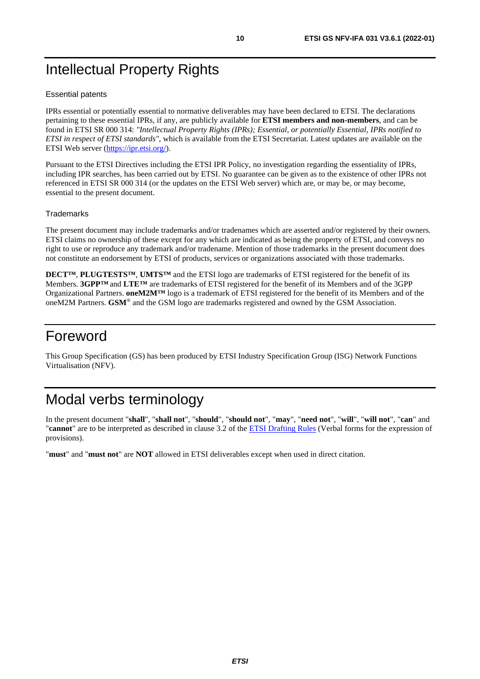# <span id="page-9-0"></span>Intellectual Property Rights

#### Essential patents

IPRs essential or potentially essential to normative deliverables may have been declared to ETSI. The declarations pertaining to these essential IPRs, if any, are publicly available for **ETSI members and non-members**, and can be found in ETSI SR 000 314: *"Intellectual Property Rights (IPRs); Essential, or potentially Essential, IPRs notified to ETSI in respect of ETSI standards"*, which is available from the ETSI Secretariat. Latest updates are available on the ETSI Web server ([https://ipr.etsi.org/\)](https://ipr.etsi.org/).

Pursuant to the ETSI Directives including the ETSI IPR Policy, no investigation regarding the essentiality of IPRs, including IPR searches, has been carried out by ETSI. No guarantee can be given as to the existence of other IPRs not referenced in ETSI SR 000 314 (or the updates on the ETSI Web server) which are, or may be, or may become, essential to the present document.

#### **Trademarks**

The present document may include trademarks and/or tradenames which are asserted and/or registered by their owners. ETSI claims no ownership of these except for any which are indicated as being the property of ETSI, and conveys no right to use or reproduce any trademark and/or tradename. Mention of those trademarks in the present document does not constitute an endorsement by ETSI of products, services or organizations associated with those trademarks.

**DECT™**, **PLUGTESTS™**, **UMTS™** and the ETSI logo are trademarks of ETSI registered for the benefit of its Members. **3GPP™** and **LTE™** are trademarks of ETSI registered for the benefit of its Members and of the 3GPP Organizational Partners. **oneM2M™** logo is a trademark of ETSI registered for the benefit of its Members and of the oneM2M Partners. **GSM**® and the GSM logo are trademarks registered and owned by the GSM Association.

# Foreword

This Group Specification (GS) has been produced by ETSI Industry Specification Group (ISG) Network Functions Virtualisation (NFV).

# Modal verbs terminology

In the present document "**shall**", "**shall not**", "**should**", "**should not**", "**may**", "**need not**", "**will**", "**will not**", "**can**" and "**cannot**" are to be interpreted as described in clause 3.2 of the [ETSI Drafting Rules](https://portal.etsi.org/Services/editHelp!/Howtostart/ETSIDraftingRules.aspx) (Verbal forms for the expression of provisions).

"**must**" and "**must not**" are **NOT** allowed in ETSI deliverables except when used in direct citation.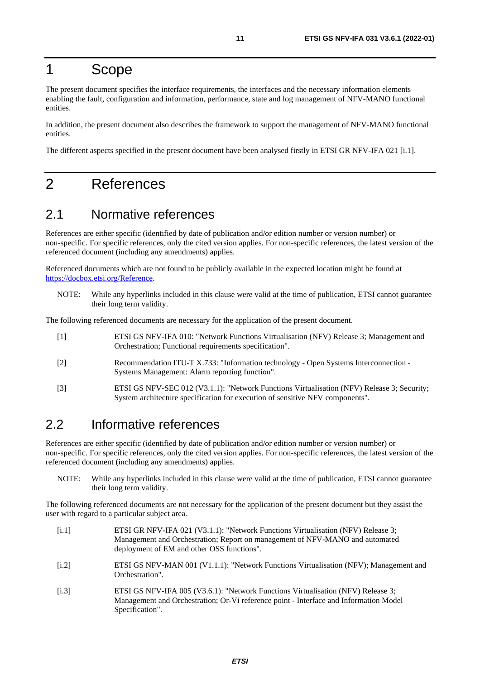# <span id="page-10-0"></span>1 Scope

The present document specifies the interface requirements, the interfaces and the necessary information elements enabling the fault, configuration and information, performance, state and log management of NFV-MANO functional entities.

In addition, the present document also describes the framework to support the management of NFV-MANO functional entities.

The different aspects specified in the present document have been analysed firstly in ETSI GR NFV-IFA 021 [i.1].

# 2 References

# 2.1 Normative references

References are either specific (identified by date of publication and/or edition number or version number) or non-specific. For specific references, only the cited version applies. For non-specific references, the latest version of the referenced document (including any amendments) applies.

Referenced documents which are not found to be publicly available in the expected location might be found at [https://docbox.etsi.org/Reference](https://docbox.etsi.org/Reference/).

NOTE: While any hyperlinks included in this clause were valid at the time of publication, ETSI cannot guarantee their long term validity.

The following referenced documents are necessary for the application of the present document.

- [1] ETSI GS NFV-IFA 010: "Network Functions Virtualisation (NFV) Release 3; Management and Orchestration; Functional requirements specification".
- [2] Recommendation ITU-T X.733: "Information technology Open Systems Interconnection Systems Management: Alarm reporting function".
- [3] ETSI GS NFV-SEC 012 (V3.1.1): "Network Functions Virtualisation (NFV) Release 3; Security; System architecture specification for execution of sensitive NFV components".

# 2.2 Informative references

References are either specific (identified by date of publication and/or edition number or version number) or non-specific. For specific references, only the cited version applies. For non-specific references, the latest version of the referenced document (including any amendments) applies.

NOTE: While any hyperlinks included in this clause were valid at the time of publication, ETSI cannot guarantee their long term validity.

The following referenced documents are not necessary for the application of the present document but they assist the user with regard to a particular subject area.

- [i.1] ETSI GR NFV-IFA 021 (V3.1.1): "Network Functions Virtualisation (NFV) Release 3; Management and Orchestration; Report on management of NFV-MANO and automated deployment of EM and other OSS functions".
- [i.2] ETSI GS NFV-MAN 001 (V1.1.1): "Network Functions Virtualisation (NFV); Management and Orchestration".
- [i.3] ETSI GS NFV-IFA 005 (V3.6.1): "Network Functions Virtualisation (NFV) Release 3; Management and Orchestration; Or-Vi reference point - Interface and Information Model Specification".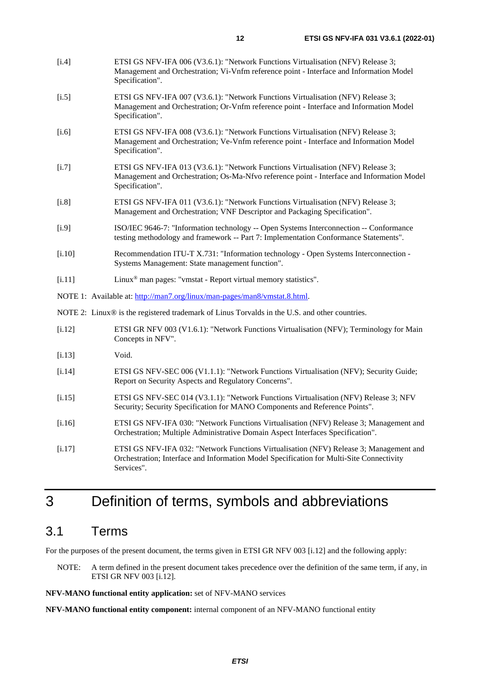<span id="page-11-0"></span>

| $[1.4]$  | ETSI GS NFV-IFA 006 (V3.6.1): "Network Functions Virtualisation (NFV) Release 3;<br>Management and Orchestration; Vi-Vnfm reference point - Interface and Information Model<br>Specification".    |
|----------|---------------------------------------------------------------------------------------------------------------------------------------------------------------------------------------------------|
| $[1.5]$  | ETSI GS NFV-IFA 007 (V3.6.1): "Network Functions Virtualisation (NFV) Release 3;<br>Management and Orchestration; Or-Vnfm reference point - Interface and Information Model<br>Specification".    |
| [i.6]    | ETSI GS NFV-IFA 008 (V3.6.1): "Network Functions Virtualisation (NFV) Release 3;<br>Management and Orchestration; Ve-Vnfm reference point - Interface and Information Model<br>Specification".    |
| $[1.7]$  | ETSI GS NFV-IFA 013 (V3.6.1): "Network Functions Virtualisation (NFV) Release 3;<br>Management and Orchestration; Os-Ma-Nfvo reference point - Interface and Information Model<br>Specification". |
| [i.8]    | ETSI GS NFV-IFA 011 (V3.6.1): "Network Functions Virtualisation (NFV) Release 3;<br>Management and Orchestration; VNF Descriptor and Packaging Specification".                                    |
| $[1.9]$  | ISO/IEC 9646-7: "Information technology -- Open Systems Interconnection -- Conformance<br>testing methodology and framework -- Part 7: Implementation Conformance Statements".                    |
| [i.10]   | Recommendation ITU-T X.731: "Information technology - Open Systems Interconnection -<br>Systems Management: State management function".                                                           |
| $[1.11]$ | Linux <sup>®</sup> man pages: "vmstat - Report virtual memory statistics".                                                                                                                        |
|          | NOTE 1: Available at: http://man7.org/linux/man-pages/man8/vmstat.8.html.                                                                                                                         |
|          | NOTE 2: Linux $\circledast$ is the registered trademark of Linus Torvalds in the U.S. and other countries.                                                                                        |
| [1.12]   | ETSI GR NFV 003 (V1.6.1): "Network Functions Virtualisation (NFV); Terminology for Main<br>Concepts in NFV".                                                                                      |
| [i.13]   | Void.                                                                                                                                                                                             |
| [i.14]   | ETSI GS NFV-SEC 006 (V1.1.1): "Network Functions Virtualisation (NFV); Security Guide;<br>Report on Security Aspects and Regulatory Concerns".                                                    |
| [i.15]   | ETSI GS NFV-SEC 014 (V3.1.1): "Network Functions Virtualisation (NFV) Release 3; NFV<br>Security; Security Specification for MANO Components and Reference Points".                               |

- [i.16] ETSI GS NFV-IFA 030: "Network Functions Virtualisation (NFV) Release 3; Management and Orchestration; Multiple Administrative Domain Aspect Interfaces Specification".
- [i.17] ETSI GS NFV-IFA 032: "Network Functions Virtualisation (NFV) Release 3; Management and Orchestration; Interface and Information Model Specification for Multi-Site Connectivity Services".

# 3 Definition of terms, symbols and abbreviations

# 3.1 Terms

For the purposes of the present document, the terms given in ETSI GR NFV 003 [i.12] and the following apply:

NOTE: A term defined in the present document takes precedence over the definition of the same term, if any, in ETSI GR NFV 003 [i.12].

#### **NFV-MANO functional entity application:** set of NFV-MANO services

**NFV-MANO functional entity component:** internal component of an NFV-MANO functional entity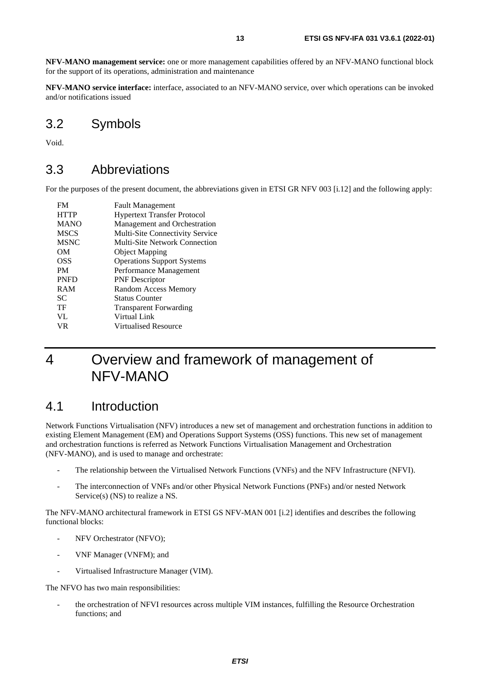<span id="page-12-0"></span>**NFV-MANO management service:** one or more management capabilities offered by an NFV-MANO functional block for the support of its operations, administration and maintenance

**NFV-MANO service interface:** interface, associated to an NFV-MANO service, over which operations can be invoked and/or notifications issued

# 3.2 Symbols

Void.

# 3.3 Abbreviations

For the purposes of the present document, the abbreviations given in ETSI GR NFV 003 [\[i.12\]](#page-11-0) and the following apply:

| <b>FM</b>   | <b>Fault Management</b>              |
|-------------|--------------------------------------|
| <b>HTTP</b> | <b>Hypertext Transfer Protocol</b>   |
| <b>MANO</b> | Management and Orchestration         |
| <b>MSCS</b> | Multi-Site Connectivity Service      |
| <b>MSNC</b> | <b>Multi-Site Network Connection</b> |
| <b>OM</b>   | <b>Object Mapping</b>                |
| <b>OSS</b>  | <b>Operations Support Systems</b>    |
| <b>PM</b>   | Performance Management               |
| <b>PNFD</b> | <b>PNF</b> Descriptor                |
| <b>RAM</b>  | Random Access Memory                 |
| <b>SC</b>   | <b>Status Counter</b>                |
| TF          | <b>Transparent Forwarding</b>        |
| VL          | Virtual Link                         |
| VR.         | Virtualised Resource                 |
|             |                                      |

# 4 Overview and framework of management of NFV-MANO

# 4.1 Introduction

Network Functions Virtualisation (NFV) introduces a new set of management and orchestration functions in addition to existing Element Management (EM) and Operations Support Systems (OSS) functions. This new set of management and orchestration functions is referred as Network Functions Virtualisation Management and Orchestration (NFV-MANO), and is used to manage and orchestrate:

- The relationship between the Virtualised Network Functions (VNFs) and the NFV Infrastructure (NFVI).
- The interconnection of VNFs and/or other Physical Network Functions (PNFs) and/or nested Network Service(s) (NS) to realize a NS.

The NFV-MANO architectural framework in ETSI GS NFV-MAN 001 [\[i.2\]](#page-10-0) identifies and describes the following functional blocks:

- NFV Orchestrator (NFVO);
- VNF Manager (VNFM); and
- Virtualised Infrastructure Manager (VIM).

The NFVO has two main responsibilities:

the orchestration of NFVI resources across multiple VIM instances, fulfilling the Resource Orchestration functions; and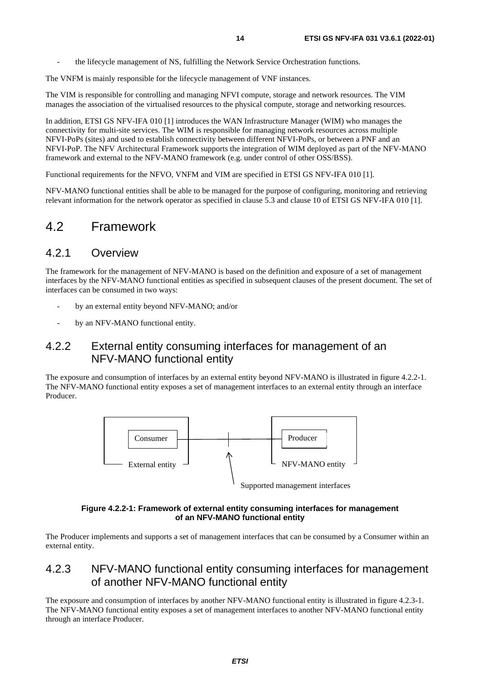<span id="page-13-0"></span>the lifecycle management of NS, fulfilling the Network Service Orchestration functions.

The VNFM is mainly responsible for the lifecycle management of VNF instances.

The VIM is responsible for controlling and managing NFVI compute, storage and network resources. The VIM manages the association of the virtualised resources to the physical compute, storage and networking resources.

In addition, ETSI GS NFV-IFA 010 [\[1\]](#page-10-0) introduces the WAN Infrastructure Manager (WIM) who manages the connectivity for multi-site services. The WIM is responsible for managing network resources across multiple NFVI-PoPs (sites) and used to establish connectivity between different NFVI-PoPs, or between a PNF and an NFVI-PoP. The NFV Architectural Framework supports the integration of WIM deployed as part of the NFV-MANO framework and external to the NFV-MANO framework (e.g. under control of other OSS/BSS).

Functional requirements for the NFVO, VNFM and VIM are specified in ETSI GS NFV-IFA 010 [\[1](#page-10-0)].

NFV-MANO functional entities shall be able to be managed for the purpose of configuring, monitoring and retrieving relevant information for the network operator as specified in clause 5.3 and clause 10 of ETSI GS NFV-IFA 010 [\[1](#page-10-0)].

# 4.2 Framework

# 4.2.1 Overview

The framework for the management of NFV-MANO is based on the definition and exposure of a set of management interfaces by the NFV-MANO functional entities as specified in subsequent clauses of the present document. The set of interfaces can be consumed in two ways:

- by an external entity beyond NFV-MANO; and/or
- by an NFV-MANO functional entity.

### 4.2.2 External entity consuming interfaces for management of an NFV-MANO functional entity

The exposure and consumption of interfaces by an external entity beyond NFV-MANO is illustrated in figure 4.2.2-1. The NFV-MANO functional entity exposes a set of management interfaces to an external entity through an interface Producer.



**Figure 4.2.2-1: Framework of external entity consuming interfaces for management of an NFV-MANO functional entity** 

The Producer implements and supports a set of management interfaces that can be consumed by a Consumer within an external entity.

# 4.2.3 NFV-MANO functional entity consuming interfaces for management of another NFV-MANO functional entity

The exposure and consumption of interfaces by another NFV-MANO functional entity is illustrated in figure 4.2.3-1. The NFV-MANO functional entity exposes a set of management interfaces to another NFV-MANO functional entity through an interface Producer.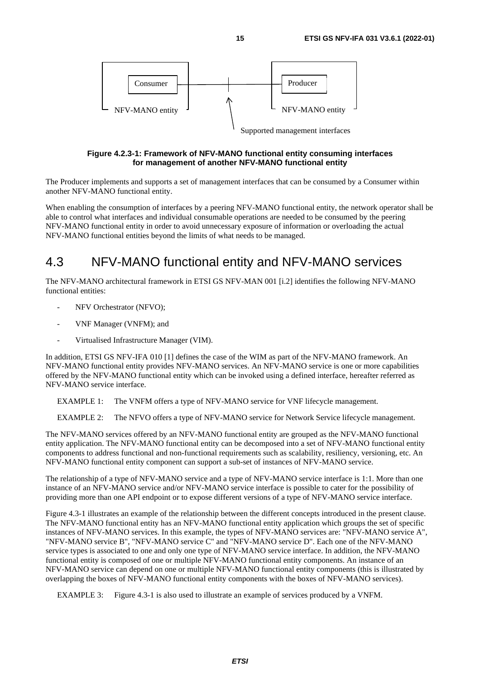<span id="page-14-0"></span>

#### **Figure 4.2.3-1: Framework of NFV-MANO functional entity consuming interfaces for management of another NFV-MANO functional entity**

The Producer implements and supports a set of management interfaces that can be consumed by a Consumer within another NFV-MANO functional entity.

When enabling the consumption of interfaces by a peering NFV-MANO functional entity, the network operator shall be able to control what interfaces and individual consumable operations are needed to be consumed by the peering NFV-MANO functional entity in order to avoid unnecessary exposure of information or overloading the actual NFV-MANO functional entities beyond the limits of what needs to be managed.

# 4.3 NFV-MANO functional entity and NFV-MANO services

The NFV-MANO architectural framework in ETSI GS NFV-MAN 001 [\[i.2\]](#page-10-0) identifies the following NFV-MANO functional entities:

- NFV Orchestrator (NFVO);
- VNF Manager (VNFM); and
- Virtualised Infrastructure Manager (VIM).

In addition, ETSI GS NFV-IFA 010 [[1\]](#page-10-0) defines the case of the WIM as part of the NFV-MANO framework. An NFV-MANO functional entity provides NFV-MANO services. An NFV-MANO service is one or more capabilities offered by the NFV-MANO functional entity which can be invoked using a defined interface, hereafter referred as NFV-MANO service interface.

EXAMPLE 1: The VNFM offers a type of NFV-MANO service for VNF lifecycle management.

EXAMPLE 2: The NFVO offers a type of NFV-MANO service for Network Service lifecycle management.

The NFV-MANO services offered by an NFV-MANO functional entity are grouped as the NFV-MANO functional entity application. The NFV-MANO functional entity can be decomposed into a set of NFV-MANO functional entity components to address functional and non-functional requirements such as scalability, resiliency, versioning, etc. An NFV-MANO functional entity component can support a sub-set of instances of NFV-MANO service.

The relationship of a type of NFV-MANO service and a type of NFV-MANO service interface is 1:1. More than one instance of an NFV-MANO service and/or NFV-MANO service interface is possible to cater for the possibility of providing more than one API endpoint or to expose different versions of a type of NFV-MANO service interface.

Figure 4.3-1 illustrates an example of the relationship between the different concepts introduced in the present clause. The NFV-MANO functional entity has an NFV-MANO functional entity application which groups the set of specific instances of NFV-MANO services. In this example, the types of NFV-MANO services are: "NFV-MANO service A", "NFV-MANO service B", "NFV-MANO service C" and "NFV-MANO service D". Each one of the NFV-MANO service types is associated to one and only one type of NFV-MANO service interface. In addition, the NFV-MANO functional entity is composed of one or multiple NFV-MANO functional entity components. An instance of an NFV-MANO service can depend on one or multiple NFV-MANO functional entity components (this is illustrated by overlapping the boxes of NFV-MANO functional entity components with the boxes of NFV-MANO services).

EXAMPLE 3: Figure 4.3-1 is also used to illustrate an example of services produced by a VNFM.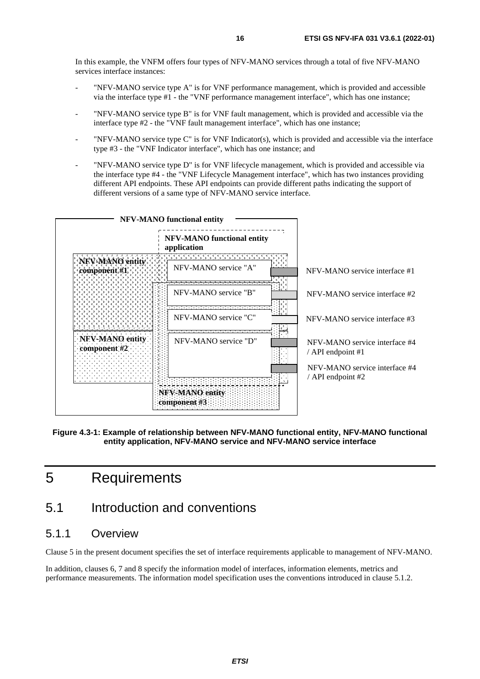<span id="page-15-0"></span> In this example, the VNFM offers four types of NFV-MANO services through a total of five NFV-MANO services interface instances:

- "NFV-MANO service type A" is for VNF performance management, which is provided and accessible via the interface type #1 - the "VNF performance management interface", which has one instance;
- "NFV-MANO service type B" is for VNF fault management, which is provided and accessible via the interface type #2 - the "VNF fault management interface", which has one instance;
- "NFV-MANO service type C" is for VNF Indicator(s), which is provided and accessible via the interface type #3 - the "VNF Indicator interface", which has one instance; and
- "NFV-MANO service type D" is for VNF lifecycle management, which is provided and accessible via the interface type #4 - the "VNF Lifecycle Management interface", which has two instances providing different API endpoints. These API endpoints can provide different paths indicating the support of different versions of a same type of NFV-MANO service interface.



**Figure 4.3-1: Example of relationship between NFV-MANO functional entity, NFV-MANO functional entity application, NFV-MANO service and NFV-MANO service interface** 

# 5 Requirements

# 5.1 Introduction and conventions

#### 5.1.1 Overview

Clause 5 in the present document specifies the set of interface requirements applicable to management of NFV-MANO.

In addition, clauses 6, 7 and 8 specify the information model of interfaces, information elements, metrics and performance measurements. The information model specification uses the conventions introduced in clause 5.1.2.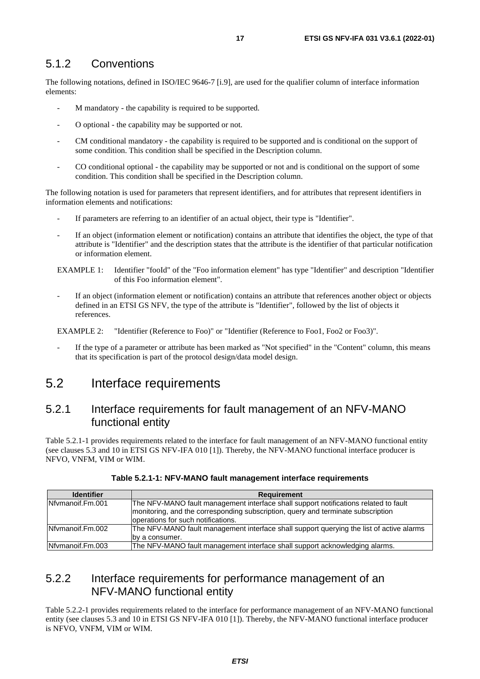# <span id="page-16-0"></span>5.1.2 Conventions

The following notations, defined in ISO/IEC 9646-7 [\[i.9\]](#page-11-0), are used for the qualifier column of interface information elements:

- M mandatory the capability is required to be supported.
- O optional the capability may be supported or not.
- CM conditional mandatory the capability is required to be supported and is conditional on the support of some condition. This condition shall be specified in the Description column.
- CO conditional optional the capability may be supported or not and is conditional on the support of some condition. This condition shall be specified in the Description column.

The following notation is used for parameters that represent identifiers, and for attributes that represent identifiers in information elements and notifications:

- If parameters are referring to an identifier of an actual object, their type is "Identifier".
- If an object (information element or notification) contains an attribute that identifies the object, the type of that attribute is "Identifier" and the description states that the attribute is the identifier of that particular notification or information element.
- EXAMPLE 1: Identifier "fooId" of the "Foo information element" has type "Identifier" and description "Identifier of this Foo information element".
- If an object (information element or notification) contains an attribute that references another object or objects defined in an ETSI GS NFV, the type of the attribute is "Identifier", followed by the list of objects it references.

EXAMPLE 2: "Identifier (Reference to Foo)" or "Identifier (Reference to Foo1, Foo2 or Foo3)".

If the type of a parameter or attribute has been marked as "Not specified" in the "Content" column, this means that its specification is part of the protocol design/data model design.

# 5.2 Interface requirements

### 5.2.1 Interface requirements for fault management of an NFV-MANO functional entity

Table 5.2.1-1 provides requirements related to the interface for fault management of an NFV-MANO functional entity (see clauses 5.3 and 10 in ETSI GS NFV-IFA 010 [\[1](#page-10-0)]). Thereby, the NFV-MANO functional interface producer is NFVO, VNFM, VIM or WIM.

| <b>Identifier</b> | <b>Requirement</b>                                                                                                                                                                                             |
|-------------------|----------------------------------------------------------------------------------------------------------------------------------------------------------------------------------------------------------------|
| INfymanoif.Fm.001 | The NFV-MANO fault management interface shall support notifications related to fault<br>monitoring, and the corresponding subscription, query and terminate subscription<br>operations for such notifications. |
| Nfymanoif.Fm.002  | The NFV-MANO fault management interface shall support querying the list of active alarms<br>lby a consumer.                                                                                                    |
| Nfvmanoif.Fm.003  | The NFV-MANO fault management interface shall support acknowledging alarms.                                                                                                                                    |

| Table 5.2.1-1: NFV-MANO fault management interface requirements |  |
|-----------------------------------------------------------------|--|
|-----------------------------------------------------------------|--|

# 5.2.2 Interface requirements for performance management of an NFV-MANO functional entity

Table 5.2.2-1 provides requirements related to the interface for performance management of an NFV-MANO functional entity (see clauses 5.3 and 10 in ETSI GS NFV-IFA 010 [\[1](#page-10-0)]). Thereby, the NFV-MANO functional interface producer is NFVO, VNFM, VIM or WIM.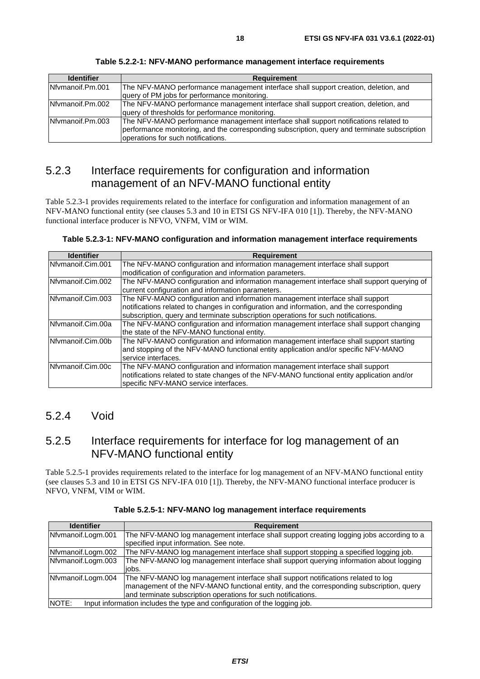<span id="page-17-0"></span>

| <b>Identifier</b> | <b>Requirement</b>                                                                                                                                                                                                         |
|-------------------|----------------------------------------------------------------------------------------------------------------------------------------------------------------------------------------------------------------------------|
| INfvmanoif.Pm.001 | The NFV-MANO performance management interface shall support creation, deletion, and                                                                                                                                        |
|                   | query of PM jobs for performance monitoring.                                                                                                                                                                               |
| Nfymanoif.Pm.002  | The NFV-MANO performance management interface shall support creation, deletion, and                                                                                                                                        |
|                   | query of thresholds for performance monitoring.                                                                                                                                                                            |
| Nfymanoif.Pm.003  | The NFV-MANO performance management interface shall support notifications related to<br>performance monitoring, and the corresponding subscription, query and terminate subscription<br>operations for such notifications. |

**Table 5.2.2-1: NFV-MANO performance management interface requirements** 

# 5.2.3 Interface requirements for configuration and information management of an NFV-MANO functional entity

Table 5.2.3-1 provides requirements related to the interface for configuration and information management of an NFV-MANO functional entity (see clauses 5.3 and 10 in ETSI GS NFV-IFA 010 [[1\]](#page-10-0)). Thereby, the NFV-MANO functional interface producer is NFVO, VNFM, VIM or WIM.

#### **Table 5.2.3-1: NFV-MANO configuration and information management interface requirements**

| <b>Identifier</b> | Requirement                                                                                 |  |  |  |
|-------------------|---------------------------------------------------------------------------------------------|--|--|--|
| Nfymanoif.Cim.001 | The NFV-MANO configuration and information management interface shall support               |  |  |  |
|                   | modification of configuration and information parameters.                                   |  |  |  |
| Nfvmanoif.Cim.002 | The NFV-MANO configuration and information management interface shall support querying of   |  |  |  |
|                   | current configuration and information parameters.                                           |  |  |  |
| Nfvmanoif.Cim.003 | The NFV-MANO configuration and information management interface shall support               |  |  |  |
|                   | notifications related to changes in configuration and information, and the corresponding    |  |  |  |
|                   | subscription, query and terminate subscription operations for such notifications.           |  |  |  |
| Nfvmanoif.Cim.00a | The NFV-MANO configuration and information management interface shall support changing      |  |  |  |
|                   | the state of the NFV-MANO functional entity.                                                |  |  |  |
| Nfymanoif.Cim.00b | The NFV-MANO configuration and information management interface shall support starting      |  |  |  |
|                   | and stopping of the NFV-MANO functional entity application and/or specific NFV-MANO         |  |  |  |
|                   | service interfaces.                                                                         |  |  |  |
| Nfvmanoif.Cim.00c | The NFV-MANO configuration and information management interface shall support               |  |  |  |
|                   | notifications related to state changes of the NFV-MANO functional entity application and/or |  |  |  |
|                   | specific NFV-MANO service interfaces.                                                       |  |  |  |

# 5.2.4 Void

# 5.2.5 Interface requirements for interface for log management of an NFV-MANO functional entity

Table 5.2.5-1 provides requirements related to the interface for log management of an NFV-MANO functional entity (see clauses 5.3 and 10 in ETSI GS NFV-IFA 010 [\[1](#page-10-0)]). Thereby, the NFV-MANO functional interface producer is NFVO, VNFM, VIM or WIM.

| <b>Identifier</b>  | <b>Requirement</b>                                                                       |
|--------------------|------------------------------------------------------------------------------------------|
| Nfvmanoif.Logm.001 | The NFV-MANO log management interface shall support creating logging jobs according to a |
|                    | specified input information. See note.                                                   |
| Nfvmanoif.Logm.002 | The NFV-MANO log management interface shall support stopping a specified logging job.    |
| Nfvmanoif.Logm.003 | The NFV-MANO log management interface shall support querying information about logging   |
|                    | iobs.                                                                                    |
| Nfvmanoif.Logm.004 | The NFV-MANO log management interface shall support notifications related to log         |
|                    | management of the NFV-MANO functional entity, and the corresponding subscription, query  |
|                    | and terminate subscription operations for such notifications.                            |
| NOTE:              | Input information includes the type and configuration of the logging job.                |

**Table 5.2.5-1: NFV-MANO log management interface requirements**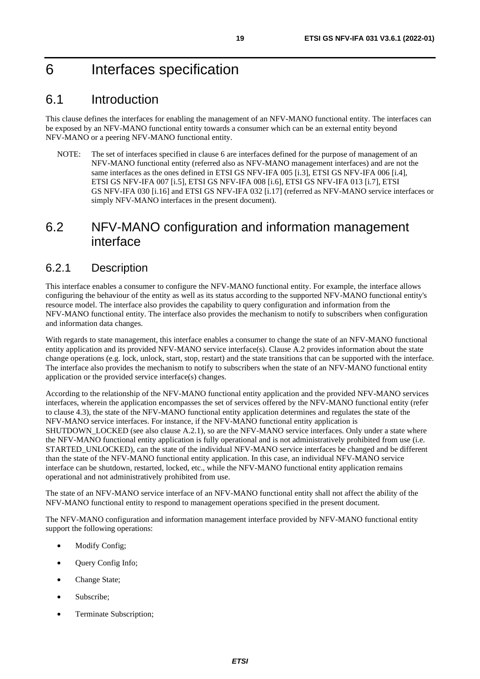# <span id="page-18-0"></span>6 Interfaces specification

# 6.1 Introduction

This clause defines the interfaces for enabling the management of an NFV-MANO functional entity. The interfaces can be exposed by an NFV-MANO functional entity towards a consumer which can be an external entity beyond NFV-MANO or a peering NFV-MANO functional entity.

NOTE: The set of interfaces specified in clause 6 are interfaces defined for the purpose of management of an NFV-MANO functional entity (referred also as NFV-MANO management interfaces) and are not the same interfaces as the ones defined in ETSI GS NFV-IFA 005 [\[i.3\]](#page-10-0), ETSI GS NFV-IFA 006 [\[i.4](#page-11-0)], ETSI GS NFV-IFA 007 [\[i.5](#page-11-0)], ETSI GS NFV-IFA 008 [\[i.6\]](#page-11-0), ETSI GS NFV-IFA 013 [\[i.7\]](#page-11-0), ETSI GS NFV-IFA 030 [\[i.16\]](#page-11-0) and ETSI GS NFV-IFA 032 [\[i.17](#page-11-0)] (referred as NFV-MANO service interfaces or simply NFV-MANO interfaces in the present document).

# 6.2 NFV-MANO configuration and information management interface

### 6.2.1 Description

This interface enables a consumer to configure the NFV-MANO functional entity. For example, the interface allows configuring the behaviour of the entity as well as its status according to the supported NFV-MANO functional entity's resource model. The interface also provides the capability to query configuration and information from the NFV-MANO functional entity. The interface also provides the mechanism to notify to subscribers when configuration and information data changes.

With regards to state management, this interface enables a consumer to change the state of an NFV-MANO functional entity application and its provided NFV-MANO service interface(s). Clause A.2 provides information about the state change operations (e.g. lock, unlock, start, stop, restart) and the state transitions that can be supported with the interface. The interface also provides the mechanism to notify to subscribers when the state of an NFV-MANO functional entity application or the provided service interface(s) changes.

According to the relationship of the NFV-MANO functional entity application and the provided NFV-MANO services interfaces, wherein the application encompasses the set of services offered by the NFV-MANO functional entity (refer to clause 4.3), the state of the NFV-MANO functional entity application determines and regulates the state of the NFV-MANO service interfaces. For instance, if the NFV-MANO functional entity application is SHUTDOWN\_LOCKED (see also clause A.2.1), so are the NFV-MANO service interfaces. Only under a state where the NFV-MANO functional entity application is fully operational and is not administratively prohibited from use (i.e. STARTED\_UNLOCKED), can the state of the individual NFV-MANO service interfaces be changed and be different than the state of the NFV-MANO functional entity application. In this case, an individual NFV-MANO service interface can be shutdown, restarted, locked, etc., while the NFV-MANO functional entity application remains operational and not administratively prohibited from use.

The state of an NFV-MANO service interface of an NFV-MANO functional entity shall not affect the ability of the NFV-MANO functional entity to respond to management operations specified in the present document.

The NFV-MANO configuration and information management interface provided by NFV-MANO functional entity support the following operations:

- Modify Config;
- Query Config Info;
- Change State:
- Subscribe:
- Terminate Subscription;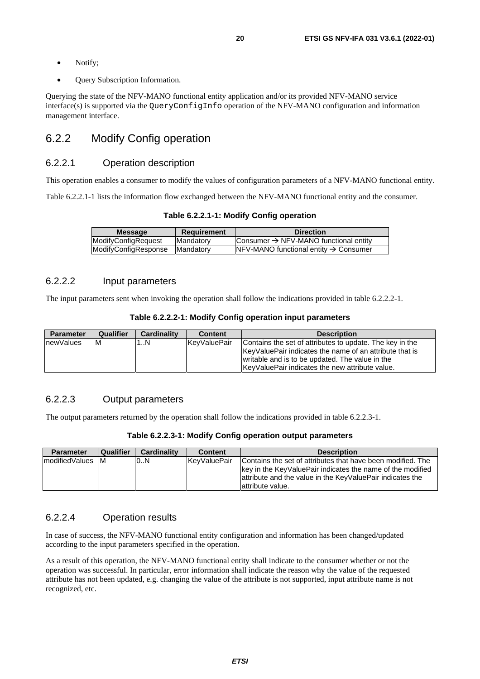- <span id="page-19-0"></span>• Notify;
- Query Subscription Information.

Querying the state of the NFV-MANO functional entity application and/or its provided NFV-MANO service interface(s) is supported via the QueryConfigInfo operation of the NFV-MANO configuration and information management interface.

### 6.2.2 Modify Config operation

#### 6.2.2.1 Operation description

This operation enables a consumer to modify the values of configuration parameters of a NFV-MANO functional entity.

Table 6.2.2.1-1 lists the information flow exchanged between the NFV-MANO functional entity and the consumer.

**Table 6.2.2.1-1: Modify Config operation** 

| <b>Message</b>       | <b>Requirement</b> | <b>Direction</b>                                     |
|----------------------|--------------------|------------------------------------------------------|
| ModifyConfigRequest  | <b>Mandatory</b>   | Consumer $\rightarrow$ NFV-MANO functional entity    |
| ModifyConfigResponse | Mandatory          | $INFV-MANO$ functional entity $\rightarrow$ Consumer |
|                      |                    |                                                      |

#### 6.2.2.2 Input parameters

The input parameters sent when invoking the operation shall follow the indications provided in table 6.2.2.2-1.

| <b>Parameter</b>  | Qualifier | <b>Cardinality</b> | <b>Content</b>       | <b>Description</b>                                                                                                                                                   |
|-------------------|-----------|--------------------|----------------------|----------------------------------------------------------------------------------------------------------------------------------------------------------------------|
| <b>InewValues</b> | ΙM        | . N                | <b>IKevValuePair</b> | Contains the set of attributes to update. The key in the                                                                                                             |
|                   |           |                    |                      | KeyValuePair indicates the name of an attribute that is<br>writable and is to be updated. The value in the<br><b>KeyValuePair indicates the new attribute value.</b> |

#### 6.2.2.3 Output parameters

The output parameters returned by the operation shall follow the indications provided in table 6.2.2.3-1.

| <b>Parameter</b> | <b>Oualifier</b> | <b>Cardinality</b> | <b>Content</b>      | <b>Description</b>                                          |
|------------------|------------------|--------------------|---------------------|-------------------------------------------------------------|
| ImodifiedValues  | IM.              | 0.N                | <b>KevValuePair</b> | Contains the set of attributes that have been modified. The |
|                  |                  |                    |                     | Ikey in the KeyValuePair indicates the name of the modified |
|                  |                  |                    |                     | attribute and the value in the KeyValuePair indicates the   |
|                  |                  |                    |                     | lattribute value.                                           |

#### 6.2.2.4 Operation results

In case of success, the NFV-MANO functional entity configuration and information has been changed/updated according to the input parameters specified in the operation.

As a result of this operation, the NFV-MANO functional entity shall indicate to the consumer whether or not the operation was successful. In particular, error information shall indicate the reason why the value of the requested attribute has not been updated, e.g. changing the value of the attribute is not supported, input attribute name is not recognized, etc.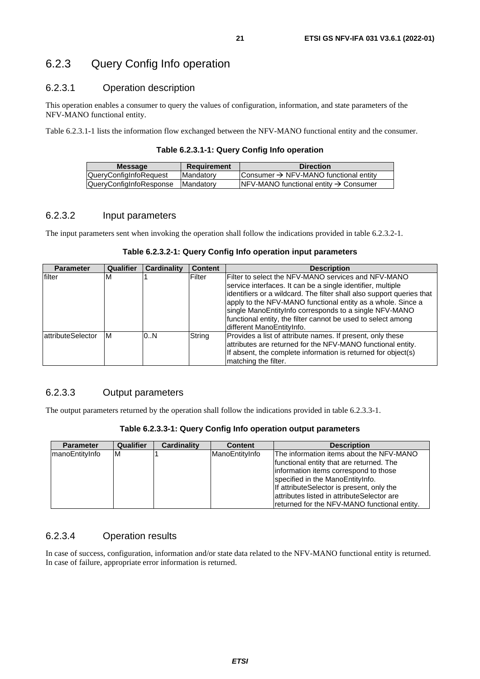# <span id="page-20-0"></span>6.2.3 Query Config Info operation

#### 6.2.3.1 Operation description

This operation enables a consumer to query the values of configuration, information, and state parameters of the NFV-MANO functional entity.

Table 6.2.3.1-1 lists the information flow exchanged between the NFV-MANO functional entity and the consumer.

**Table 6.2.3.1-1: Query Config Info operation** 

| <b>Message</b>          | <b>Requirement</b> | <b>Direction</b>                                      |
|-------------------------|--------------------|-------------------------------------------------------|
| QueryConfigInfoRequest  | <b>IMandatory</b>  | Consumer $\rightarrow$ NFV-MANO functional entity     |
| QueryConfigInfoResponse | <b>IMandatory</b>  | $N$ NFV-MANO functional entity $\rightarrow$ Consumer |
|                         |                    |                                                       |

#### 6.2.3.2 Input parameters

The input parameters sent when invoking the operation shall follow the indications provided in table 6.2.3.2-1.

| <b>Parameter</b>          | <b>Qualifier</b> | <b>Cardinality</b> | <b>Content</b> | <b>Description</b>                                                    |
|---------------------------|------------------|--------------------|----------------|-----------------------------------------------------------------------|
| filter                    | ΙM               |                    | Filter         | Filter to select the NFV-MANO services and NFV-MANO                   |
|                           |                  |                    |                | service interfaces. It can be a single identifier, multiple           |
|                           |                  |                    |                | identifiers or a wildcard. The filter shall also support queries that |
|                           |                  |                    |                | apply to the NFV-MANO functional entity as a whole. Since a           |
|                           |                  |                    |                | single ManoEntityInfo corresponds to a single NFV-MANO                |
|                           |                  |                    |                | functional entity, the filter cannot be used to select among          |
|                           |                  |                    |                | different ManoEntityInfo.                                             |
| <b>lattributeSelector</b> | ΙM               | 0.N                | String         | Provides a list of attribute names. If present, only these            |
|                           |                  |                    |                | attributes are returned for the NFV-MANO functional entity.           |
|                           |                  |                    |                | If absent, the complete information is returned for object(s)         |
|                           |                  |                    |                | matching the filter.                                                  |

**Table 6.2.3.2-1: Query Config Info operation input parameters** 

#### 6.2.3.3 Output parameters

The output parameters returned by the operation shall follow the indications provided in table 6.2.3.3-1.

| <b>Parameter</b> | Qualifier | Cardinality | <b>Content</b> | <b>Description</b>                                                                                                                                                                                                                                                                                             |
|------------------|-----------|-------------|----------------|----------------------------------------------------------------------------------------------------------------------------------------------------------------------------------------------------------------------------------------------------------------------------------------------------------------|
| manoEntityInfo   | M         |             | ManoEntityInfo | The information items about the NFV-MANO<br>functional entity that are returned. The<br>information items correspond to those<br>specified in the ManoEntityInfo.<br>If attributeSelector is present, only the<br>lattributes listed in attributeSelector are<br>Ireturned for the NFV-MANO functional entity. |

**Table 6.2.3.3-1: Query Config Info operation output parameters** 

#### 6.2.3.4 Operation results

In case of success, configuration, information and/or state data related to the NFV-MANO functional entity is returned. In case of failure, appropriate error information is returned.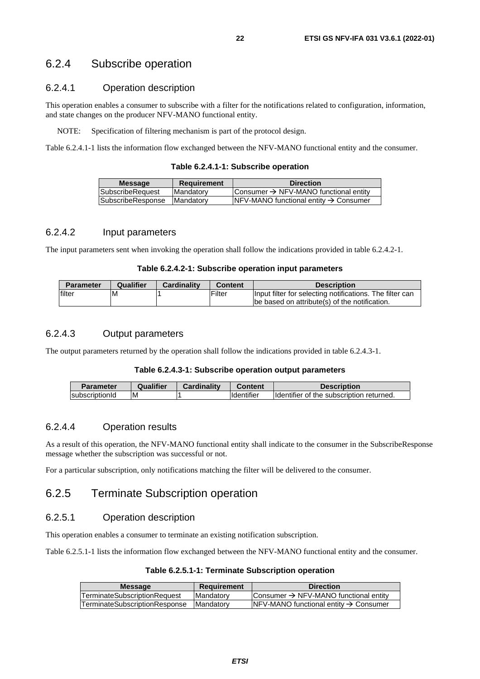# <span id="page-21-0"></span>6.2.4 Subscribe operation

#### 6.2.4.1 Operation description

This operation enables a consumer to subscribe with a filter for the notifications related to configuration, information, and state changes on the producer NFV-MANO functional entity.

NOTE: Specification of filtering mechanism is part of the protocol design.

Table 6.2.4.1-1 lists the information flow exchanged between the NFV-MANO functional entity and the consumer.

#### **Table 6.2.4.1-1: Subscribe operation**

| <b>Message</b>           | <b>Requirement</b> | <b>Direction</b>                                      |
|--------------------------|--------------------|-------------------------------------------------------|
| <b>SubscribeRequest</b>  | Mandatory          | Consumer $\rightarrow$ NFV-MANO functional entity     |
| <b>SubscribeResponse</b> | Mandatory          | $N$ NFV-MANO functional entity $\rightarrow$ Consumer |
|                          |                    |                                                       |

#### 6.2.4.2 Input parameters

The input parameters sent when invoking the operation shall follow the indications provided in table 6.2.4.2-1.

#### **Table 6.2.4.2-1: Subscribe operation input parameters**

| <b>Parameter</b> | Qualifier | <b>Cardinality</b> | Content | <b>Description</b>                                                                                        |
|------------------|-----------|--------------------|---------|-----------------------------------------------------------------------------------------------------------|
| filter           | M         |                    | Filter  | Input filter for selecting notifications. The filter can<br>be based on attribute(s) of the notification. |

#### 6.2.4.3 Output parameters

The output parameters returned by the operation shall follow the indications provided in table 6.2.4.3-1.

#### **Table 6.2.4.3-1: Subscribe operation output parameters**

| Parameter       | Qualifier | Cardinality | Content           | Description                              |
|-----------------|-----------|-------------|-------------------|------------------------------------------|
| IsubscriptionId | ΙM        |             | <b>Identifier</b> | Identifier of the subscription returned. |

#### 6.2.4.4 Operation results

As a result of this operation, the NFV-MANO functional entity shall indicate to the consumer in the SubscribeResponse message whether the subscription was successful or not.

For a particular subscription, only notifications matching the filter will be delivered to the consumer.

# 6.2.5 Terminate Subscription operation

#### 6.2.5.1 Operation description

This operation enables a consumer to terminate an existing notification subscription.

Table 6.2.5.1-1 lists the information flow exchanged between the NFV-MANO functional entity and the consumer.

| <b>Message</b>                      | <b>Requirement</b> | <b>Direction</b>                                    |
|-------------------------------------|--------------------|-----------------------------------------------------|
| <b>TerminateSubscriptionRequest</b> | Mandatory          | Consumer $\rightarrow$ NFV-MANO functional entity   |
| TerminateSubscriptionResponse       | <b>Mandatory</b>   | $NFV-MANO$ functional entity $\rightarrow$ Consumer |
|                                     |                    |                                                     |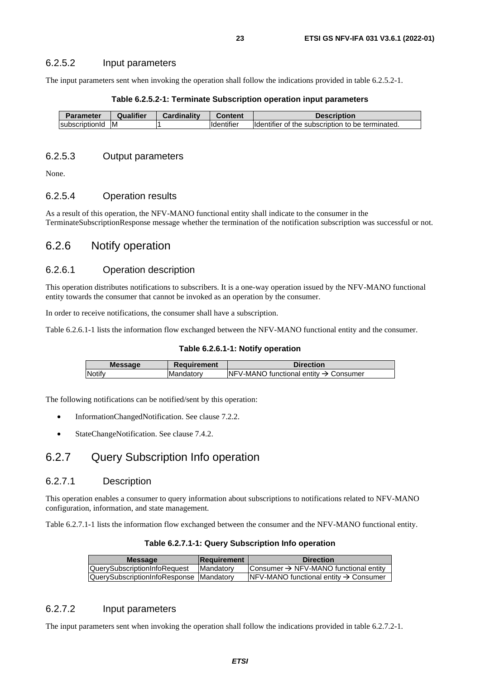#### <span id="page-22-0"></span>6.2.5.2 Input parameters

The input parameters sent when invoking the operation shall follow the indications provided in table 6.2.5.2-1.

| <b>Parameter</b> | Qualifier | Cardinality | Content           | <b>Description</b>                               |
|------------------|-----------|-------------|-------------------|--------------------------------------------------|
| subscriptionId   | IM.       |             | <b>Identifier</b> | Identifier of the subscription to be terminated. |

#### **Table 6.2.5.2-1: Terminate Subscription operation input parameters**

#### 6.2.5.3 Output parameters

None.

#### 6.2.5.4 Operation results

As a result of this operation, the NFV-MANO functional entity shall indicate to the consumer in the TerminateSubscriptionResponse message whether the termination of the notification subscription was successful or not.

### 6.2.6 Notify operation

#### 6.2.6.1 Operation description

This operation distributes notifications to subscribers. It is a one-way operation issued by the NFV-MANO functional entity towards the consumer that cannot be invoked as an operation by the consumer.

In order to receive notifications, the consumer shall have a subscription.

Table 6.2.6.1-1 lists the information flow exchanged between the NFV-MANO functional entity and the consumer.

#### **Table 6.2.6.1-1: Notify operation**

| <b>Message</b> | Requirement | <b>Direction</b>                                     |
|----------------|-------------|------------------------------------------------------|
| Notify         | IMandatorv  | $NFV$ -MANO functional entity $\rightarrow$ Consumer |
|                |             |                                                      |

The following notifications can be notified/sent by this operation:

- InformationChangedNotification. See clause 7.2.2.
- StateChangeNotification. See clause 7.4.2.

# 6.2.7 Query Subscription Info operation

#### 6.2.7.1 Description

This operation enables a consumer to query information about subscriptions to notifications related to NFV-MANO configuration, information, and state management.

Table 6.2.7.1-1 lists the information flow exchanged between the consumer and the NFV-MANO functional entity.

| <b>Message</b>                           | Requirement      | <b>Direction</b>                                      |
|------------------------------------------|------------------|-------------------------------------------------------|
| QuerySubscriptionInfoRequest             | <b>Mandatory</b> | Consumer $\rightarrow$ NFV-MANO functional entity     |
| QuerySubscriptionInfoResponse  Mandatory |                  | $N$ NFV-MANO functional entity $\rightarrow$ Consumer |
|                                          |                  |                                                       |

#### 6.2.7.2 Input parameters

The input parameters sent when invoking the operation shall follow the indications provided in table 6.2.7.2-1.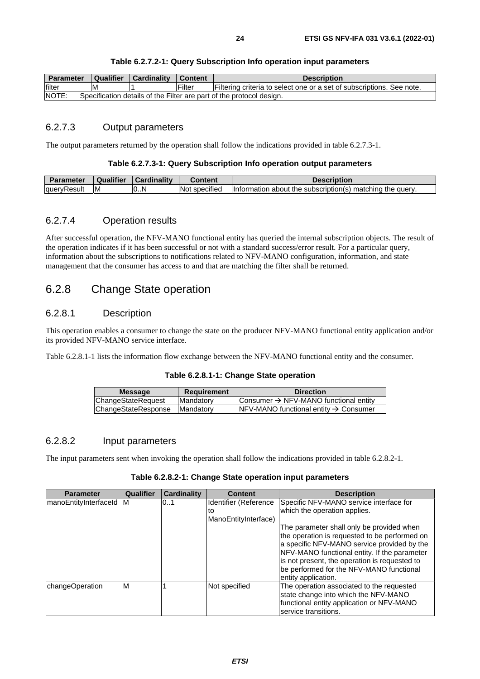| Table 6.2.7.2-1: Query Subscription Info operation input parameters |  |  |  |
|---------------------------------------------------------------------|--|--|--|
|---------------------------------------------------------------------|--|--|--|

<span id="page-23-0"></span>

| <b>Parameter</b>                                                                      | Qualifier | Cardinality | <b>Content</b> | <b>Description</b>                                                    |
|---------------------------------------------------------------------------------------|-----------|-------------|----------------|-----------------------------------------------------------------------|
| filter                                                                                | ΙM        |             | Filter         | Filtering criteria to select one or a set of subscriptions. See note. |
| <b>INOTE:</b><br>Specification details of the Filter are part of the protocol design. |           |             |                |                                                                       |

#### 6.2.7.3 Output parameters

The output parameters returned by the operation shall follow the indications provided in table 6.2.7.3-1.

#### **Table 6.2.7.3-1: Query Subscription Info operation output parameters**

| <b>Parameter</b> | Qualifier | Cardinality | <b>Content</b>                | <b>Description</b>                                              |
|------------------|-----------|-------------|-------------------------------|-----------------------------------------------------------------|
| queryResult      | ΙM        | N<br>1015   | $\cdots$<br>INot<br>specified | IInformation<br>i about the subscription(s) matching the query. |

#### 6.2.7.4 Operation results

After successful operation, the NFV-MANO functional entity has queried the internal subscription objects. The result of the operation indicates if it has been successful or not with a standard success/error result. For a particular query, information about the subscriptions to notifications related to NFV-MANO configuration, information, and state management that the consumer has access to and that are matching the filter shall be returned.

# 6.2.8 Change State operation

#### 6.2.8.1 Description

This operation enables a consumer to change the state on the producer NFV-MANO functional entity application and/or its provided NFV-MANO service interface.

Table 6.2.8.1-1 lists the information flow exchange between the NFV-MANO functional entity and the consumer.

|  |  | Table 6.2.8.1-1: Change State operation |
|--|--|-----------------------------------------|
|--|--|-----------------------------------------|

| <b>Message</b>            | Requirement       | <b>Direction</b>                                      |  |
|---------------------------|-------------------|-------------------------------------------------------|--|
| <b>ChangeStateRequest</b> | <b>IMandatory</b> | $l$ Consumer $\rightarrow$ NFV-MANO functional entity |  |
| ChangeStateResponse       | <b>Mandatory</b>  | $N$ NFV-MANO functional entity $\rightarrow$ Consumer |  |
|                           |                   |                                                       |  |

#### 6.2.8.2 Input parameters

The input parameters sent when invoking the operation shall follow the indications provided in table 6.2.8.2-1.

#### **Table 6.2.8.2-1: Change State operation input parameters**

| <b>Parameter</b>        | Qualifier | <b>Cardinality</b> | <b>Content</b>        | <b>Description</b>                            |
|-------------------------|-----------|--------------------|-----------------------|-----------------------------------------------|
| manoEntityInterfaceId M |           | 101                | Identifier (Reference | Specific NFV-MANO service interface for       |
|                         |           |                    | lto                   | which the operation applies.                  |
|                         |           |                    | ManoEntityInterface)  |                                               |
|                         |           |                    |                       | The parameter shall only be provided when     |
|                         |           |                    |                       | the operation is requested to be performed on |
|                         |           |                    |                       | a specific NFV-MANO service provided by the   |
|                         |           |                    |                       | NFV-MANO functional entity. If the parameter  |
|                         |           |                    |                       | is not present, the operation is requested to |
|                         |           |                    |                       | be performed for the NFV-MANO functional      |
|                         |           |                    |                       | entity application.                           |
| changeOperation         | M         |                    | Not specified         | The operation associated to the requested     |
|                         |           |                    |                       | state change into which the NFV-MANO          |
|                         |           |                    |                       | functional entity application or NFV-MANO     |
|                         |           |                    |                       | Iservice transitions.                         |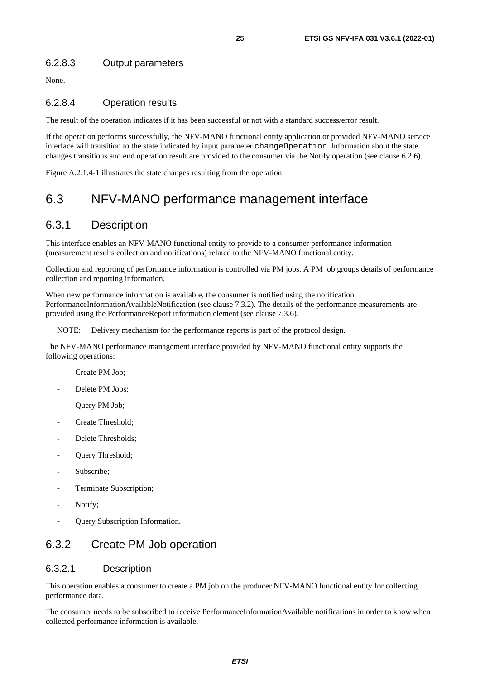### <span id="page-24-0"></span>6.2.8.3 Output parameters

None.

#### 6.2.8.4 Operation results

The result of the operation indicates if it has been successful or not with a standard success/error result.

If the operation performs successfully, the NFV-MANO functional entity application or provided NFV-MANO service interface will transition to the state indicated by input parameter changeOperation. Information about the state changes transitions and end operation result are provided to the consumer via the Notify operation (see clause 6.2.6).

Figure A.2.1.4-1 illustrates the state changes resulting from the operation.

# 6.3 NFV-MANO performance management interface

# 6.3.1 Description

This interface enables an NFV-MANO functional entity to provide to a consumer performance information (measurement results collection and notifications) related to the NFV-MANO functional entity.

Collection and reporting of performance information is controlled via PM jobs. A PM job groups details of performance collection and reporting information.

When new performance information is available, the consumer is notified using the notification PerformanceInformationAvailableNotification (see clause 7.3.2). The details of the performance measurements are provided using the PerformanceReport information element (see clause 7.3.6).

NOTE: Delivery mechanism for the performance reports is part of the protocol design.

The NFV-MANO performance management interface provided by NFV-MANO functional entity supports the following operations:

- Create PM Job:
- Delete PM Jobs;
- Ouery PM Job;
- Create Threshold;
- Delete Thresholds;
- Ouery Threshold;
- Subscribe:
- Terminate Subscription;
- Notify;
- Query Subscription Information.

# 6.3.2 Create PM Job operation

#### 6.3.2.1 Description

This operation enables a consumer to create a PM job on the producer NFV-MANO functional entity for collecting performance data.

The consumer needs to be subscribed to receive PerformanceInformationAvailable notifications in order to know when collected performance information is available.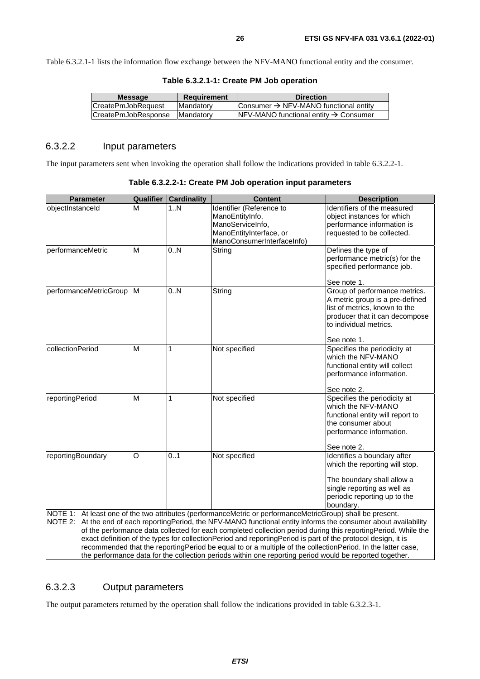<span id="page-25-0"></span>Table 6.3.2.1-1 lists the information flow exchange between the NFV-MANO functional entity and the consumer.

| <b>Message</b>              | <b>Requirement</b> | <b>Direction</b>                                         |  |
|-----------------------------|--------------------|----------------------------------------------------------|--|
| <b>CreatePmJobRequest</b>   | <b>Mandatory</b>   | $\Box$ Consumer $\rightarrow$ NFV-MANO functional entity |  |
| <b>ICreatePmJobResponse</b> | <b>IMandatory</b>  | $N$ NFV-MANO functional entity $\rightarrow$ Consumer    |  |
|                             |                    |                                                          |  |

### 6.3.2.2 Input parameters

The input parameters sent when invoking the operation shall follow the indications provided in table 6.3.2.2-1.

| Parameter              |    | <b>Qualifier Cardinality</b> | <b>Content</b>                                                                                                      | <b>Description</b>               |
|------------------------|----|------------------------------|---------------------------------------------------------------------------------------------------------------------|----------------------------------|
| objectInstanceId       | M  | 1.N                          | Identifier (Reference to                                                                                            | Identifiers of the measured      |
|                        |    |                              | ManoEntityInfo,                                                                                                     | object instances for which       |
|                        |    |                              | ManoServiceInfo,                                                                                                    | performance information is       |
|                        |    |                              | ManoEntityInterface, or                                                                                             | requested to be collected.       |
|                        |    |                              | ManoConsumerInterfaceInfo)                                                                                          |                                  |
| performanceMetric      | м  | 0.N                          | String                                                                                                              | Defines the type of              |
|                        |    |                              |                                                                                                                     | performance metric(s) for the    |
|                        |    |                              |                                                                                                                     | specified performance job.       |
|                        |    |                              |                                                                                                                     |                                  |
|                        |    |                              |                                                                                                                     | See note 1.                      |
| performanceMetricGroup | ΙM | 0.N                          | String                                                                                                              | Group of performance metrics.    |
|                        |    |                              |                                                                                                                     | A metric group is a pre-defined  |
|                        |    |                              |                                                                                                                     | list of metrics, known to the    |
|                        |    |                              |                                                                                                                     | producer that it can decompose   |
|                        |    |                              |                                                                                                                     | to individual metrics.           |
|                        |    |                              |                                                                                                                     | See note 1.                      |
| collectionPeriod       | M  | 1                            | Not specified                                                                                                       | Specifies the periodicity at     |
|                        |    |                              |                                                                                                                     | which the NFV-MANO               |
|                        |    |                              |                                                                                                                     | functional entity will collect   |
|                        |    |                              |                                                                                                                     | performance information.         |
|                        |    |                              |                                                                                                                     |                                  |
|                        |    |                              |                                                                                                                     | See note 2.                      |
| reportingPeriod        | M  | 1                            | Not specified                                                                                                       | Specifies the periodicity at     |
|                        |    |                              |                                                                                                                     | which the NFV-MANO               |
|                        |    |                              |                                                                                                                     | functional entity will report to |
|                        |    |                              |                                                                                                                     | the consumer about               |
|                        |    |                              |                                                                                                                     | performance information.         |
|                        |    |                              |                                                                                                                     | See note 2.                      |
| reportingBoundary      | O  | 0.1                          | Not specified                                                                                                       | Identifies a boundary after      |
|                        |    |                              |                                                                                                                     | which the reporting will stop.   |
|                        |    |                              |                                                                                                                     |                                  |
|                        |    |                              |                                                                                                                     | The boundary shall allow a       |
|                        |    |                              |                                                                                                                     | single reporting as well as      |
|                        |    |                              |                                                                                                                     | periodic reporting up to the     |
|                        |    |                              |                                                                                                                     | boundary.                        |
|                        |    |                              | NOTE 1: At least one of the two attributes (performanceMetric or performanceMetricGroup) shall be present.          |                                  |
|                        |    |                              | NOTE 2: At the end of each reporting Period, the NFV-MANO functional entity informs the consumer about availability |                                  |
|                        |    |                              | of the performance data collected for each completed collection period during this reportingPeriod. While the       |                                  |
|                        |    |                              | exact definition of the types for collectionPeriod and reportingPeriod is part of the protocol design, it is        |                                  |
|                        |    |                              | recommended that the reportingPeriod be equal to or a multiple of the collectionPeriod. In the latter case,         |                                  |

| Table 6.3.2.2-1: Create PM Job operation input parameters |  |  |  |  |
|-----------------------------------------------------------|--|--|--|--|
|-----------------------------------------------------------|--|--|--|--|

### 6.3.2.3 Output parameters

The output parameters returned by the operation shall follow the indications provided in table 6.3.2.3-1.

the performance data for the collection periods within one reporting period would be reported together.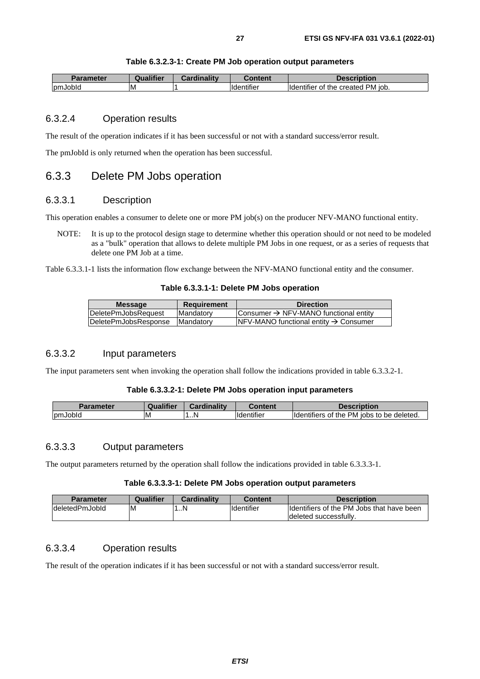<span id="page-26-0"></span>

| <b>Parameter</b> | Qualifier | Cardinalitv | :ontent                       | <b>Description</b>                 |
|------------------|-----------|-------------|-------------------------------|------------------------------------|
| pmJobld          | ΙM        |             | $\cdots$<br><b>Identifier</b> | Ildentifier of the created PM iob. |

#### 6.3.2.4 Operation results

The result of the operation indicates if it has been successful or not with a standard success/error result.

The pmJobId is only returned when the operation has been successful.

# 6.3.3 Delete PM Jobs operation

#### 6.3.3.1 Description

This operation enables a consumer to delete one or more PM job(s) on the producer NFV-MANO functional entity.

NOTE: It is up to the protocol design stage to determine whether this operation should or not need to be modeled as a "bulk" operation that allows to delete multiple PM Jobs in one request, or as a series of requests that delete one PM Job at a time.

Table 6.3.3.1-1 lists the information flow exchange between the NFV-MANO functional entity and the consumer.

#### **Table 6.3.3.1-1: Delete PM Jobs operation**

| <b>Message</b>              | <b>Requirement</b> | <b>Direction</b>                                      |  |
|-----------------------------|--------------------|-------------------------------------------------------|--|
| <b>IDeletePmJobsRequest</b> | <b>IMandatory</b>  | Consumer $\rightarrow$ NFV-MANO functional entity     |  |
| <b>DeletePmJobsResponse</b> | Mandatory          | $N$ NFV-MANO functional entity $\rightarrow$ Consumer |  |
|                             |                    |                                                       |  |

#### 6.3.3.2 Input parameters

The input parameters sent when invoking the operation shall follow the indications provided in table 6.3.3.2-1.

#### **Table 6.3.3.2-1: Delete PM Jobs operation input parameters**

| Parameter       | <br>Qualitier | Cardinalitv | ∶ontent                        | Description                                                             |
|-----------------|---------------|-------------|--------------------------------|-------------------------------------------------------------------------|
| <b>IpmJobid</b> | ΙM            | .N          | $\cdots$<br><b>I</b> dentifier | <b>PM</b><br>$\cdots$<br>≒iobs to be deleted.<br>Ildentifiers<br>of the |

#### 6.3.3.3 Output parameters

The output parameters returned by the operation shall follow the indications provided in table 6.3.3.3-1.

#### **Table 6.3.3.3-1: Delete PM Jobs operation output parameters**

| <b>Parameter</b> | Qualifier | Cardinality | Content    | <b>Description</b>                                                  |
|------------------|-----------|-------------|------------|---------------------------------------------------------------------|
| IdeletedPmJobId  | ΙM        | 1N          | Identifier | Ildentifiers of the PM Jobs that have been<br>deleted successfully. |

### 6.3.3.4 Operation results

The result of the operation indicates if it has been successful or not with a standard success/error result.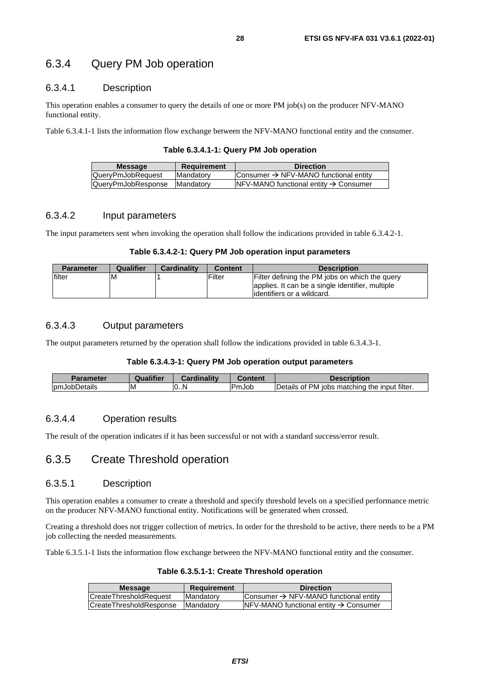# <span id="page-27-0"></span>6.3.4 Query PM Job operation

#### 6.3.4.1 Description

This operation enables a consumer to query the details of one or more PM job(s) on the producer NFV-MANO functional entity.

Table 6.3.4.1-1 lists the information flow exchange between the NFV-MANO functional entity and the consumer.

**Table 6.3.4.1-1: Query PM Job operation** 

| <b>Message</b>           | <b>Requirement</b> | <b>Direction</b>                                      |
|--------------------------|--------------------|-------------------------------------------------------|
| <b>QuervPmJobRequest</b> | <b>IMandatory</b>  | Consumer $\rightarrow$ NFV-MANO functional entity     |
| QuervPmJobResponse       | <b>IMandatory</b>  | $N$ NFV-MANO functional entity $\rightarrow$ Consumer |
|                          |                    |                                                       |

#### 6.3.4.2 Input parameters

The input parameters sent when invoking the operation shall follow the indications provided in table 6.3.4.2-1.

| <b>Parameter</b> | Qualifier | <b>Cardinality</b> | <b>Content</b> | <b>Description</b>                               |
|------------------|-----------|--------------------|----------------|--------------------------------------------------|
| lfilter          | M         |                    | Filter         | Filter defining the PM jobs on which the query   |
|                  |           |                    |                | applies. It can be a single identifier, multiple |
|                  |           |                    |                | lidentifiers or a wildcard.                      |

#### 6.3.4.3 Output parameters

The output parameters returned by the operation shall follow the indications provided in table 6.3.4.3-1.

#### **Table 6.3.4.3-1: Query PM Job operation output parameters**

| Darame<br>arameter          | <b>alifier</b><br>w<br>. | inality | $-4$ ont               | iption<br><b>Descri</b>                                                   |
|-----------------------------|--------------------------|---------|------------------------|---------------------------------------------------------------------------|
| . .<br>-lom.Jobi<br>Jetails | ιM                       | 0N      | P <sub>m</sub><br>nJor | filter.<br>PM<br>Details<br>matching<br>input<br><b>IODS</b><br>the<br>Οt |

#### 6.3.4.4 Operation results

The result of the operation indicates if it has been successful or not with a standard success/error result.

# 6.3.5 Create Threshold operation

#### 6.3.5.1 Description

This operation enables a consumer to create a threshold and specify threshold levels on a specified performance metric on the producer NFV-MANO functional entity. Notifications will be generated when crossed.

Creating a threshold does not trigger collection of metrics. In order for the threshold to be active, there needs to be a PM job collecting the needed measurements.

Table 6.3.5.1-1 lists the information flow exchange between the NFV-MANO functional entity and the consumer.

| <b>Message</b>          | <b>Requirement</b> | <b>Direction</b>                                      |
|-------------------------|--------------------|-------------------------------------------------------|
| CreateThresholdRequest  | Mandatorv          | $l$ Consumer $\rightarrow$ NFV-MANO functional entity |
| CreateThresholdResponse | <b>Mandatory</b>   | $N$ NFV-MANO functional entity $\rightarrow$ Consumer |
|                         |                    |                                                       |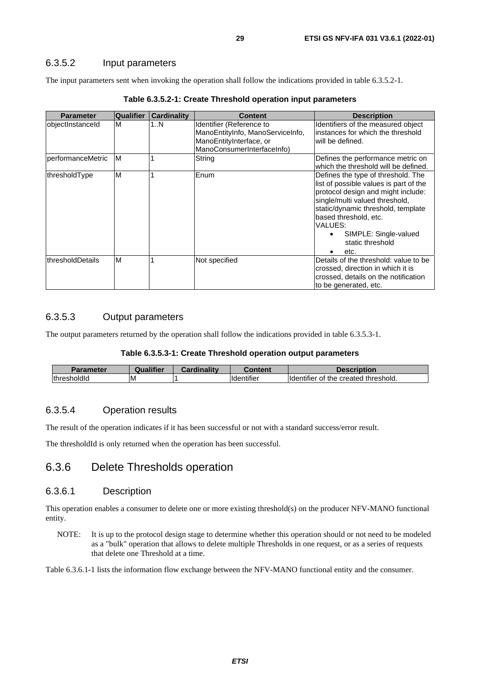<span id="page-28-0"></span>The input parameters sent when invoking the operation shall follow the indications provided in table 6.3.5.2-1.

| <b>Parameter</b>  | <b>Qualifier</b> | <b>Cardinality</b> | <b>Content</b>                   | <b>Description</b>                     |
|-------------------|------------------|--------------------|----------------------------------|----------------------------------------|
| objectInstanceId  | M                | 1N                 | Identifier (Reference to         | Identifiers of the measured object     |
|                   |                  |                    | ManoEntityInfo, ManoServiceInfo, | instances for which the threshold      |
|                   |                  |                    | ManoEntityInterface, or          | will be defined.                       |
|                   |                  |                    | ManoConsumerInterfaceInfo)       |                                        |
| performanceMetric | M                |                    | String                           | Defines the performance metric on      |
|                   |                  |                    |                                  | which the threshold will be defined.   |
| thresholdType     | M                |                    | Enum                             | Defines the type of threshold. The     |
|                   |                  |                    |                                  | list of possible values is part of the |
|                   |                  |                    |                                  | protocol design and might include:     |
|                   |                  |                    |                                  | single/multi valued threshold,         |
|                   |                  |                    |                                  | static/dynamic threshold, template     |
|                   |                  |                    |                                  | based threshold, etc.                  |
|                   |                  |                    |                                  | VALUES:                                |
|                   |                  |                    |                                  | SIMPLE: Single-valued                  |
|                   |                  |                    |                                  | static threshold                       |
|                   |                  |                    |                                  | etc.                                   |
| thresholdDetails  | M                |                    | Not specified                    | Details of the threshold: value to be  |
|                   |                  |                    |                                  | crossed, direction in which it is      |
|                   |                  |                    |                                  | crossed, details on the notification   |
|                   |                  |                    |                                  | to be generated, etc.                  |

**Table 6.3.5.2-1: Create Threshold operation input parameters** 

#### 6.3.5.3 Output parameters

The output parameters returned by the operation shall follow the indications provided in table 6.3.5.3-1.

#### **Table 6.3.5.3-1: Create Threshold operation output parameters**

| <b>Parameter</b>             | <b>Jualifier</b> | Cardinality | Content                       | Description                                |
|------------------------------|------------------|-------------|-------------------------------|--------------------------------------------|
| <b>IthresholdId</b><br>οιαισ | ιм               |             | $\cdots$<br><b>Identifier</b> | * of the created threshold.<br>lldentifier |

#### 6.3.5.4 Operation results

The result of the operation indicates if it has been successful or not with a standard success/error result.

The thresholdId is only returned when the operation has been successful.

### 6.3.6 Delete Thresholds operation

#### 6.3.6.1 Description

This operation enables a consumer to delete one or more existing threshold(s) on the producer NFV-MANO functional entity.

NOTE: It is up to the protocol design stage to determine whether this operation should or not need to be modeled as a "bulk" operation that allows to delete multiple Thresholds in one request, or as a series of requests that delete one Threshold at a time.

Table 6.3.6.1-1 lists the information flow exchange between the NFV-MANO functional entity and the consumer.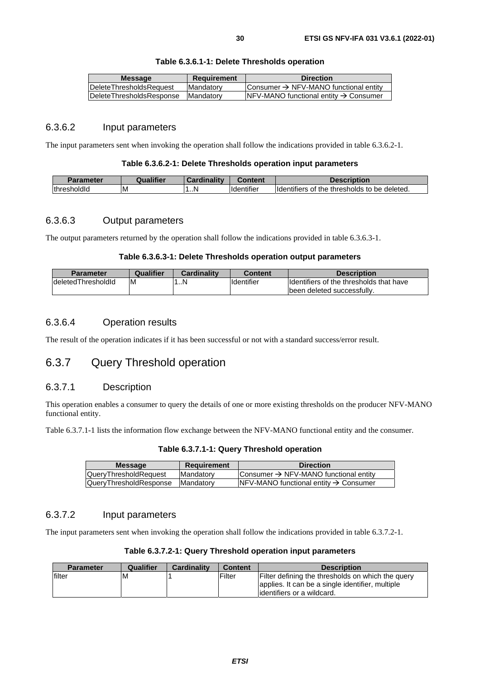#### <span id="page-29-0"></span>6.3.6.2 Input parameters

The input parameters sent when invoking the operation shall follow the indications provided in table 6.3.6.2-1.

#### **Table 6.3.6.2-1: Delete Thresholds operation input parameters**

| Parameter   | ualifier) | $\mathcal{L}$ ardinality | Content                        | Description                                                      |
|-------------|-----------|--------------------------|--------------------------------|------------------------------------------------------------------|
| thresholdlo | ΙM        | .N                       | $\cdots$<br><b>Ildentitier</b> | e thresholds to be deleted.<br><b>Ildentifiers</b><br>the<br>.nt |

#### 6.3.6.3 Output parameters

The output parameters returned by the operation shall follow the indications provided in table 6.3.6.3-1.

#### **Table 6.3.6.3-1: Delete Thresholds operation output parameters**

| <b>Parameter</b>    | Qualifier | <b>Cardinality</b> | Content    | <b>Description</b>                       |
|---------------------|-----------|--------------------|------------|------------------------------------------|
| ldeletedThresholdId | ΙM        | N                  | Identifier | Ildentifiers of the thresholds that have |
|                     |           |                    |            | lbeen deleted successfully.              |

#### 6.3.6.4 Operation results

The result of the operation indicates if it has been successful or not with a standard success/error result.

### 6.3.7 Query Threshold operation

#### 6.3.7.1 Description

This operation enables a consumer to query the details of one or more existing thresholds on the producer NFV-MANO functional entity.

Table 6.3.7.1-1 lists the information flow exchange between the NFV-MANO functional entity and the consumer.

**Table 6.3.7.1-1: Query Threshold operation** 

| <b>Message</b>               | Requirement       | <b>Direction</b>                                      |  |
|------------------------------|-------------------|-------------------------------------------------------|--|
| <b>QuervThresholdRequest</b> | <b>IMandatory</b> | Consumer $\rightarrow$ NFV-MANO functional entity     |  |
| QueryThresholdResponse       | Mandatory         | $N$ NFV-MANO functional entity $\rightarrow$ Consumer |  |
|                              |                   |                                                       |  |

#### 6.3.7.2 Input parameters

The input parameters sent when invoking the operation shall follow the indications provided in table 6.3.7.2-1.

#### **Table 6.3.7.2-1: Query Threshold operation input parameters**

| <b>Parameter</b> | Qualifier | <b>Cardinality</b> | <b>Content</b> | <b>Description</b>                                |
|------------------|-----------|--------------------|----------------|---------------------------------------------------|
| lfilter          | ΙM        |                    | Filter         | Filter defining the thresholds on which the query |
|                  |           |                    |                | applies. It can be a single identifier, multiple  |
|                  |           |                    |                | lidentifiers or a wildcard.                       |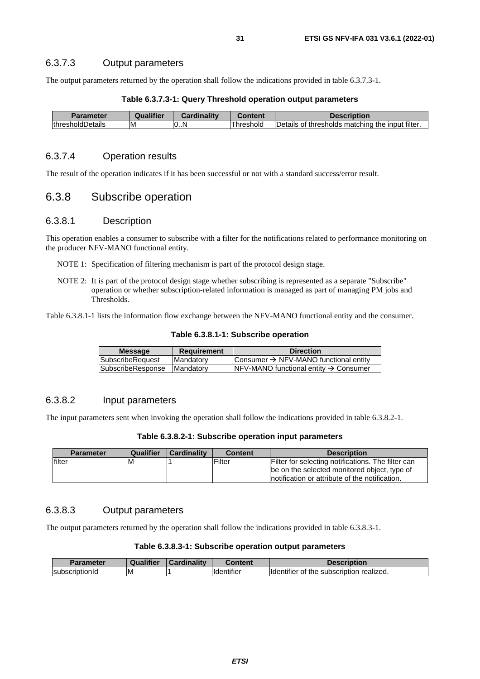<span id="page-30-0"></span>The output parameters returned by the operation shall follow the indications provided in table 6.3.7.3-1.

| Parameter        | Qualifier | Cardinalitv | Content  | Description                                      |
|------------------|-----------|-------------|----------|--------------------------------------------------|
| thresholdDetails | ΙM        | 10N         | hreshold | Details of thresholds matching the input filter. |

#### **Table 6.3.7.3-1: Query Threshold operation output parameters**

#### 6.3.7.4 Operation results

The result of the operation indicates if it has been successful or not with a standard success/error result.

### 6.3.8 Subscribe operation

#### 6.3.8.1 Description

This operation enables a consumer to subscribe with a filter for the notifications related to performance monitoring on the producer NFV-MANO functional entity.

NOTE 1: Specification of filtering mechanism is part of the protocol design stage.

NOTE 2: It is part of the protocol design stage whether subscribing is represented as a separate "Subscribe" operation or whether subscription-related information is managed as part of managing PM jobs and Thresholds.

Table 6.3.8.1-1 lists the information flow exchange between the NFV-MANO functional entity and the consumer.

#### **Table 6.3.8.1-1: Subscribe operation**

| <b>Message</b>          | <b>Requirement</b> | <b>Direction</b>                                      |
|-------------------------|--------------------|-------------------------------------------------------|
| <b>SubscribeRequest</b> | <b>IMandatory</b>  | $l$ Consumer $\rightarrow$ NFV-MANO functional entity |
| SubscribeResponse       | Mandatory          | $N$ NFV-MANO functional entity $\rightarrow$ Consumer |
|                         |                    |                                                       |

#### 6.3.8.2 Input parameters

The input parameters sent when invoking the operation shall follow the indications provided in table 6.3.8.2-1.

#### **Table 6.3.8.2-1: Subscribe operation input parameters**

| <b>Parameter</b> | <b>Qualifier</b> | Cardinality | <b>Content</b> | <b>Description</b>                                                                                                                                    |
|------------------|------------------|-------------|----------------|-------------------------------------------------------------------------------------------------------------------------------------------------------|
| lfilter          | ΙM               |             | <b>Filter</b>  | Filter for selecting notifications. The filter can<br>be on the selected monitored object, type of<br>Inotification or attribute of the notification. |

#### 6.3.8.3 Output parameters

The output parameters returned by the operation shall follow the indications provided in table 6.3.8.3-1.

#### **Table 6.3.8.3-1: Subscribe operation output parameters**

|                       | <br>Qualitier | .<br>Cardinality | Content                | <b>Description</b>                                      |
|-----------------------|---------------|------------------|------------------------|---------------------------------------------------------|
| <b>SubscriptionId</b> | ιM            |                  | $\cdot$<br>lidentifiei | realized.<br>. subscription<br>the<br>lidentifier<br>0t |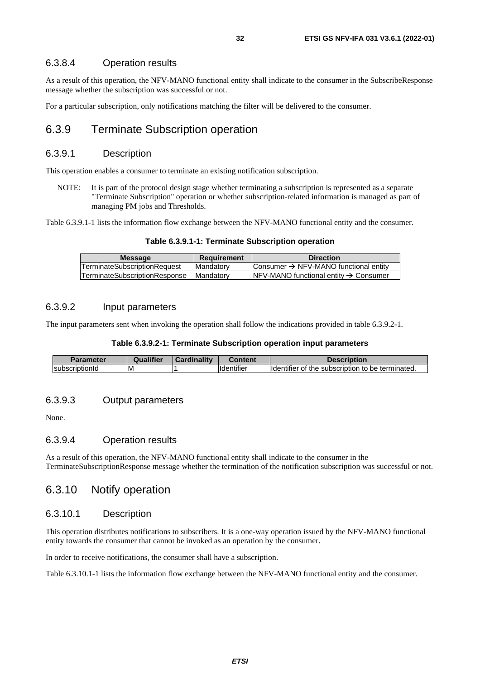#### <span id="page-31-0"></span>6.3.8.4 Operation results

As a result of this operation, the NFV-MANO functional entity shall indicate to the consumer in the SubscribeResponse message whether the subscription was successful or not.

For a particular subscription, only notifications matching the filter will be delivered to the consumer.

### 6.3.9 Terminate Subscription operation

#### 6.3.9.1 Description

This operation enables a consumer to terminate an existing notification subscription.

NOTE: It is part of the protocol design stage whether terminating a subscription is represented as a separate "Terminate Subscription" operation or whether subscription-related information is managed as part of managing PM jobs and Thresholds.

Table 6.3.9.1-1 lists the information flow exchange between the NFV-MANO functional entity and the consumer.

#### **Table 6.3.9.1-1: Terminate Subscription operation**

| <b>Message</b>                       | Requirement | <b>Direction</b>                                         |
|--------------------------------------|-------------|----------------------------------------------------------|
| TerminateSubscriptionRequest         | Mandatorv   | $\Box$ Consumer $\rightarrow$ NFV-MANO functional entity |
| <b>TerminateSubscriptionResponse</b> | Mandatory   | $N$ NFV-MANO functional entity $\rightarrow$ Consumer    |
|                                      |             |                                                          |

#### 6.3.9.2 Input parameters

The input parameters sent when invoking the operation shall follow the indications provided in table 6.3.9.2-1.

#### **Table 6.3.9.2-1: Terminate Subscription operation input parameters**

| <b>Parameter</b>       | <b>Qualifier</b> | Cardinality | Content    | <b>Description</b>                                         |
|------------------------|------------------|-------------|------------|------------------------------------------------------------|
| <b>IsubscriptionId</b> | ΙM               |             | Identifier | <b>Identifier</b><br>to the subscription to be terminated. |

#### 6.3.9.3 Output parameters

None.

#### 6.3.9.4 Operation results

As a result of this operation, the NFV-MANO functional entity shall indicate to the consumer in the TerminateSubscriptionResponse message whether the termination of the notification subscription was successful or not.

### 6.3.10 Notify operation

#### 6.3.10.1 Description

This operation distributes notifications to subscribers. It is a one-way operation issued by the NFV-MANO functional entity towards the consumer that cannot be invoked as an operation by the consumer.

In order to receive notifications, the consumer shall have a subscription.

Table 6.3.10.1-1 lists the information flow exchange between the NFV-MANO functional entity and the consumer.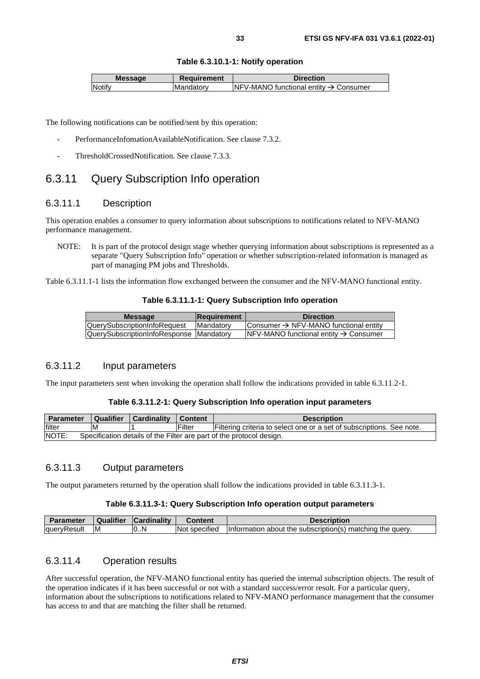#### **Table 6.3.10.1-1: Notify operation**

<span id="page-32-0"></span>

| <b>Message</b> | Requirement | <b>Direction</b>                                     |  |  |
|----------------|-------------|------------------------------------------------------|--|--|
| Notify         | IMandatorv  | $INFV-MANO$ functional entity $\rightarrow$ Consumer |  |  |
|                |             |                                                      |  |  |

The following notifications can be notified/sent by this operation:

- PerformanceInfomationAvailableNotification. See clause 7.3.2.
- ThresholdCrossedNotification. See clause 7.3.3.

# 6.3.11 Query Subscription Info operation

#### 6.3.11.1 Description

This operation enables a consumer to query information about subscriptions to notifications related to NFV-MANO performance management.

NOTE: It is part of the protocol design stage whether querying information about subscriptions is represented as a separate "Query Subscription Info" operation or whether subscription-related information is managed as part of managing PM jobs and Thresholds.

Table 6.3.11.1-1 lists the information flow exchanged between the consumer and the NFV-MANO functional entity.

#### **Table 6.3.11.1-1: Query Subscription Info operation**

| <b>Message</b>                          | <b>Requirement</b> | <b>Direction</b>                                      |
|-----------------------------------------|--------------------|-------------------------------------------------------|
| QuerySubscriptionInfoRequest            | Mandatory          | Consumer $\rightarrow$ NFV-MANO functional entity     |
| QuerySubscriptionInfoResponse Mandatory |                    | $N$ NFV-MANO functional entity $\rightarrow$ Consumer |
|                                         |                    |                                                       |

### 6.3.11.2 Input parameters

The input parameters sent when invoking the operation shall follow the indications provided in table 6.3.11.2-1.

#### **Table 6.3.11.2-1: Query Subscription Info operation input parameters**

| Parameter    | Qualifier                                                            | Cardinality | <b>Content</b> | <b>Description</b>                                                    |  |
|--------------|----------------------------------------------------------------------|-------------|----------------|-----------------------------------------------------------------------|--|
| filter       | M                                                                    |             | Filter         | Filtering criteria to select one or a set of subscriptions. See note. |  |
| <b>NOTE:</b> | Specification details of the Filter are part of the protocol design. |             |                |                                                                       |  |

#### 6.3.11.3 Output parameters

The output parameters returned by the operation shall follow the indications provided in table 6.3.11.3-1.

#### **Table 6.3.11.3-1: Query Subscription Info operation output parameters**

| Parameter   | <b>Qualifie</b> | <b>Cardinality</b> | Content                        | Description                                                                |
|-------------|-----------------|--------------------|--------------------------------|----------------------------------------------------------------------------|
| queryResult | ΙM              | 10N                | $\cdot$<br>INot<br>. specified | subscription(s) matching<br>the query.<br>about the<br><b>IInformation</b> |

#### 6.3.11.4 Operation results

After successful operation, the NFV-MANO functional entity has queried the internal subscription objects. The result of the operation indicates if it has been successful or not with a standard success/error result. For a particular query, information about the subscriptions to notifications related to NFV-MANO performance management that the consumer has access to and that are matching the filter shall be returned.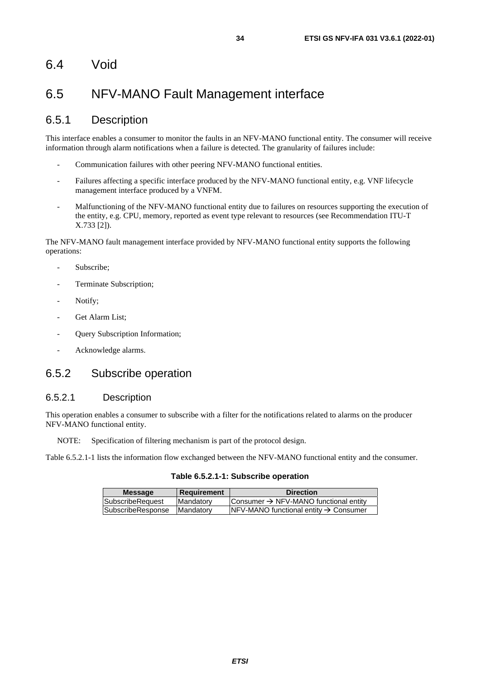# <span id="page-33-0"></span>6.4 Void

# 6.5 NFV-MANO Fault Management interface

### 6.5.1 Description

This interface enables a consumer to monitor the faults in an NFV-MANO functional entity. The consumer will receive information through alarm notifications when a failure is detected. The granularity of failures include:

- Communication failures with other peering NFV-MANO functional entities.
- Failures affecting a specific interface produced by the NFV-MANO functional entity, e.g. VNF lifecycle management interface produced by a VNFM.
- Malfunctioning of the NFV-MANO functional entity due to failures on resources supporting the execution of the entity, e.g. CPU, memory, reported as event type relevant to resources (see Recommendation ITU-T X.733 [\[2](#page-10-0)]).

The NFV-MANO fault management interface provided by NFV-MANO functional entity supports the following operations:

- Subscribe:
- Terminate Subscription;
- Notify;
- Get Alarm List;
- Query Subscription Information;
- Acknowledge alarms.

# 6.5.2 Subscribe operation

#### 6.5.2.1 Description

This operation enables a consumer to subscribe with a filter for the notifications related to alarms on the producer NFV-MANO functional entity.

NOTE: Specification of filtering mechanism is part of the protocol design.

Table 6.5.2.1-1 lists the information flow exchanged between the NFV-MANO functional entity and the consumer.

#### **Table 6.5.2.1-1: Subscribe operation**

| <b>Message</b>           | <b>Requirement</b> | <b>Direction</b>                                      |
|--------------------------|--------------------|-------------------------------------------------------|
| <b>ISubscribeRequest</b> | Mandatory          | $l$ Consumer $\rightarrow$ NFV-MANO functional entity |
| SubscribeResponse        | Mandatory          | $N$ NFV-MANO functional entity $\rightarrow$ Consumer |
|                          |                    |                                                       |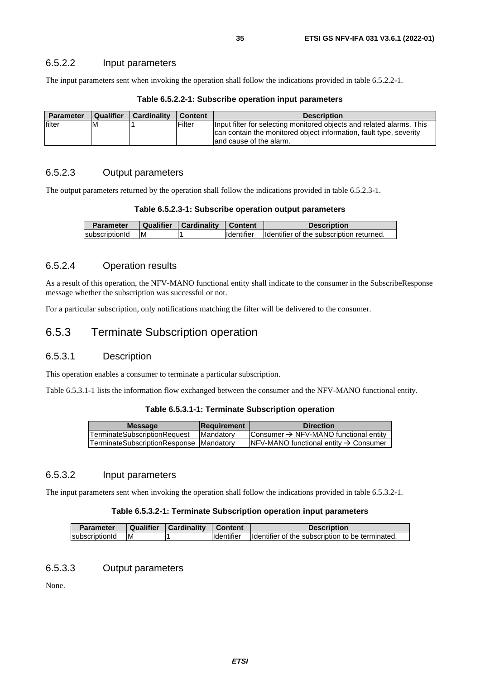<span id="page-34-0"></span>The input parameters sent when invoking the operation shall follow the indications provided in table 6.5.2.2-1.

| <b>Parameter</b> | <b>Qualifier</b> | <b>Cardinality</b> | <b>Content</b> | <b>Description</b>                                                                                                                                                     |
|------------------|------------------|--------------------|----------------|------------------------------------------------------------------------------------------------------------------------------------------------------------------------|
| filter           | м                |                    | Filter         | Input filter for selecting monitored objects and related alarms. This<br>can contain the monitored object information, fault type, severity<br>and cause of the alarm. |

**Table 6.5.2.2-1: Subscribe operation input parameters** 

#### 6.5.2.3 Output parameters

The output parameters returned by the operation shall follow the indications provided in table 6.5.2.3-1.

| Table 6.5.2.3-1: Subscribe operation output parameters |  |  |
|--------------------------------------------------------|--|--|
|--------------------------------------------------------|--|--|

| <b>Parameter</b> | Qualifier | Cardinality | Content           | <b>Description</b>                       |
|------------------|-----------|-------------|-------------------|------------------------------------------|
| subscriptionId   | ΙM        |             | <b>Identifier</b> | Identifier of the subscription returned. |

#### 6.5.2.4 Operation results

As a result of this operation, the NFV-MANO functional entity shall indicate to the consumer in the SubscribeResponse message whether the subscription was successful or not.

For a particular subscription, only notifications matching the filter will be delivered to the consumer.

### 6.5.3 Terminate Subscription operation

#### 6.5.3.1 Description

This operation enables a consumer to terminate a particular subscription.

Table 6.5.3.1-1 lists the information flow exchanged between the consumer and the NFV-MANO functional entity.

| Table 6.5.3.1-1: Terminate Subscription operation |
|---------------------------------------------------|
|                                                   |

| <b>Message</b>                          | <b>Requirement</b> | <b>Direction</b>                                      |
|-----------------------------------------|--------------------|-------------------------------------------------------|
| <b>TerminateSubscriptionRequest</b>     | <b>Mandatory</b>   | Consumer $\rightarrow$ NFV-MANO functional entity     |
| TerminateSubscriptionResponse Mandatory |                    | $N$ NFV-MANO functional entity $\rightarrow$ Consumer |
|                                         |                    |                                                       |

#### 6.5.3.2 Input parameters

The input parameters sent when invoking the operation shall follow the indications provided in table 6.5.3.2-1.

#### **Table 6.5.3.2-1: Terminate Subscription operation input parameters**

| <b>Parameter</b>       | Qualifier | Cardinality | Content            | <b>Description</b>                                |
|------------------------|-----------|-------------|--------------------|---------------------------------------------------|
| <b>IsubscriptionId</b> | ΙM        |             | <b>Ildentifier</b> | Ildentifier of the subscription to be terminated. |

#### 6.5.3.3 Output parameters

None.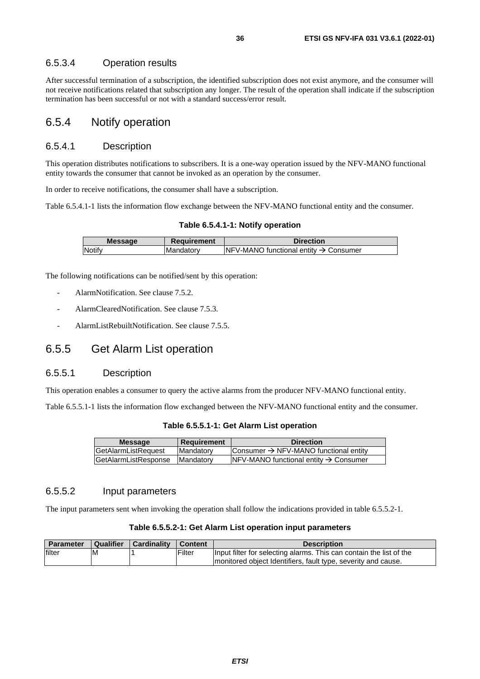#### <span id="page-35-0"></span>6.5.3.4 Operation results

After successful termination of a subscription, the identified subscription does not exist anymore, and the consumer will not receive notifications related that subscription any longer. The result of the operation shall indicate if the subscription termination has been successful or not with a standard success/error result.

### 6.5.4 Notify operation

#### 6.5.4.1 Description

This operation distributes notifications to subscribers. It is a one-way operation issued by the NFV-MANO functional entity towards the consumer that cannot be invoked as an operation by the consumer.

In order to receive notifications, the consumer shall have a subscription.

Table 6.5.4.1-1 lists the information flow exchange between the NFV-MANO functional entity and the consumer.

**Table 6.5.4.1-1: Notify operation** 

| <b>Message</b> | Requirement | <b>Direction</b>                                     |
|----------------|-------------|------------------------------------------------------|
| <b>Notify</b>  | IMandatorv  | $NFV$ -MANO functional entity $\rightarrow$ Consumer |
|                |             |                                                      |

The following notifications can be notified/sent by this operation:

- AlarmNotification. See clause 7.5.2.
- AlarmClearedNotification. See clause 7.5.3.
- AlarmListRebuiltNotification. See clause 7.5.5.

# 6.5.5 Get Alarm List operation

#### 6.5.5.1 Description

This operation enables a consumer to query the active alarms from the producer NFV-MANO functional entity.

Table 6.5.5.1-1 lists the information flow exchanged between the NFV-MANO functional entity and the consumer.

**Table 6.5.5.1-1: Get Alarm List operation** 

| <b>Message</b>             | <b>Requirement</b> | <b>Direction</b>                                      |
|----------------------------|--------------------|-------------------------------------------------------|
| <b>GetAlarmListRequest</b> | <b>IMandatory</b>  | Consumer $\rightarrow$ NFV-MANO functional entity     |
| GetAlarmListResponse       | Mandatory          | $N$ NFV-MANO functional entity $\rightarrow$ Consumer |
|                            |                    |                                                       |

#### 6.5.5.2 Input parameters

The input parameters sent when invoking the operation shall follow the indications provided in table 6.5.5.2-1.

#### **Table 6.5.5.2-1: Get Alarm List operation input parameters**

| <b>Parameter</b> |   | Qualifier   Cardinality | Content | <b>Description</b>                                                  |
|------------------|---|-------------------------|---------|---------------------------------------------------------------------|
| <b>filter</b>    | M |                         | Filter  | Input filter for selecting alarms. This can contain the list of the |
|                  |   |                         |         | monitored object Identifiers, fault type, severity and cause.       |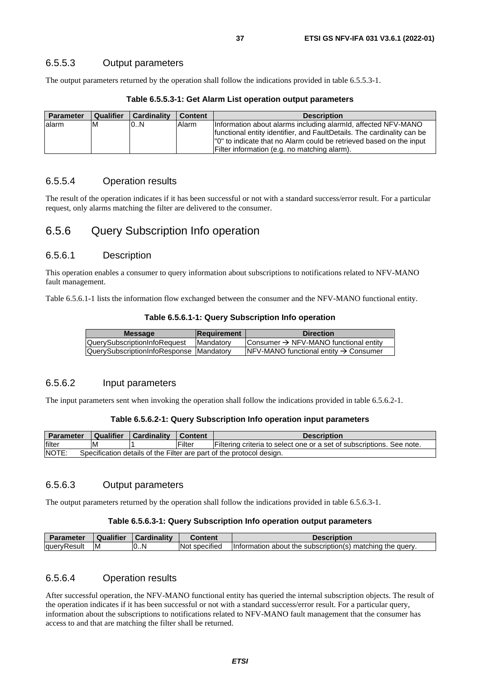#### 6.5.5.3 Output parameters

The output parameters returned by the operation shall follow the indications provided in table 6.5.5.3-1.

| <b>Parameter</b> | Qualifier | <b>Cardinality</b> | <b>Content</b> | <b>Description</b>                                                     |
|------------------|-----------|--------------------|----------------|------------------------------------------------------------------------|
| lalarm           | ΙM        | 0.N                | Alarm          | Information about alarms including alarmid, affected NFV-MANO          |
|                  |           |                    |                | functional entity identifier, and FaultDetails. The cardinality can be |
|                  |           |                    |                | "0" to indicate that no Alarm could be retrieved based on the input    |
|                  |           |                    |                | Filter information (e.g. no matching alarm).                           |

**Table 6.5.5.3-1: Get Alarm List operation output parameters** 

#### 6.5.5.4 Operation results

The result of the operation indicates if it has been successful or not with a standard success/error result. For a particular request, only alarms matching the filter are delivered to the consumer.

## 6.5.6 Query Subscription Info operation

#### 6.5.6.1 Description

This operation enables a consumer to query information about subscriptions to notifications related to NFV-MANO fault management.

Table 6.5.6.1-1 lists the information flow exchanged between the consumer and the NFV-MANO functional entity.

| <b>Message</b>                          | <b>Requirement</b> | <b>Direction</b>                                      |
|-----------------------------------------|--------------------|-------------------------------------------------------|
| <b>QuerySubscriptionInfoRequest</b>     | Mandatory          | Consumer $\rightarrow$ NFV-MANO functional entity     |
| QuerySubscriptionInfoResponse Mandatory |                    | $N$ NFV-MANO functional entity $\rightarrow$ Consumer |
|                                         |                    |                                                       |

#### 6.5.6.2 Input parameters

The input parameters sent when invoking the operation shall follow the indications provided in table 6.5.6.2-1.

#### **Table 6.5.6.2-1: Query Subscription Info operation input parameters**

| <b>Parameter</b> | Qualifier                                                            | <b>Cardinality</b> | <b>Content</b> | <b>Description</b>                                                    |
|------------------|----------------------------------------------------------------------|--------------------|----------------|-----------------------------------------------------------------------|
| filter           | M                                                                    |                    | <b>Filter</b>  | Filtering criteria to select one or a set of subscriptions. See note. |
| <b>NOTE:</b>     | Specification details of the Filter are part of the protocol design. |                    |                |                                                                       |

#### 6.5.6.3 Output parameters

The output parameters returned by the operation shall follow the indications provided in table 6.5.6.3-1.

#### **Table 6.5.6.3-1: Query Subscription Info operation output parameters**

| <b>Parameter</b> | Qualifier | <b>Cardinality</b> | Content                    | <b>Description</b>                                        |
|------------------|-----------|--------------------|----------------------------|-----------------------------------------------------------|
| queryResult      | ΙM        | 10N                | $\cdots$<br>INot specified | lnformation about the subscription(s) matching the query. |

#### 6.5.6.4 Operation results

After successful operation, the NFV-MANO functional entity has queried the internal subscription objects. The result of the operation indicates if it has been successful or not with a standard success/error result. For a particular query, information about the subscriptions to notifications related to NFV-MANO fault management that the consumer has access to and that are matching the filter shall be returned.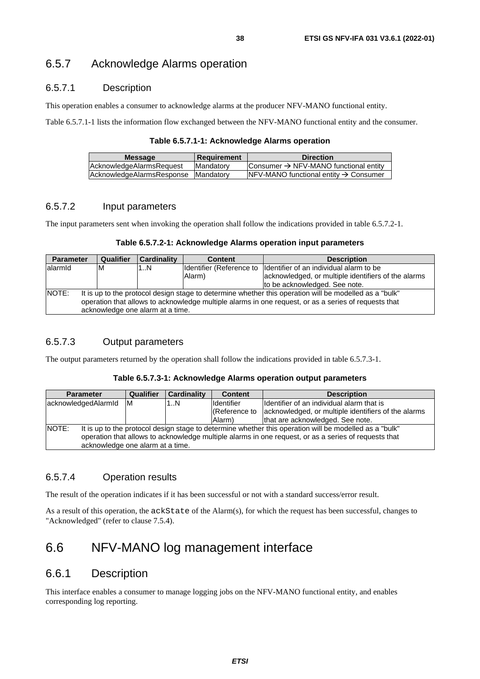# 6.5.7 Acknowledge Alarms operation

#### 6.5.7.1 Description

This operation enables a consumer to acknowledge alarms at the producer NFV-MANO functional entity.

Table 6.5.7.1-1 lists the information flow exchanged between the NFV-MANO functional entity and the consumer.

#### **Table 6.5.7.1-1: Acknowledge Alarms operation**

| <b>Message</b>                      | Requirement | <b>Direction</b>                                      |
|-------------------------------------|-------------|-------------------------------------------------------|
| AcknowledgeAlarmsRequest            | Mandatory   | Consumer $\rightarrow$ NFV-MANO functional entity     |
| AcknowledgeAlarmsResponse Mandatory |             | $N$ NFV-MANO functional entity $\rightarrow$ Consumer |
|                                     |             |                                                       |

#### 6.5.7.2 Input parameters

The input parameters sent when invoking the operation shall follow the indications provided in table 6.5.7.2-1.

#### **Table 6.5.7.2-1: Acknowledge Alarms operation input parameters**

| <b>Parameter</b> |                                                                                                        | Qualifier | <b>Cardinality</b> | <b>Content</b> | <b>Description</b>                                                |  |
|------------------|--------------------------------------------------------------------------------------------------------|-----------|--------------------|----------------|-------------------------------------------------------------------|--|
| alarmid          |                                                                                                        | ΙM        | $\mathsf{N}$ .     |                | Identifier (Reference to Ildentifier of an individual alarm to be |  |
|                  |                                                                                                        |           |                    | Alarm)         | acknowledged, or multiple identifiers of the alarms               |  |
|                  |                                                                                                        |           |                    |                | to be acknowledged. See note.                                     |  |
| NOTE:            | It is up to the protocol design stage to determine whether this operation will be modelled as a "bulk" |           |                    |                |                                                                   |  |
|                  | operation that allows to acknowledge multiple alarms in one request, or as a series of requests that   |           |                    |                |                                                                   |  |
|                  | acknowledge one alarm at a time.                                                                       |           |                    |                |                                                                   |  |

## 6.5.7.3 Output parameters

The output parameters returned by the operation shall follow the indications provided in table 6.5.7.3-1.

#### **Table 6.5.7.3-1: Acknowledge Alarms operation output parameters**

| <b>Parameter</b>                                                                                     | <b>Qualifier</b>                                                                                       | <b>Cardinality</b> | <b>Content</b>     | <b>Description</b>                                  |  |
|------------------------------------------------------------------------------------------------------|--------------------------------------------------------------------------------------------------------|--------------------|--------------------|-----------------------------------------------------|--|
| acknowledgedAlarmId                                                                                  | <b>M</b>                                                                                               | 1N                 | <b>I</b> dentifier | Identifier of an individual alarm that is           |  |
|                                                                                                      |                                                                                                        |                    | (Reference to      | acknowledged, or multiple identifiers of the alarms |  |
|                                                                                                      |                                                                                                        |                    | Alarm)             | that are acknowledged. See note.                    |  |
| NOTE:                                                                                                | It is up to the protocol design stage to determine whether this operation will be modelled as a "bulk" |                    |                    |                                                     |  |
| operation that allows to acknowledge multiple alarms in one request, or as a series of requests that |                                                                                                        |                    |                    |                                                     |  |
|                                                                                                      | acknowledge one alarm at a time.                                                                       |                    |                    |                                                     |  |

### 6.5.7.4 Operation results

The result of the operation indicates if it has been successful or not with a standard success/error result.

As a result of this operation, the ackState of the Alarm(s), for which the request has been successful, changes to "Acknowledged" (refer to clause 7.5.4).

# 6.6 NFV-MANO log management interface

## 6.6.1 Description

This interface enables a consumer to manage logging jobs on the NFV-MANO functional entity, and enables corresponding log reporting.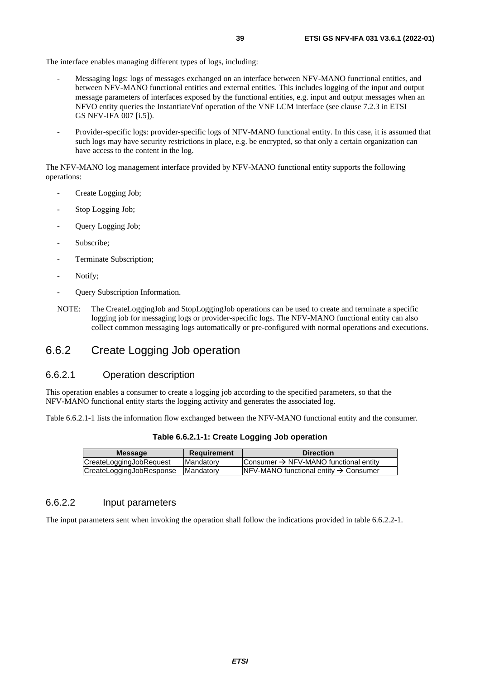The interface enables managing different types of logs, including:

- Messaging logs: logs of messages exchanged on an interface between NFV-MANO functional entities, and between NFV-MANO functional entities and external entities. This includes logging of the input and output message parameters of interfaces exposed by the functional entities, e.g. input and output messages when an NFVO entity queries the InstantiateVnf operation of the VNF LCM interface (see clause 7.2.3 in ETSI GS NFV-IFA 007 [[i.5\]](#page-11-0)).
- Provider-specific logs: provider-specific logs of NFV-MANO functional entity. In this case, it is assumed that such logs may have security restrictions in place, e.g. be encrypted, so that only a certain organization can have access to the content in the log.

The NFV-MANO log management interface provided by NFV-MANO functional entity supports the following operations:

- Create Logging Job;
- Stop Logging Job;
- Ouery Logging Job;
- Subscribe;
- Terminate Subscription;
- Notify;
- Query Subscription Information.
- NOTE: The CreateLoggingJob and StopLoggingJob operations can be used to create and terminate a specific logging job for messaging logs or provider-specific logs. The NFV-MANO functional entity can also collect common messaging logs automatically or pre-configured with normal operations and executions.

## 6.6.2 Create Logging Job operation

#### 6.6.2.1 Operation description

This operation enables a consumer to create a logging job according to the specified parameters, so that the NFV-MANO functional entity starts the logging activity and generates the associated log.

Table 6.6.2.1-1 lists the information flow exchanged between the NFV-MANO functional entity and the consumer.

| <b>Message</b>           | <b>Requirement</b> | <b>Direction</b>                                      |
|--------------------------|--------------------|-------------------------------------------------------|
| CreateLoggingJobRequest  | <b>IMandatory</b>  | Consumer $\rightarrow$ NFV-MANO functional entity     |
| CreateLoggingJobResponse | Mandatory          | $N$ NFV-MANO functional entity $\rightarrow$ Consumer |
|                          |                    |                                                       |

#### **Table 6.6.2.1-1: Create Logging Job operation**

### 6.6.2.2 Input parameters

The input parameters sent when invoking the operation shall follow the indications provided in table 6.6.2.2-1.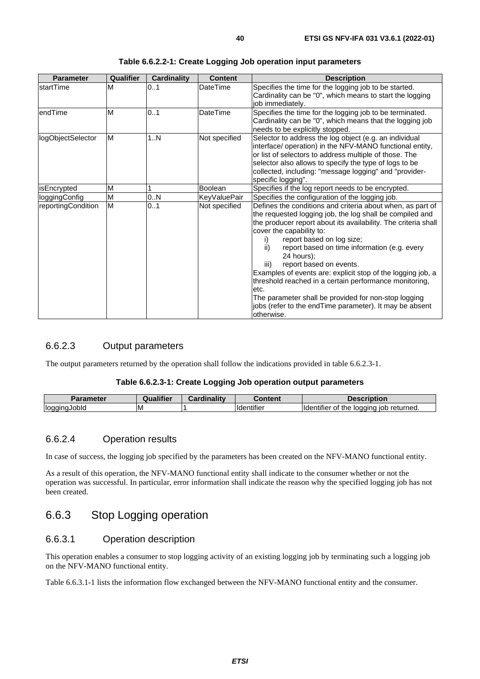| <b>Parameter</b>   | Qualifier | <b>Cardinality</b> | <b>Content</b>  | <b>Description</b>                                                                                                                                                                                                                                                                                                                                                                                                                                                                                                                                                                                                                   |
|--------------------|-----------|--------------------|-----------------|--------------------------------------------------------------------------------------------------------------------------------------------------------------------------------------------------------------------------------------------------------------------------------------------------------------------------------------------------------------------------------------------------------------------------------------------------------------------------------------------------------------------------------------------------------------------------------------------------------------------------------------|
| startTime          | M         | 0.1                | DateTime        | Specifies the time for the logging job to be started.<br>Cardinality can be "0", which means to start the logging<br>job immediately.                                                                                                                                                                                                                                                                                                                                                                                                                                                                                                |
| endTime            | M         | 0.1                | <b>DateTime</b> | Specifies the time for the logging job to be terminated.<br>Cardinality can be "0", which means that the logging job<br>needs to be explicitly stopped.                                                                                                                                                                                                                                                                                                                                                                                                                                                                              |
| logObjectSelector  | M         | 1N                 | Not specified   | Selector to address the log object (e.g. an individual<br>interface/ operation) in the NFV-MANO functional entity,<br>or list of selectors to address multiple of those. The<br>selector also allows to specify the type of logs to be<br>collected, including: "message logging" and "provider-<br>specific logging".                                                                                                                                                                                                                                                                                                               |
| isEncrypted        | M         |                    | <b>Boolean</b>  | Specifies if the log report needs to be encrypted.                                                                                                                                                                                                                                                                                                                                                                                                                                                                                                                                                                                   |
| loggingConfig      | M         | 0.N                | KeyValuePair    | Specifies the configuration of the logging job.                                                                                                                                                                                                                                                                                                                                                                                                                                                                                                                                                                                      |
| reportingCondition | M         | 0.1                | Not specified   | Defines the conditions and criteria about when, as part of<br>the requested logging job, the log shall be compiled and<br>the producer report about its availability. The criteria shall<br>cover the capability to:<br>report based on log size;<br>i)<br>ii)<br>report based on time information (e.g. every<br>$24$ hours);<br>report based on events.<br>iii)<br>Examples of events are: explicit stop of the logging job, a<br>threshold reached in a certain performance monitoring,<br>letc.<br>The parameter shall be provided for non-stop logging<br>jobs (refer to the endTime parameter). It may be absent<br>otherwise. |

**Table 6.6.2.2-1: Create Logging Job operation input parameters** 

## 6.6.2.3 Output parameters

The output parameters returned by the operation shall follow the indications provided in table 6.6.2.3-1.

#### **Table 6.6.2.3-1: Create Logging Job operation output parameters**

| Parameter    | Qualifier | $\blacksquare$<br>Cardinality | Content                        | <b>Description</b>                                   |
|--------------|-----------|-------------------------------|--------------------------------|------------------------------------------------------|
| loggingJobld | ΙM        |                               | $\cdots$<br><b>I</b> dentifier | r of the loaaina iob returned.<br><b>Ildentifier</b> |

#### 6.6.2.4 Operation results

In case of success, the logging job specified by the parameters has been created on the NFV-MANO functional entity.

As a result of this operation, the NFV-MANO functional entity shall indicate to the consumer whether or not the operation was successful. In particular, error information shall indicate the reason why the specified logging job has not been created.

# 6.6.3 Stop Logging operation

#### 6.6.3.1 Operation description

This operation enables a consumer to stop logging activity of an existing logging job by terminating such a logging job on the NFV-MANO functional entity.

Table 6.6.3.1-1 lists the information flow exchanged between the NFV-MANO functional entity and the consumer.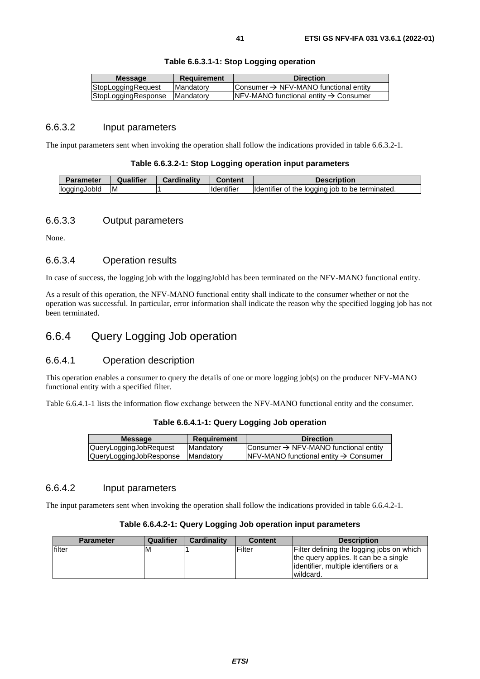#### **Table 6.6.3.1-1: Stop Logging operation**

| <b>Message</b>      | <b>Requirement</b> | <b>Direction</b>                                      |
|---------------------|--------------------|-------------------------------------------------------|
| StopLoggingRequest  | Mandatory          | $l$ Consumer $\rightarrow$ NFV-MANO functional entity |
| StopLoggingResponse | <b>IMandatory</b>  | $N$ NFV-MANO functional entity $\rightarrow$ Consumer |
|                     |                    |                                                       |

#### 6.6.3.2 Input parameters

The input parameters sent when invoking the operation shall follow the indications provided in table 6.6.3.2-1.

#### **Table 6.6.3.2-1: Stop Logging operation input parameters**

| Parameter    | Qualifier | Cardinality | Content    | Description                                     |
|--------------|-----------|-------------|------------|-------------------------------------------------|
| loggingJobld | ιм        |             | Hdentifier | Identifier of the logging job to be terminated. |

#### 6.6.3.3 Output parameters

None.

#### 6.6.3.4 Operation results

In case of success, the logging job with the loggingJobId has been terminated on the NFV-MANO functional entity.

As a result of this operation, the NFV-MANO functional entity shall indicate to the consumer whether or not the operation was successful. In particular, error information shall indicate the reason why the specified logging job has not been terminated.

## 6.6.4 Query Logging Job operation

#### 6.6.4.1 Operation description

This operation enables a consumer to query the details of one or more logging job(s) on the producer NFV-MANO functional entity with a specified filter.

Table 6.6.4.1-1 lists the information flow exchange between the NFV-MANO functional entity and the consumer.

#### **Table 6.6.4.1-1: Query Logging Job operation**

| <b>Message</b>          | <b>Requirement</b> | <b>Direction</b>                                      |
|-------------------------|--------------------|-------------------------------------------------------|
| QueryLoggingJobRequest  | Mandatory          | Consumer $\rightarrow$ NFV-MANO functional entity     |
| QueryLoggingJobResponse | Mandatory          | $N$ NFV-MANO functional entity $\rightarrow$ Consumer |
|                         |                    |                                                       |

#### 6.6.4.2 Input parameters

The input parameters sent when invoking the operation shall follow the indications provided in table 6.6.4.2-1.

#### **Table 6.6.4.2-1: Query Logging Job operation input parameters**

| <b>Parameter</b> | Qualifier | <b>Cardinality</b> | <b>Content</b> | <b>Description</b>                        |
|------------------|-----------|--------------------|----------------|-------------------------------------------|
| lfilter          | M         |                    | Filter         | Filter defining the logging jobs on which |
|                  |           |                    |                | the query applies. It can be a single     |
|                  |           |                    |                | lidentifier, multiple identifiers or a    |
|                  |           |                    |                | wildcard.                                 |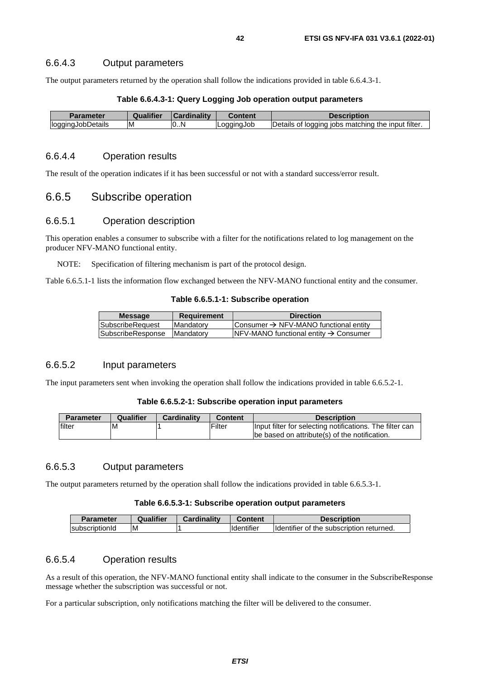The output parameters returned by the operation shall follow the indications provided in table 6.6.4.3-1.

| <b>Parameter</b>  | Qualifier | <b>Cardinality</b> | Content    | <b>Description</b>                                      |
|-------------------|-----------|--------------------|------------|---------------------------------------------------------|
| loggingJobDetails | IM.       | 10N                | LoggingJob | s of logging jobs matching the input filter.<br>Details |

#### **Table 6.6.4.3-1: Query Logging Job operation output parameters**

#### 6.6.4.4 Operation results

The result of the operation indicates if it has been successful or not with a standard success/error result.

## 6.6.5 Subscribe operation

#### 6.6.5.1 Operation description

This operation enables a consumer to subscribe with a filter for the notifications related to log management on the producer NFV-MANO functional entity.

NOTE: Specification of filtering mechanism is part of the protocol design.

Table 6.6.5.1-1 lists the information flow exchanged between the NFV-MANO functional entity and the consumer.

#### **Table 6.6.5.1-1: Subscribe operation**

| <b>Message</b>          | <b>Requirement</b> | <b>Direction</b>                                      |
|-------------------------|--------------------|-------------------------------------------------------|
| <b>SubscribeRequest</b> | Mandatory          | $l$ Consumer $\rightarrow$ NFV-MANO functional entity |
| SubscribeResponse       | <b>IMandatory</b>  | $N$ NFV-MANO functional entity $\rightarrow$ Consumer |
|                         |                    |                                                       |

#### 6.6.5.2 Input parameters

The input parameters sent when invoking the operation shall follow the indications provided in table 6.6.5.2-1.

#### **Table 6.6.5.2-1: Subscribe operation input parameters**

| Parameter | Qualifier | Cardinality | <b>Content</b> | <b>Description</b>                                       |
|-----------|-----------|-------------|----------------|----------------------------------------------------------|
| lfilter   | ΙM        |             | Filter         | Input filter for selecting notifications. The filter can |
|           |           |             |                | be based on attribute(s) of the notification.            |

#### 6.6.5.3 Output parameters

The output parameters returned by the operation shall follow the indications provided in table 6.6.5.3-1.

#### **Table 6.6.5.3-1: Subscribe operation output parameters**

| Parameter              | Qualifier | Cardinalitv | Content           | Description                              |
|------------------------|-----------|-------------|-------------------|------------------------------------------|
| <b>IsubscriptionId</b> | ΙM        |             | <b>identifier</b> | Identifier of the subscription returned. |

#### 6.6.5.4 Operation results

As a result of this operation, the NFV-MANO functional entity shall indicate to the consumer in the SubscribeResponse message whether the subscription was successful or not.

For a particular subscription, only notifications matching the filter will be delivered to the consumer.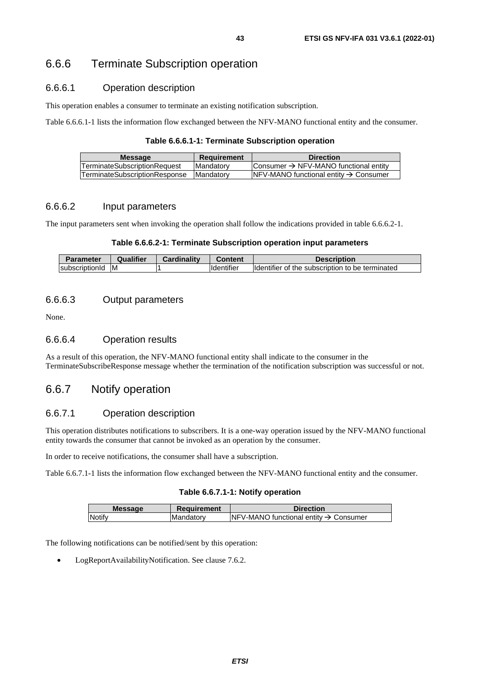### 6.6.6.1 Operation description

This operation enables a consumer to terminate an existing notification subscription.

Table 6.6.6.1-1 lists the information flow exchanged between the NFV-MANO functional entity and the consumer.

#### **Table 6.6.6.1-1: Terminate Subscription operation**

| <b>Message</b>                | <b>Requirement</b> | <b>Direction</b>                                      |
|-------------------------------|--------------------|-------------------------------------------------------|
| TerminateSubscriptionRequest  | <b>IMandatory</b>  | Consumer $\rightarrow$ NFV-MANO functional entity     |
| TerminateSubscriptionResponse | Mandatory          | $N$ NFV-MANO functional entity $\rightarrow$ Consumer |
|                               |                    |                                                       |

#### 6.6.6.2 Input parameters

The input parameters sent when invoking the operation shall follow the indications provided in table 6.6.6.2-1.

#### **Table 6.6.6.2-1: Terminate Subscription operation input parameters**

| Parameter              | Qualifier | Cardinality | Content    | <b>Description</b>                               |
|------------------------|-----------|-------------|------------|--------------------------------------------------|
| <b>IsubscriptionId</b> | ΙM        |             | Identifier | Ildentifier of the subscription to be terminated |

### 6.6.6.3 Output parameters

None.

### 6.6.6.4 Operation results

As a result of this operation, the NFV-MANO functional entity shall indicate to the consumer in the TerminateSubscribeResponse message whether the termination of the notification subscription was successful or not.

## 6.6.7 Notify operation

### 6.6.7.1 Operation description

This operation distributes notifications to subscribers. It is a one-way operation issued by the NFV-MANO functional entity towards the consumer that cannot be invoked as an operation by the consumer.

In order to receive notifications, the consumer shall have a subscription.

Table 6.6.7.1-1 lists the information flow exchanged between the NFV-MANO functional entity and the consumer.

#### **Table 6.6.7.1-1: Notify operation**

| <b>Message</b> | Requirement | <b>Direction</b>                                      |
|----------------|-------------|-------------------------------------------------------|
| Notify         | IMandatorv  | $N$ NFV-MANO functional entity $\rightarrow$ Consumer |
|                |             |                                                       |

The following notifications can be notified/sent by this operation:

• LogReportAvailabilityNotification. See clause 7.6.2.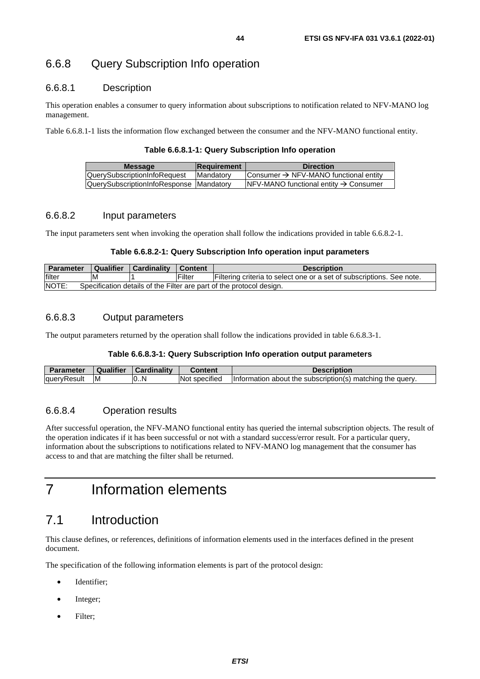# 6.6.8 Query Subscription Info operation

#### 6.6.8.1 Description

This operation enables a consumer to query information about subscriptions to notification related to NFV-MANO log management.

Table 6.6.8.1-1 lists the information flow exchanged between the consumer and the NFV-MANO functional entity.

**Table 6.6.8.1-1: Query Subscription Info operation** 

| <b>Message</b>                          | <b>Requirement</b> | <b>Direction</b>                                      |
|-----------------------------------------|--------------------|-------------------------------------------------------|
| <b>QuerySubscriptionInfoRequest</b>     | Mandatory          | $l$ Consumer $\rightarrow$ NFV-MANO functional entity |
| QuerySubscriptionInfoResponse Mandatory |                    | $N$ NFV-MANO functional entity $\rightarrow$ Consumer |
|                                         |                    |                                                       |

#### 6.6.8.2 Input parameters

The input parameters sent when invoking the operation shall follow the indications provided in table 6.6.8.2-1.

#### **Table 6.6.8.2-1: Query Subscription Info operation input parameters**

| <b>Parameter</b>                                                                     | Qualifier | <b>Cardinality</b> | Content | <b>Description</b>                                                    |  |
|--------------------------------------------------------------------------------------|-----------|--------------------|---------|-----------------------------------------------------------------------|--|
| filter                                                                               | <b>M</b>  |                    | Filter  | Filtering criteria to select one or a set of subscriptions. See note. |  |
| <b>NOTE:</b><br>Specification details of the Filter are part of the protocol design. |           |                    |         |                                                                       |  |

### 6.6.8.3 Output parameters

The output parameters returned by the operation shall follow the indications provided in table 6.6.8.3-1.

#### **Table 6.6.8.3-1: Query Subscription Info operation output parameters**

| <b>Parameter</b> | <b>Vifier</b><br>Quali | `ardinality            | Content                             | Description                                                                 |
|------------------|------------------------|------------------------|-------------------------------------|-----------------------------------------------------------------------------|
| lauervResult     | ΙM                     | $\vert 0 \ldots \vert$ | $\cdots$<br><b>Not</b><br>specified | <b>Information</b><br>matching<br>about the subscription(s)<br>auerv.<br>me |

### 6.6.8.4 Operation results

After successful operation, the NFV-MANO functional entity has queried the internal subscription objects. The result of the operation indicates if it has been successful or not with a standard success/error result. For a particular query, information about the subscriptions to notifications related to NFV-MANO log management that the consumer has access to and that are matching the filter shall be returned.

# 7 Information elements

# 7.1 Introduction

This clause defines, or references, definitions of information elements used in the interfaces defined in the present document.

The specification of the following information elements is part of the protocol design:

- Identifier;
- Integer;
- Filter: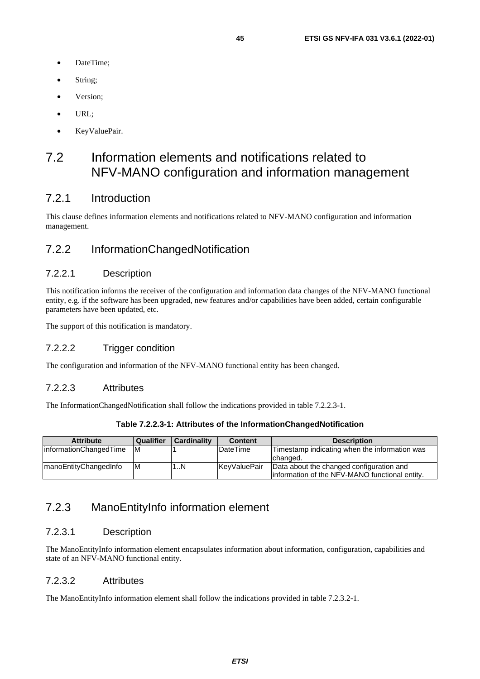- DateTime;
- String;
- Version;
- URL;
- KeyValuePair.

# 7.2 Information elements and notifications related to NFV-MANO configuration and information management

## 7.2.1 Introduction

This clause defines information elements and notifications related to NFV-MANO configuration and information management.

# 7.2.2 InformationChangedNotification

### 7.2.2.1 Description

This notification informs the receiver of the configuration and information data changes of the NFV-MANO functional entity, e.g. if the software has been upgraded, new features and/or capabilities have been added, certain configurable parameters have been updated, etc.

The support of this notification is mandatory.

## 7.2.2.2 Trigger condition

The configuration and information of the NFV-MANO functional entity has been changed.

## 7.2.2.3 Attributes

The InformationChangedNotification shall follow the indications provided in table 7.2.2.3-1.

**Table 7.2.2.3-1: Attributes of the InformationChangedNotification** 

| <b>Attribute</b>       | Qualifier | <b>Cardinality</b> | <b>Content</b> | <b>Description</b>                              |
|------------------------|-----------|--------------------|----------------|-------------------------------------------------|
| informationChangedTime | ΙM        |                    | lDateTime      | Timestamp indicating when the information was   |
|                        |           |                    |                | Ichanged.                                       |
| manoEntityChangedInfo  | ΙM        | N                  | KeyValuePair   | Data about the changed configuration and        |
|                        |           |                    |                | linformation of the NFV-MANO functional entity. |

# 7.2.3 ManoEntityInfo information element

### 7.2.3.1 Description

The ManoEntityInfo information element encapsulates information about information, configuration, capabilities and state of an NFV-MANO functional entity.

### 7.2.3.2 Attributes

The ManoEntityInfo information element shall follow the indications provided in table 7.2.3.2-1.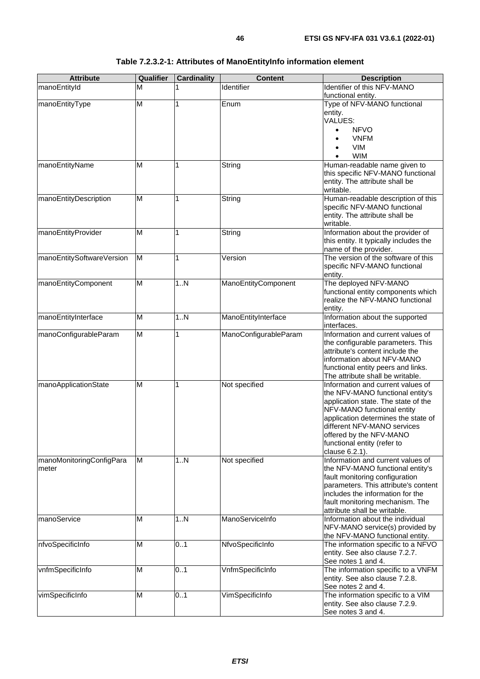| <b>Attribute</b>                  | Qualifier | <b>Cardinality</b> | <b>Content</b>        | <b>Description</b>                                                                                                                                                                                                                                                                           |
|-----------------------------------|-----------|--------------------|-----------------------|----------------------------------------------------------------------------------------------------------------------------------------------------------------------------------------------------------------------------------------------------------------------------------------------|
| manoEntityId                      | М         |                    | Identifier            | Identifier of this NFV-MANO<br>functional entity.                                                                                                                                                                                                                                            |
| manoEntityType                    | M         | 1                  | Enum                  | Type of NFV-MANO functional<br>entity.<br>VALUES:<br><b>NFVO</b><br>$\bullet$<br><b>VNFM</b><br>$\bullet$<br><b>VIM</b><br><b>WIM</b>                                                                                                                                                        |
| manoEntityName                    | M         | 1                  | String                | Human-readable name given to<br>this specific NFV-MANO functional<br>entity. The attribute shall be<br>writable.                                                                                                                                                                             |
| manoEntityDescription             | M         | 1                  | String                | Human-readable description of this<br>specific NFV-MANO functional<br>entity. The attribute shall be<br>writable.                                                                                                                                                                            |
| manoEntityProvider                | M         | 1                  | String                | Information about the provider of<br>this entity. It typically includes the<br>name of the provider.                                                                                                                                                                                         |
| manoEntitySoftwareVersion         | M         | 1                  | Version               | The version of the software of this<br>specific NFV-MANO functional<br>entity.                                                                                                                                                                                                               |
| manoEntityComponent               | M         | 1N                 | ManoEntityComponent   | The deployed NFV-MANO<br>functional entity components which<br>realize the NFV-MANO functional<br>entity.                                                                                                                                                                                    |
| manoEntityInterface               | M         | 1N                 | ManoEntityInterface   | Information about the supported<br>interfaces.                                                                                                                                                                                                                                               |
| manoConfigurableParam             | M         | 1                  | ManoConfigurableParam | Information and current values of<br>the configurable parameters. This<br>attribute's content include the<br>information about NFV-MANO<br>functional entity peers and links.<br>The attribute shall be writable.                                                                            |
| manoApplicationState              | M         | 1                  | Not specified         | Information and current values of<br>the NFV-MANO functional entity's<br>application state. The state of the<br>NFV-MANO functional entity<br>application determines the state of<br>different NFV-MANO services<br>offered by the NFV-MANO<br>functional entity (refer to<br>clause 6.2.1). |
| manoMonitoringConfigPara<br>meter | M         | 1N                 | Not specified         | Information and current values of<br>the NFV-MANO functional entity's<br>fault monitoring configuration<br>parameters. This attribute's content<br>includes the information for the<br>fault monitoring mechanism. The<br>attribute shall be writable.                                       |
| manoService                       | M         | 1N                 | ManoServiceInfo       | Information about the individual<br>NFV-MANO service(s) provided by<br>the NFV-MANO functional entity.                                                                                                                                                                                       |
| nfvoSpecificInfo                  | M         | 0.1                | NfvoSpecificInfo      | The information specific to a NFVO<br>entity. See also clause 7.2.7.<br>See notes 1 and 4.                                                                                                                                                                                                   |
| vnfmSpecificInfo                  | M         | 0.1                | VnfmSpecificInfo      | The information specific to a VNFM<br>entity. See also clause 7.2.8.<br>See notes 2 and 4.                                                                                                                                                                                                   |
| vimSpecificInfo                   | M         | 0.1                | VimSpecificInfo       | The information specific to a VIM<br>entity. See also clause 7.2.9.<br>See notes 3 and 4.                                                                                                                                                                                                    |

## **Table 7.2.3.2-1: Attributes of ManoEntityInfo information element**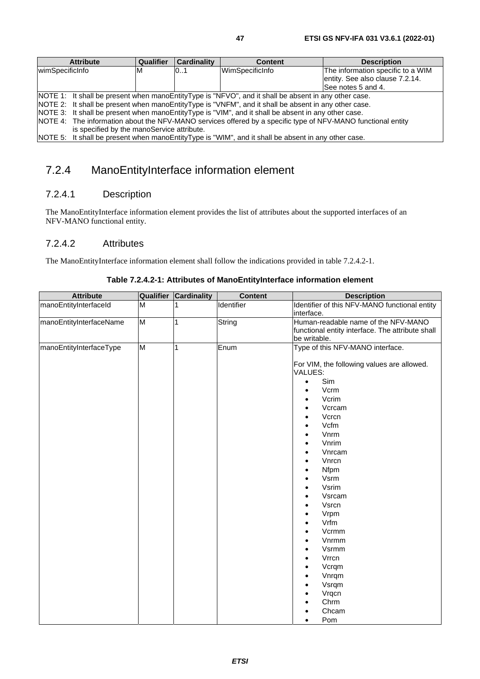| <b>Attribute</b>                                                                                                                                           | <b>Qualifier</b>                                                                                     | <b>Cardinality</b> | <b>Content</b>                                                                                      | <b>Description</b>                                                   |  |  |  |
|------------------------------------------------------------------------------------------------------------------------------------------------------------|------------------------------------------------------------------------------------------------------|--------------------|-----------------------------------------------------------------------------------------------------|----------------------------------------------------------------------|--|--|--|
| wimSpecificInfo                                                                                                                                            | IМ                                                                                                   | 101                | WimSpecificInfo                                                                                     | The information specific to a WIM<br>entity. See also clause 7.2.14. |  |  |  |
|                                                                                                                                                            | See notes 5 and 4.                                                                                   |                    |                                                                                                     |                                                                      |  |  |  |
|                                                                                                                                                            | NOTE 1: It shall be present when manoEntityType is "NFVO", and it shall be absent in any other case. |                    |                                                                                                     |                                                                      |  |  |  |
|                                                                                                                                                            | NOTE 2: It shall be present when manoEntityType is "VNFM", and it shall be absent in any other case. |                    |                                                                                                     |                                                                      |  |  |  |
| NOTE 3: It shall be present when manoEntityType is "VIM", and it shall be absent in any other case.                                                        |                                                                                                      |                    |                                                                                                     |                                                                      |  |  |  |
| NOTE 4: The information about the NFV-MANO services offered by a specific type of NFV-MANO functional entity<br>is specified by the manoService attribute. |                                                                                                      |                    |                                                                                                     |                                                                      |  |  |  |
|                                                                                                                                                            |                                                                                                      |                    | NOTE 5: It shall be present when manoEntityType is "WIM", and it shall be absent in any other case. |                                                                      |  |  |  |

# 7.2.4 ManoEntityInterface information element

## 7.2.4.1 Description

The ManoEntityInterface information element provides the list of attributes about the supported interfaces of an NFV-MANO functional entity.

### 7.2.4.2 Attributes

The ManoEntityInterface information element shall follow the indications provided in table 7.2.4.2-1.

| Table 7.2.4.2-1: Attributes of ManoEntityInterface information element |
|------------------------------------------------------------------------|
|------------------------------------------------------------------------|

| <b>Attribute</b>        |   | Qualifier Cardinality | <b>Content</b> | <b>Description</b>                               |
|-------------------------|---|-----------------------|----------------|--------------------------------------------------|
| manoEntityInterfaceId   | M |                       | Identifier     | Identifier of this NFV-MANO functional entity    |
|                         |   |                       |                | interface.                                       |
| manoEntityInterfaceName | M | 1                     | String         | Human-readable name of the NFV-MANO              |
|                         |   |                       |                | functional entity interface. The attribute shall |
|                         |   |                       |                | be writable.                                     |
| manoEntityInterfaceType | M | 1                     | Enum           | Type of this NFV-MANO interface.                 |
|                         |   |                       |                | For VIM, the following values are allowed.       |
|                         |   |                       |                | <b>VALUES:</b>                                   |
|                         |   |                       |                | Sim<br>$\bullet$                                 |
|                         |   |                       |                | Vcrm                                             |
|                         |   |                       |                | Vcrim                                            |
|                         |   |                       |                | Vcrcam                                           |
|                         |   |                       |                | Vcrcn                                            |
|                         |   |                       |                | Vcfm                                             |
|                         |   |                       |                | Vnrm                                             |
|                         |   |                       |                | Vnrim                                            |
|                         |   |                       |                | Vnrcam                                           |
|                         |   |                       |                | Vnrcn                                            |
|                         |   |                       |                | Nfpm                                             |
|                         |   |                       |                | Vsrm                                             |
|                         |   |                       |                | Vsrim                                            |
|                         |   |                       |                |                                                  |
|                         |   |                       |                | Vsrcam<br>Vsrcn                                  |
|                         |   |                       |                |                                                  |
|                         |   |                       |                | Vrpm                                             |
|                         |   |                       |                | Vrfm                                             |
|                         |   |                       |                | Vcrmm                                            |
|                         |   |                       |                | Vnrmm                                            |
|                         |   |                       |                | Vsrmm                                            |
|                         |   |                       |                | Vrrcn                                            |
|                         |   |                       |                | Vcrqm                                            |
|                         |   |                       |                | Vnrqm                                            |
|                         |   |                       |                | Vsrqm                                            |
|                         |   |                       |                | Vrqcn                                            |
|                         |   |                       |                | Chrm                                             |
|                         |   |                       |                | Chcam                                            |
|                         |   |                       |                | Pom                                              |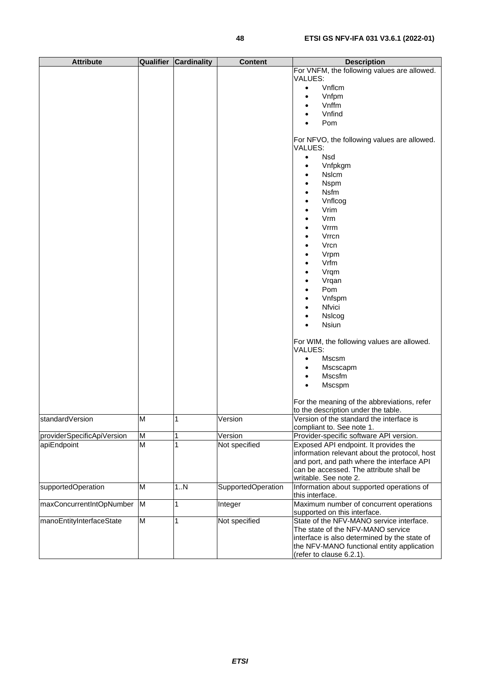| <b>Attribute</b>           |   | Qualifier Cardinality | <b>Content</b>            | <b>Description</b>                                                                                                                                                                                                                                                                                                                                                                                                                                                                                                                                                                                                                                          |
|----------------------------|---|-----------------------|---------------------------|-------------------------------------------------------------------------------------------------------------------------------------------------------------------------------------------------------------------------------------------------------------------------------------------------------------------------------------------------------------------------------------------------------------------------------------------------------------------------------------------------------------------------------------------------------------------------------------------------------------------------------------------------------------|
|                            |   |                       |                           | For VNFM, the following values are allowed.<br>VALUES:<br>Vnflcm<br>$\bullet$<br>Vnfpm<br>$\bullet$<br>Vnffm<br>Vnfind<br>Pom<br>For NFVO, the following values are allowed.<br>VALUES:<br>Nsd<br>$\bullet$<br>Vnfpkgm<br>٠<br><b>Nslcm</b><br><b>Nspm</b><br>٠<br><b>Nsfm</b><br>Vnflcog<br>Vrim<br>Vrm<br>Vrrm<br>Vrrcn<br>Vrcn<br>Vrpm<br>Vrfm<br>Vrqm<br>Vrqan<br>Pom<br>Vnfspm<br>Nfvici<br>Nslcog<br><b>Nsiun</b><br>For WIM, the following values are allowed.<br>VALUES:<br>Mscsm<br>$\bullet$<br>Mscscapm<br>٠<br>Mscsfm<br>$\bullet$<br>Mscspm<br>$\bullet$<br>For the meaning of the abbreviations, refer<br>to the description under the table. |
| standardVersion            | M | 1                     | Version                   | Version of the standard the interface is<br>compliant to. See note 1.                                                                                                                                                                                                                                                                                                                                                                                                                                                                                                                                                                                       |
| providerSpecificApiVersion | M | 1                     | Version                   | Provider-specific software API version.                                                                                                                                                                                                                                                                                                                                                                                                                                                                                                                                                                                                                     |
| apiEndpoint                | M | 1                     | Not specified             | Exposed API endpoint. It provides the<br>information relevant about the protocol, host<br>and port, and path where the interface API<br>can be accessed. The attribute shall be<br>writable. See note 2.                                                                                                                                                                                                                                                                                                                                                                                                                                                    |
| supportedOperation         | M | 1N                    | <b>SupportedOperation</b> | Information about supported operations of<br>this interface.                                                                                                                                                                                                                                                                                                                                                                                                                                                                                                                                                                                                |
| maxConcurrentIntOpNumber M |   | 1                     | Integer                   | Maximum number of concurrent operations<br>supported on this interface.                                                                                                                                                                                                                                                                                                                                                                                                                                                                                                                                                                                     |
| manoEntityInterfaceState   | M | 1                     | Not specified             | State of the NFV-MANO service interface.<br>The state of the NFV-MANO service<br>interface is also determined by the state of<br>the NFV-MANO functional entity application                                                                                                                                                                                                                                                                                                                                                                                                                                                                                 |

(refer to clause 6.2.1).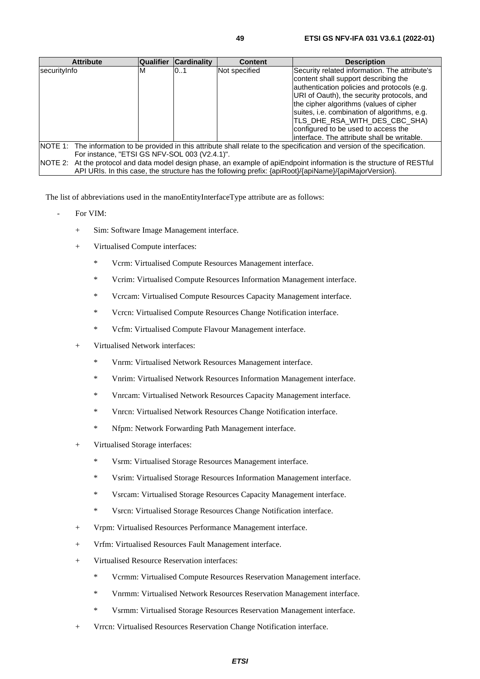| <b>Attribute</b>                              | <b>Qualifier</b> | <b>Cardinality</b> | <b>Content</b> | <b>Description</b>                                                                                                           |
|-----------------------------------------------|------------------|--------------------|----------------|------------------------------------------------------------------------------------------------------------------------------|
| securityInfo                                  | м                | 0.1                | Not specified  | Security related information. The attribute's                                                                                |
|                                               |                  |                    |                | content shall support describing the                                                                                         |
|                                               |                  |                    |                | authentication policies and protocols (e.g.                                                                                  |
|                                               |                  |                    |                | URI of Oauth), the security protocols, and                                                                                   |
|                                               |                  |                    |                | the cipher algorithms (values of cipher                                                                                      |
|                                               |                  |                    |                | suites, <i>i.e.</i> combination of algorithms, e.g.                                                                          |
|                                               |                  |                    |                | TLS_DHE_RSA_WITH_DES_CBC_SHA)                                                                                                |
|                                               |                  |                    |                | configured to be used to access the                                                                                          |
|                                               |                  |                    |                | linterface. The attribute shall be writable.                                                                                 |
|                                               |                  |                    |                | NOTE 1: The information to be provided in this attribute shall relate to the specification and version of the specification. |
| For instance, "ETSI GS NFV-SOL 003 (V2.4.1)". |                  |                    |                |                                                                                                                              |
|                                               |                  |                    |                | NOTE 2: At the protocol and data model design phase, an example of apiEndpoint information is the structure of RESTful       |
|                                               |                  |                    |                | API URIs. In this case, the structure has the following prefix: {apiRoot}/{apiName}/{apiMajorVersion}.                       |

The list of abbreviations used in the manoEntityInterfaceType attribute are as follows:

- For VIM:
	- + Sim: Software Image Management interface.
	- + Virtualised Compute interfaces:
		- \* Vcrm: Virtualised Compute Resources Management interface.
		- Vcrim: Virtualised Compute Resources Information Management interface.
		- \* Vcrcam: Virtualised Compute Resources Capacity Management interface.
		- Vcrcn: Virtualised Compute Resources Change Notification interface.
		- Vcfm: Virtualised Compute Flavour Management interface.
	- Virtualised Network interfaces:
		- \* Vnrm: Virtualised Network Resources Management interface.
		- Vnrim: Virtualised Network Resources Information Management interface.
		- Vnrcam: Virtualised Network Resources Capacity Management interface.
		- \* Vnrcn: Virtualised Network Resources Change Notification interface.
		- Nfpm: Network Forwarding Path Management interface.
	- Virtualised Storage interfaces:
		- \* Vsrm: Virtualised Storage Resources Management interface.
		- Vsrim: Virtualised Storage Resources Information Management interface.
		- Vsrcam: Virtualised Storage Resources Capacity Management interface.
		- \* Vsrcn: Virtualised Storage Resources Change Notification interface.
	- + Vrpm: Virtualised Resources Performance Management interface.
	- + Vrfm: Virtualised Resources Fault Management interface.
	- Virtualised Resource Reservation interfaces:
		- \* Vcrmm: Virtualised Compute Resources Reservation Management interface.
		- \* Vnrmm: Virtualised Network Resources Reservation Management interface.
		- Vsrmm: Virtualised Storage Resources Reservation Management interface.
	- Vrrcn: Virtualised Resources Reservation Change Notification interface.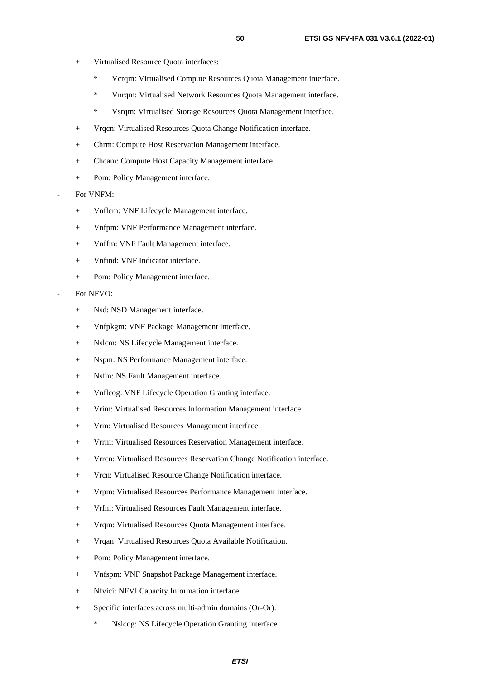- + Virtualised Resource Quota interfaces:
	- \* Vcrqm: Virtualised Compute Resources Quota Management interface.
	- Vnrqm: Virtualised Network Resources Quota Management interface.
	- Vsrqm: Virtualised Storage Resources Quota Management interface.
- + Vrqcn: Virtualised Resources Quota Change Notification interface.
- + Chrm: Compute Host Reservation Management interface.
- + Chcam: Compute Host Capacity Management interface.
- + Pom: Policy Management interface.
- For VNFM:
	- + Vnflcm: VNF Lifecycle Management interface.
	- + Vnfpm: VNF Performance Management interface.
	- + Vnffm: VNF Fault Management interface.
	- + Vnfind: VNF Indicator interface.
	- + Pom: Policy Management interface.
- For NFVO:
	- + Nsd: NSD Management interface.
	- + Vnfpkgm: VNF Package Management interface.
	- + Nslcm: NS Lifecycle Management interface.
	- + Nspm: NS Performance Management interface.
	- + Nsfm: NS Fault Management interface.
	- + Vnflcog: VNF Lifecycle Operation Granting interface.
	- + Vrim: Virtualised Resources Information Management interface.
	- + Vrm: Virtualised Resources Management interface.
	- + Vrrm: Virtualised Resources Reservation Management interface.
	- + Vrrcn: Virtualised Resources Reservation Change Notification interface.
	- + Vrcn: Virtualised Resource Change Notification interface.
	- + Vrpm: Virtualised Resources Performance Management interface.
	- + Vrfm: Virtualised Resources Fault Management interface.
	- + Vrqm: Virtualised Resources Quota Management interface.
	- + Vrqan: Virtualised Resources Quota Available Notification.
	- + Pom: Policy Management interface.
	- + Vnfspm: VNF Snapshot Package Management interface.
	- + Nfvici: NFVI Capacity Information interface.
	- + Specific interfaces across multi-admin domains (Or-Or):
		- Nslcog: NS Lifecycle Operation Granting interface.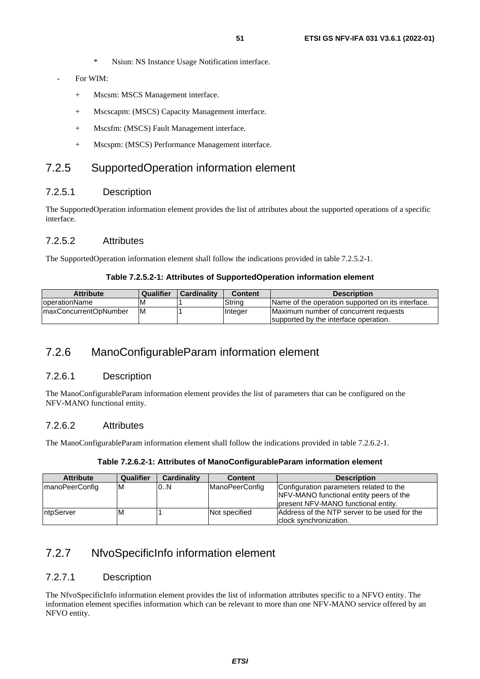- \* Nsiun: NS Instance Usage Notification interface.
- For WIM:
	- + Mscsm: MSCS Management interface.
	- + Mscscapm: (MSCS) Capacity Management interface.
	- + Mscsfm: (MSCS) Fault Management interface.
	- + Mscspm: (MSCS) Performance Management interface.

## 7.2.5 SupportedOperation information element

### 7.2.5.1 Description

The SupportedOperation information element provides the list of attributes about the supported operations of a specific interface.

#### 7.2.5.2 Attributes

The SupportedOperation information element shall follow the indications provided in table 7.2.5.2-1.

#### **Table 7.2.5.2-1: Attributes of SupportedOperation information element**

| <b>Attribute</b>      | Qualifier | <b>Cardinality</b> | <b>Content</b> | <b>Description</b>                                |
|-----------------------|-----------|--------------------|----------------|---------------------------------------------------|
| operationName         | ΙM        |                    | String         | Name of the operation supported on its interface. |
| maxConcurrentOpNumber | ΙM        |                    | Integer        | Maximum number of concurrent requests             |
|                       |           |                    |                | supported by the interface operation.             |

# 7.2.6 ManoConfigurableParam information element

#### 7.2.6.1 Description

The ManoConfigurableParam information element provides the list of parameters that can be configured on the NFV-MANO functional entity.

### 7.2.6.2 Attributes

The ManoConfigurableParam information element shall follow the indications provided in table 7.2.6.2-1.

| Table 7.2.6.2-1: Attributes of ManoConfigurableParam information element |  |  |  |  |  |  |
|--------------------------------------------------------------------------|--|--|--|--|--|--|
|--------------------------------------------------------------------------|--|--|--|--|--|--|

| <b>Attribute</b>       | Qualifier | <b>Cardinality</b> | <b>Content</b>        | <b>Description</b>                           |
|------------------------|-----------|--------------------|-----------------------|----------------------------------------------|
| <b>ImanoPeerConfig</b> | IМ        | 0.N                | <b>ManoPeerConfig</b> | Configuration parameters related to the      |
|                        |           |                    |                       | NFV-MANO functional entity peers of the      |
|                        |           |                    |                       | Ipresent NFV-MANO functional entity.         |
| ntpServer              | ΙM        |                    | Not specified         | Address of the NTP server to be used for the |
|                        |           |                    |                       | clock synchronization.                       |

# 7.2.7 NfvoSpecificInfo information element

#### 7.2.7.1 Description

The NfvoSpecificInfo information element provides the list of information attributes specific to a NFVO entity. The information element specifies information which can be relevant to more than one NFV-MANO service offered by an NFVO entity.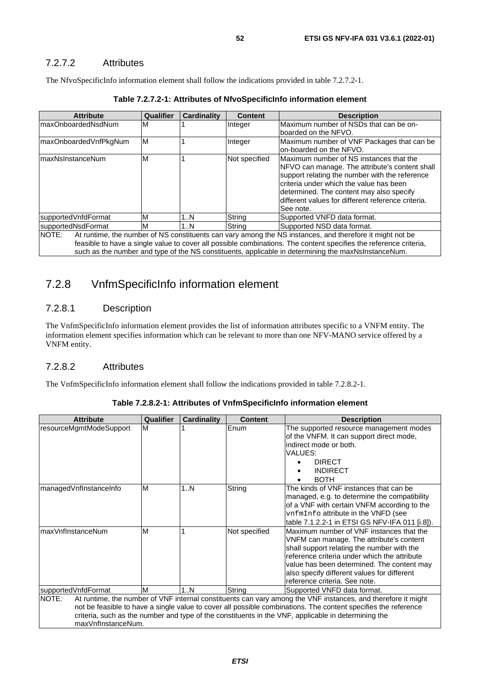## 7.2.7.2 Attributes

The NfvoSpecificInfo information element shall follow the indications provided in table 7.2.7.2-1.

| ΙM |    |               |                                                                                                                            |
|----|----|---------------|----------------------------------------------------------------------------------------------------------------------------|
|    |    | Integer       | Maximum number of NSDs that can be on-                                                                                     |
|    |    |               | lboarded on the NFVO.                                                                                                      |
| M  |    | Integer       | Maximum number of VNF Packages that can be                                                                                 |
|    |    |               | lon-boarded on the NFVO.                                                                                                   |
| M  |    | Not specified | Maximum number of NS instances that the                                                                                    |
|    |    |               | INFVO can manage. The attribute's content shall                                                                            |
|    |    |               | support relating the number with the reference                                                                             |
|    |    |               | Icriteria under which the value has been                                                                                   |
|    |    |               | determined. The content may also specify                                                                                   |
|    |    |               | different values for different reference criteria.                                                                         |
|    |    |               | See note.                                                                                                                  |
| ιM | 1N | String        | Supported VNFD data format.                                                                                                |
| ΙM | 1N |               | Supported NSD data format.                                                                                                 |
|    |    |               | At runtime, the number of NS constituents can vary among the NS instances, and therefore it might not be                   |
|    |    |               | String<br>response to have a single value to cover all possible combinations. The content specifies the reference criteria |

**Table 7.2.7.2-1: Attributes of NfvoSpecificInfo information element** 

feasible to have a single value to cover all possible combinations. The content specifies the reference criteria, such as the number and type of the NS constituents, applicable in determining the maxNsInstanceNum.

# 7.2.8 VnfmSpecificInfo information element

## 7.2.8.1 Description

The VnfmSpecificInfo information element provides the list of information attributes specific to a VNFM entity. The information element specifies information which can be relevant to more than one NFV-MANO service offered by a VNFM entity.

## 7.2.8.2 Attributes

The VnfmSpecificInfo information element shall follow the indications provided in table 7.2.8.2-1.

| <b>Attribute</b>                                                                                                                                                                                                                                                                                                                                                     | Qualifier | Cardinality | <b>Content</b> | <b>Description</b>                                                                                                                                                                                                                                                                                               |
|----------------------------------------------------------------------------------------------------------------------------------------------------------------------------------------------------------------------------------------------------------------------------------------------------------------------------------------------------------------------|-----------|-------------|----------------|------------------------------------------------------------------------------------------------------------------------------------------------------------------------------------------------------------------------------------------------------------------------------------------------------------------|
| resourceMgmtModeSupport                                                                                                                                                                                                                                                                                                                                              | M         |             | Enum           | The supported resource management modes<br>of the VNFM. It can support direct mode,<br>indirect mode or both.<br>VALUES:<br><b>DIRECT</b><br><b>INDIRECT</b><br><b>BOTH</b>                                                                                                                                      |
| managedVnfInstanceInfo                                                                                                                                                                                                                                                                                                                                               | м         | 1N          | String         | The kinds of VNF instances that can be<br>managed, e.g. to determine the compatibility<br>of a VNF with certain VNFM according to the<br>vnfmInfo attribute in the VNFD (see<br>table 7.1.2.2-1 in ETSI GS NFV-IFA 011 [i.8]).                                                                                   |
| ImaxVnfInstanceNum                                                                                                                                                                                                                                                                                                                                                   | M         |             | Not specified  | Maximum number of VNF instances that the<br>VNFM can manage. The attribute's content<br>shall support relating the number with the<br>reference criteria under which the attribute<br>value has been determined. The content may<br>also specify different values for different<br>reference criteria. See note. |
| supportedVnfdFormat                                                                                                                                                                                                                                                                                                                                                  | M         | 1N          | String         | Supported VNFD data format.                                                                                                                                                                                                                                                                                      |
| NOTE:<br>At runtime, the number of VNF internal constituents can vary among the VNF instances, and therefore it might<br>not be feasible to have a single value to cover all possible combinations. The content specifies the reference<br>criteria, such as the number and type of the constituents in the VNF, applicable in determining the<br>maxVnflnstanceNum. |           |             |                |                                                                                                                                                                                                                                                                                                                  |

**Table 7.2.8.2-1: Attributes of VnfmSpecificInfo information element**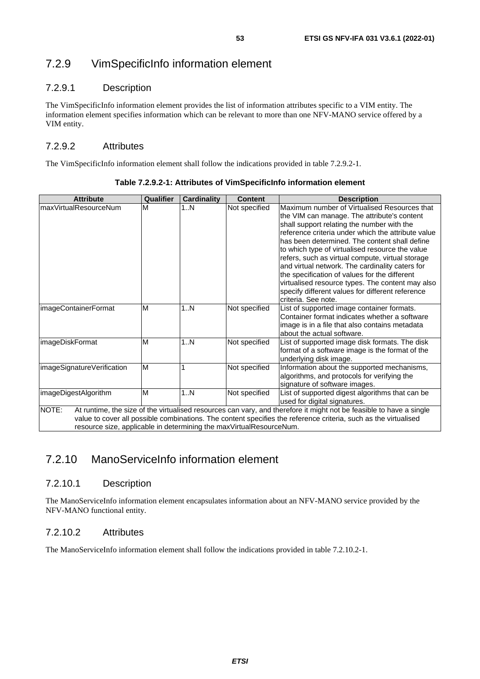# 7.2.9 VimSpecificInfo information element

### 7.2.9.1 Description

The VimSpecificInfo information element provides the list of information attributes specific to a VIM entity. The information element specifies information which can be relevant to more than one NFV-MANO service offered by a VIM entity.

### 7.2.9.2 Attributes

The VimSpecificInfo information element shall follow the indications provided in table 7.2.9.2-1.

| 1N                                                                                                                                                                                                                                                                                                                     | Not specified | Maximum number of Virtualised Resources that<br>the VIM can manage. The attribute's content<br>shall support relating the number with the                                                                                                                                                                                                                                                                                                     |  |  |
|------------------------------------------------------------------------------------------------------------------------------------------------------------------------------------------------------------------------------------------------------------------------------------------------------------------------|---------------|-----------------------------------------------------------------------------------------------------------------------------------------------------------------------------------------------------------------------------------------------------------------------------------------------------------------------------------------------------------------------------------------------------------------------------------------------|--|--|
|                                                                                                                                                                                                                                                                                                                        |               | reference criteria under which the attribute value<br>has been determined. The content shall define<br>to which type of virtualised resource the value<br>refers, such as virtual compute, virtual storage<br>and virtual network. The cardinality caters for<br>the specification of values for the different<br>virtualised resource types. The content may also<br>specify different values for different reference<br>criteria. See note. |  |  |
| 1N                                                                                                                                                                                                                                                                                                                     | Not specified | List of supported image container formats.<br>Container format indicates whether a software<br>image is in a file that also contains metadata<br>about the actual software.                                                                                                                                                                                                                                                                   |  |  |
| 1N                                                                                                                                                                                                                                                                                                                     | Not specified | List of supported image disk formats. The disk<br>format of a software image is the format of the<br>underlying disk image.                                                                                                                                                                                                                                                                                                                   |  |  |
|                                                                                                                                                                                                                                                                                                                        | Not specified | Information about the supported mechanisms,<br>algorithms, and protocols for verifying the<br>signature of software images.                                                                                                                                                                                                                                                                                                                   |  |  |
| 1N                                                                                                                                                                                                                                                                                                                     | Not specified | List of supported digest algorithms that can be<br>used for digital signatures.                                                                                                                                                                                                                                                                                                                                                               |  |  |
| NOTE:<br>At runtime, the size of the virtualised resources can vary, and therefore it might not be feasible to have a single<br>value to cover all possible combinations. The content specifies the reference criteria, such as the virtualised<br>resource size, applicable in determining the maxVirtualResourceNum. |               |                                                                                                                                                                                                                                                                                                                                                                                                                                               |  |  |
|                                                                                                                                                                                                                                                                                                                        |               |                                                                                                                                                                                                                                                                                                                                                                                                                                               |  |  |

**Table 7.2.9.2-1: Attributes of VimSpecificInfo information element** 

# 7.2.10 ManoServiceInfo information element

## 7.2.10.1 Description

The ManoServiceInfo information element encapsulates information about an NFV-MANO service provided by the NFV-MANO functional entity.

## 7.2.10.2 Attributes

The ManoServiceInfo information element shall follow the indications provided in table 7.2.10.2-1.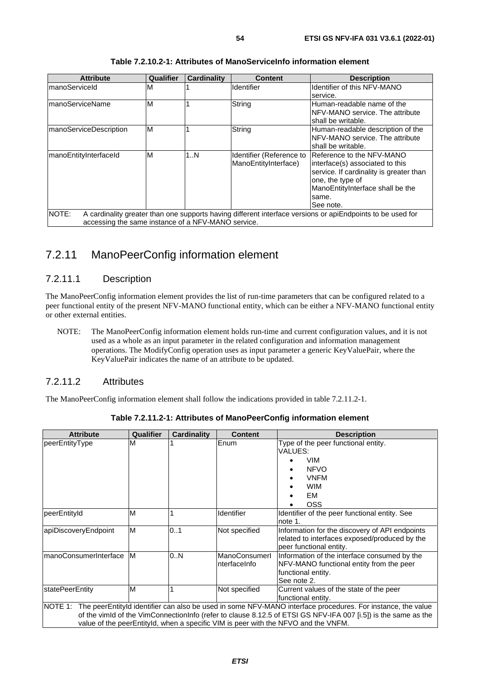| <b>Attribute</b>                                   | Qualifier | <b>Cardinality</b> | <b>Content</b>           | <b>Description</b>                                                                                         |  |  |
|----------------------------------------------------|-----------|--------------------|--------------------------|------------------------------------------------------------------------------------------------------------|--|--|
| <b>ImanoServiceId</b>                              | м         |                    | <b>Identifier</b>        | Identifier of this NFV-MANO                                                                                |  |  |
|                                                    |           |                    |                          | service.                                                                                                   |  |  |
| ImanoServiceName                                   | M         |                    | String                   | lHuman-readable name of the                                                                                |  |  |
|                                                    |           |                    |                          | INFV-MANO service. The attribute                                                                           |  |  |
|                                                    |           |                    |                          | shall be writable.                                                                                         |  |  |
| <b>ImanoServiceDescription</b>                     | M         |                    | String                   | Human-readable description of the                                                                          |  |  |
|                                                    |           |                    |                          | <b>INFV-MANO</b> service. The attribute                                                                    |  |  |
|                                                    |           |                    |                          | shall be writable.                                                                                         |  |  |
| manoEntityInterfaceId                              | M         | 1N                 | Identifier (Reference to | Reference to the NFV-MANO                                                                                  |  |  |
|                                                    |           |                    | ManoEntityInterface)     | interface(s) associated to this                                                                            |  |  |
|                                                    |           |                    |                          | service. If cardinality is greater than                                                                    |  |  |
|                                                    |           |                    |                          | one, the type of                                                                                           |  |  |
|                                                    |           |                    |                          | ManoEntityInterface shall be the                                                                           |  |  |
|                                                    |           |                    |                          | same.                                                                                                      |  |  |
| See note.                                          |           |                    |                          |                                                                                                            |  |  |
| <b>NOTE:</b>                                       |           |                    |                          | A cardinality greater than one supports having different interface versions or apiEndpoints to be used for |  |  |
| accessing the same instance of a NFV-MANO service. |           |                    |                          |                                                                                                            |  |  |

**Table 7.2.10.2-1: Attributes of ManoServiceInfo information element** 

# 7.2.11 ManoPeerConfig information element

### 7.2.11.1 Description

The ManoPeerConfig information element provides the list of run-time parameters that can be configured related to a peer functional entity of the present NFV-MANO functional entity, which can be either a NFV-MANO functional entity or other external entities.

NOTE: The ManoPeerConfig information element holds run-time and current configuration values, and it is not used as a whole as an input parameter in the related configuration and information management operations. The ModifyConfig operation uses as input parameter a generic KeyValuePair, where the KeyValuePair indicates the name of an attribute to be updated.

### 7.2.11.2 Attributes

The ManoPeerConfig information element shall follow the indications provided in table 7.2.11.2-1.

| <b>Attribute</b>       | Qualifier | Cardinality | <b>Content</b>    | <b>Description</b>                                                                                             |  |
|------------------------|-----------|-------------|-------------------|----------------------------------------------------------------------------------------------------------------|--|
| peerEntityType         | M         |             | Enum              | Type of the peer functional entity.                                                                            |  |
|                        |           |             |                   | VALUES:                                                                                                        |  |
|                        |           |             |                   | <b>VIM</b>                                                                                                     |  |
|                        |           |             |                   | <b>NFVO</b>                                                                                                    |  |
|                        |           |             |                   | <b>VNFM</b>                                                                                                    |  |
|                        |           |             |                   | <b>WIM</b>                                                                                                     |  |
|                        |           |             |                   | EM                                                                                                             |  |
|                        |           |             |                   | <b>OSS</b>                                                                                                     |  |
| <b>peerEntityId</b>    | M         |             | <b>Identifier</b> | Identifier of the peer functional entity. See                                                                  |  |
|                        |           |             |                   | note 1.                                                                                                        |  |
| lapiDiscoveryEndpoint  | M         | 01          | Not specified     | Information for the discovery of API endpoints                                                                 |  |
|                        |           |             |                   | related to interfaces exposed/produced by the                                                                  |  |
|                        |           |             |                   | peer functional entity.                                                                                        |  |
| ImanoConsumerInterface | M         | 0N          | ManoConsumerl     | Information of the interface consumed by the                                                                   |  |
|                        |           |             | InterfaceInfo     | NFV-MANO functional entity from the peer                                                                       |  |
|                        |           |             |                   | functional entity.                                                                                             |  |
|                        |           |             |                   | See note 2.                                                                                                    |  |
| statePeerEntity        | M         |             | Not specified     | Current values of the state of the peer                                                                        |  |
|                        |           |             |                   | functional entity.                                                                                             |  |
| NOTE 1:                |           |             |                   | The peerEntityId identifier can also be used in some NFV-MANO interface procedures. For instance, the value    |  |
|                        |           |             |                   | of the vimid of the VimConnection nfo (refer to clause 8.12.5 of ETSI GS NFV-IFA 007 [i.5]) is the same as the |  |
|                        |           |             |                   | value of the peerEntityId, when a specific VIM is peer with the NFVO and the VNFM.                             |  |

**Table 7.2.11.2-1: Attributes of ManoPeerConfig information element**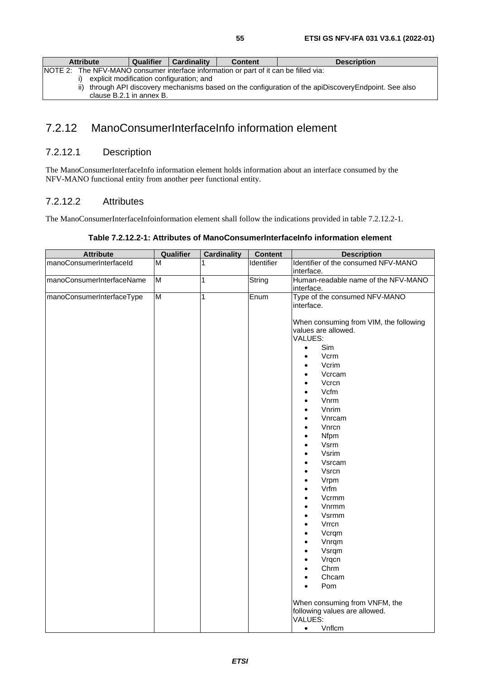# 7.2.12 ManoConsumerInterfaceInfo information element

### 7.2.12.1 Description

The ManoConsumerInterfaceInfo information element holds information about an interface consumed by the NFV-MANO functional entity from another peer functional entity.

### 7.2.12.2 Attributes

The ManoConsumerInterfaceInfoinformation element shall follow the indications provided in table 7.2.12.2-1.

| <b>Attribute</b>          | Qualifier | <b>Cardinality</b> | <b>Content</b> | <b>Description</b>                                                              |
|---------------------------|-----------|--------------------|----------------|---------------------------------------------------------------------------------|
| manoConsumerInterfaceId   | M         | 1                  | Identifier     | Identifier of the consumed NFV-MANO<br>interface.                               |
| manoConsumerInterfaceName | M         | 1                  | String         | Human-readable name of the NFV-MANO<br>interface.                               |
| manoConsumerInterfaceType | M         | 1                  | Enum           | Type of the consumed NFV-MANO<br>interface.                                     |
|                           |           |                    |                | When consuming from VIM, the following<br>values are allowed.<br><b>VALUES:</b> |
|                           |           |                    |                | Sim<br>$\bullet$<br>Vcrm<br>$\bullet$                                           |
|                           |           |                    |                | Vcrim<br>$\bullet$<br>Vcrcam<br>$\bullet$                                       |
|                           |           |                    |                | Vcrcn<br>$\bullet$<br>Vcfm<br>$\bullet$                                         |
|                           |           |                    |                | Vnrm<br>$\bullet$<br>Vnrim<br>$\bullet$                                         |
|                           |           |                    |                | Vnrcam<br>Vnrcn<br>$\bullet$                                                    |
|                           |           |                    |                | <b>Nfpm</b><br>$\bullet$<br>Vsrm<br>$\bullet$                                   |
|                           |           |                    |                | Vsrim<br>$\bullet$<br>Vsrcam<br>$\bullet$                                       |
|                           |           |                    |                | Vsrcn<br>$\bullet$                                                              |
|                           |           |                    |                | Vrpm<br>$\bullet$<br>Vrfm<br>$\bullet$                                          |
|                           |           |                    |                | Vcrmm<br>$\bullet$<br>Vnrmm<br>$\bullet$                                        |
|                           |           |                    |                | Vsrmm<br>$\bullet$<br>Vrrcn<br>$\bullet$                                        |
|                           |           |                    |                | Vcrqm<br>$\bullet$<br>Vnrqm<br>$\bullet$                                        |
|                           |           |                    |                | Vsrqm<br>$\bullet$<br>Vrqcn<br>$\bullet$                                        |
|                           |           |                    |                | Chrm<br>Chcam<br>$\bullet$<br>Pom<br>$\bullet$                                  |
|                           |           |                    |                | When consuming from VNFM, the                                                   |
|                           |           |                    |                | following values are allowed.<br>VALUES:                                        |
|                           |           |                    |                | Vnflcm<br>$\bullet$                                                             |

#### **Table 7.2.12.2-1: Attributes of ManoConsumerInterfaceInfo information element**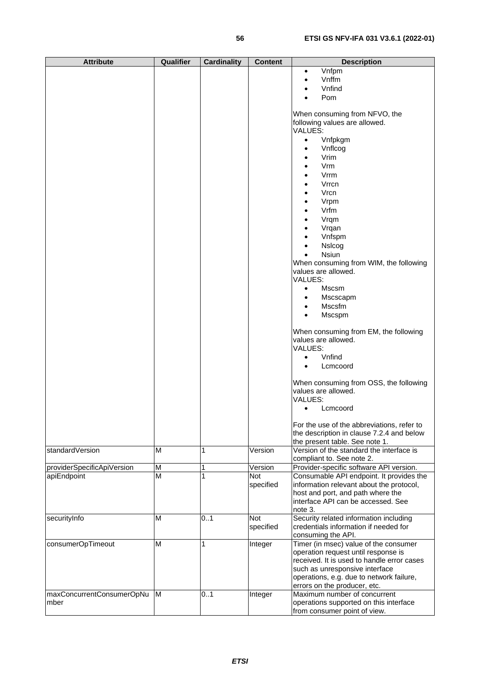| <b>Attribute</b>           | Qualifier               | <b>Cardinality</b> | <b>Content</b> | <b>Description</b>                                                         |
|----------------------------|-------------------------|--------------------|----------------|----------------------------------------------------------------------------|
|                            |                         |                    |                | Vnfpm<br>$\bullet$                                                         |
|                            |                         |                    |                | Vnffm                                                                      |
|                            |                         |                    |                | Vnfind                                                                     |
|                            |                         |                    |                | Pom<br>$\bullet$                                                           |
|                            |                         |                    |                | When consuming from NFVO, the                                              |
|                            |                         |                    |                | following values are allowed.                                              |
|                            |                         |                    |                | VALUES:                                                                    |
|                            |                         |                    |                | Vnfpkgm<br>$\bullet$                                                       |
|                            |                         |                    |                | Vnflcog<br>$\bullet$                                                       |
|                            |                         |                    |                | Vrim                                                                       |
|                            |                         |                    |                | Vrm                                                                        |
|                            |                         |                    |                | Vrrm<br>$\bullet$                                                          |
|                            |                         |                    |                | Vrrcn                                                                      |
|                            |                         |                    |                | Vrcn                                                                       |
|                            |                         |                    |                | Vrpm                                                                       |
|                            |                         |                    |                | Vrfm                                                                       |
|                            |                         |                    |                | Vrqm                                                                       |
|                            |                         |                    |                | Vrqan<br>$\bullet$                                                         |
|                            |                         |                    |                | Vnfspm                                                                     |
|                            |                         |                    |                | Nslcog                                                                     |
|                            |                         |                    |                | Nsiun                                                                      |
|                            |                         |                    |                | When consuming from WIM, the following<br>values are allowed.              |
|                            |                         |                    |                | VALUES:                                                                    |
|                            |                         |                    |                | Mscsm<br>$\bullet$                                                         |
|                            |                         |                    |                | Mscscapm                                                                   |
|                            |                         |                    |                | Mscsfm<br>$\bullet$                                                        |
|                            |                         |                    |                | Mscspm<br>$\bullet$                                                        |
|                            |                         |                    |                |                                                                            |
|                            |                         |                    |                | When consuming from EM, the following                                      |
|                            |                         |                    |                | values are allowed.                                                        |
|                            |                         |                    |                | VALUES:                                                                    |
|                            |                         |                    |                | Vnfind<br>$\bullet$                                                        |
|                            |                         |                    |                | Lcmcoord<br>$\bullet$                                                      |
|                            |                         |                    |                | When consuming from OSS, the following                                     |
|                            |                         |                    |                | values are allowed.                                                        |
|                            |                         |                    |                | VALUES:                                                                    |
|                            |                         |                    |                | $\bullet$<br>Lcmcoord                                                      |
|                            |                         |                    |                |                                                                            |
|                            |                         |                    |                | For the use of the abbreviations, refer to                                 |
|                            |                         |                    |                | the description in clause 7.2.4 and below                                  |
| standardVersion            | M                       | 1                  | Version        | the present table. See note 1.<br>Version of the standard the interface is |
|                            |                         |                    |                | compliant to. See note 2.                                                  |
| providerSpecificApiVersion | M                       | 1                  | Version        | Provider-specific software API version.                                    |
| apiEndpoint                | $\overline{\mathsf{M}}$ | 1                  | <b>Not</b>     | Consumable API endpoint. It provides the                                   |
|                            |                         |                    | specified      | information relevant about the protocol,                                   |
|                            |                         |                    |                | host and port, and path where the                                          |
|                            |                         |                    |                | interface API can be accessed. See                                         |
|                            |                         |                    |                | note 3.                                                                    |
| securityInfo               | M                       | 0.1                | Not            | Security related information including                                     |
|                            |                         |                    | specified      | credentials information if needed for<br>consuming the API.                |
| consumerOpTimeout          | M                       | 1                  | Integer        | Timer (in msec) value of the consumer                                      |
|                            |                         |                    |                | operation request until response is                                        |
|                            |                         |                    |                | received. It is used to handle error cases                                 |
|                            |                         |                    |                | such as unresponsive interface                                             |
|                            |                         |                    |                | operations, e.g. due to network failure,                                   |
|                            |                         |                    |                | errors on the producer, etc.                                               |
| maxConcurrentConsumerOpNu  | M                       | 0.1                | Integer        | Maximum number of concurrent                                               |
| mber                       |                         |                    |                | operations supported on this interface                                     |
|                            |                         |                    |                | from consumer point of view.                                               |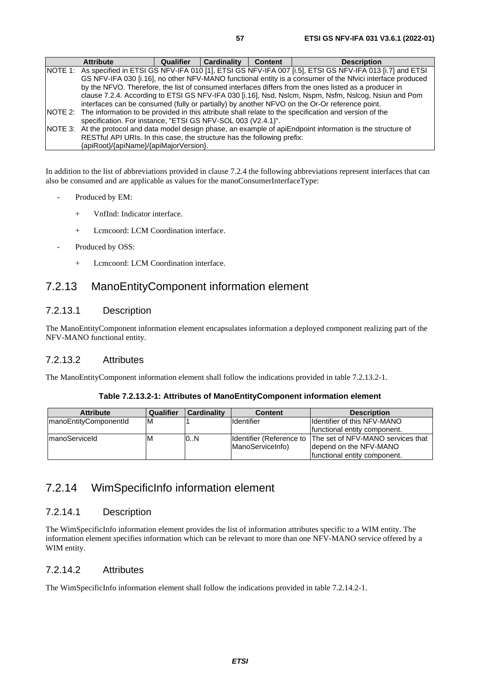| <b>Attribute</b>                                                                                              | Qualifier | <b>Cardinality</b> | <b>Content</b> | <b>Description</b>                                                                                             |  |  |
|---------------------------------------------------------------------------------------------------------------|-----------|--------------------|----------------|----------------------------------------------------------------------------------------------------------------|--|--|
|                                                                                                               |           |                    |                | NOTE 1: As specified in ETSI GS NFV-IFA 010 [1], ETSI GS NFV-IFA 007 [i.5], ETSI GS NFV-IFA 013 [i.7] and ETSI |  |  |
|                                                                                                               |           |                    |                | GS NFV-IFA 030 [i.16], no other NFV-MANO functional entity is a consumer of the Nfvici interface produced      |  |  |
|                                                                                                               |           |                    |                | by the NFVO. Therefore, the list of consumed interfaces differs from the ones listed as a producer in          |  |  |
|                                                                                                               |           |                    |                | clause 7.2.4. According to ETSI GS NFV-IFA 030 [i.16], Nsd, Nslcm, Nspm, Nsfm, Nslcog, Nsiun and Pom           |  |  |
|                                                                                                               |           |                    |                | interfaces can be consumed (fully or partially) by another NFVO on the Or-Or reference point.                  |  |  |
| NOTE 2: The information to be provided in this attribute shall relate to the specification and version of the |           |                    |                |                                                                                                                |  |  |
| specification. For instance, "ETSI GS NFV-SOL 003 (V2.4.1)".                                                  |           |                    |                |                                                                                                                |  |  |
|                                                                                                               |           |                    |                | NOTE 3: At the protocol and data model design phase, an example of apiEndpoint information is the structure of |  |  |
| RESTful API URIs. In this case, the structure has the following prefix:                                       |           |                    |                |                                                                                                                |  |  |
| {apiRoot}/{apiName}/{apiMajorVersion}.                                                                        |           |                    |                |                                                                                                                |  |  |

In addition to the list of abbreviations provided in clause 7.2.4 the following abbreviations represent interfaces that can also be consumed and are applicable as values for the manoConsumerInterfaceType:

- Produced by EM:
	- + VnfInd: Indicator interface.
	- + Lcmcoord: LCM Coordination interface.
- Produced by OSS:
	- + Lcmcoord: LCM Coordination interface.

# 7.2.13 ManoEntityComponent information element

### 7.2.13.1 Description

The ManoEntityComponent information element encapsulates information a deployed component realizing part of the NFV-MANO functional entity.

### 7.2.13.2 Attributes

The ManoEntityComponent information element shall follow the indications provided in table 7.2.13.2-1.

#### **Table 7.2.13.2-1: Attributes of ManoEntityComponent information element**

| <b>Attribute</b>       | Qualifier | <b>Cardinality</b> | <b>Content</b>          | <b>Description</b>                                          |
|------------------------|-----------|--------------------|-------------------------|-------------------------------------------------------------|
| ImanoEntityComponentId | ΙM        |                    | Identifier              | <b>Identifier of this NFV-MANO</b>                          |
|                        |           |                    |                         | functional entity component.                                |
| ImanoServiceId         | ΙM        | 0N                 |                         | Ildentifier (Reference to The set of NFV-MANO services that |
|                        |           |                    | <b>IManoServiceInfo</b> | depend on the NFV-MANO                                      |
|                        |           |                    |                         | functional entity component.                                |

# 7.2.14 WimSpecificInfo information element

## 7.2.14.1 Description

The WimSpecificInfo information element provides the list of information attributes specific to a WIM entity. The information element specifies information which can be relevant to more than one NFV-MANO service offered by a WIM entity.

### 7.2.14.2 Attributes

The WimSpecificInfo information element shall follow the indications provided in table 7.2.14.2-1.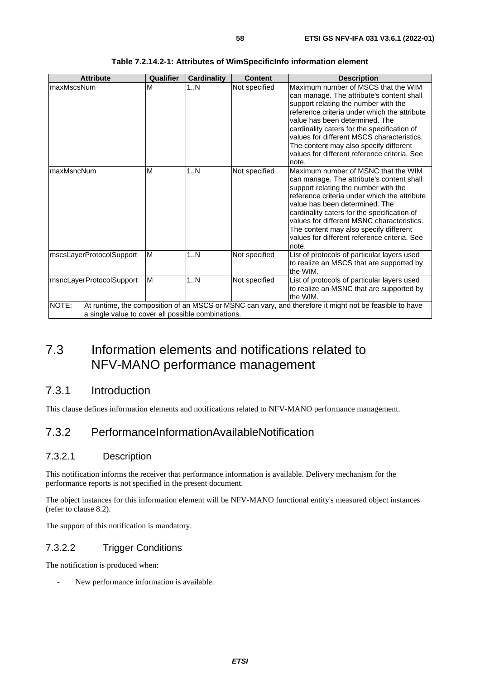| <b>Attribute</b>                                            | Qualifier | <b>Cardinality</b> | <b>Content</b> | <b>Description</b>                                                                                                                                                                                                                                                                                                                                                                                         |
|-------------------------------------------------------------|-----------|--------------------|----------------|------------------------------------------------------------------------------------------------------------------------------------------------------------------------------------------------------------------------------------------------------------------------------------------------------------------------------------------------------------------------------------------------------------|
| maxMscsNum                                                  | М         | 1N                 | Not specified  | Maximum number of MSCS that the WIM<br>can manage. The attribute's content shall<br>support relating the number with the<br>reference criteria under which the attribute<br>value has been determined. The<br>cardinality caters for the specification of<br>values for different MSCS characteristics.<br>The content may also specify different<br>values for different reference criteria. See<br>note. |
| maxMsncNum                                                  | M         | 1N                 | Not specified  | Maximum number of MSNC that the WIM<br>can manage. The attribute's content shall<br>support relating the number with the<br>reference criteria under which the attribute<br>value has been determined. The<br>cardinality caters for the specification of<br>values for different MSNC characteristics.<br>The content may also specify different<br>values for different reference criteria. See<br>note. |
| mscsLayerProtocolSupport                                    | M         | 1N                 | Not specified  | List of protocols of particular layers used<br>to realize an MSCS that are supported by<br>the WIM.                                                                                                                                                                                                                                                                                                        |
| msncLayerProtocolSupport                                    | M         | 1N                 | Not specified  | List of protocols of particular layers used<br>to realize an MSNC that are supported by<br>the WIM.                                                                                                                                                                                                                                                                                                        |
| NOTE:<br>a single value to cover all possible combinations. |           |                    |                | At runtime, the composition of an MSCS or MSNC can vary, and therefore it might not be feasible to have                                                                                                                                                                                                                                                                                                    |

#### **Table 7.2.14.2-1: Attributes of WimSpecificInfo information element**

# 7.3 Information elements and notifications related to NFV-MANO performance management

# 7.3.1 Introduction

This clause defines information elements and notifications related to NFV-MANO performance management.

# 7.3.2 PerformanceInformationAvailableNotification

## 7.3.2.1 Description

This notification informs the receiver that performance information is available. Delivery mechanism for the performance reports is not specified in the present document.

The object instances for this information element will be NFV-MANO functional entity's measured object instances (refer to clause 8.2).

The support of this notification is mandatory.

## 7.3.2.2 Trigger Conditions

The notification is produced when:

New performance information is available.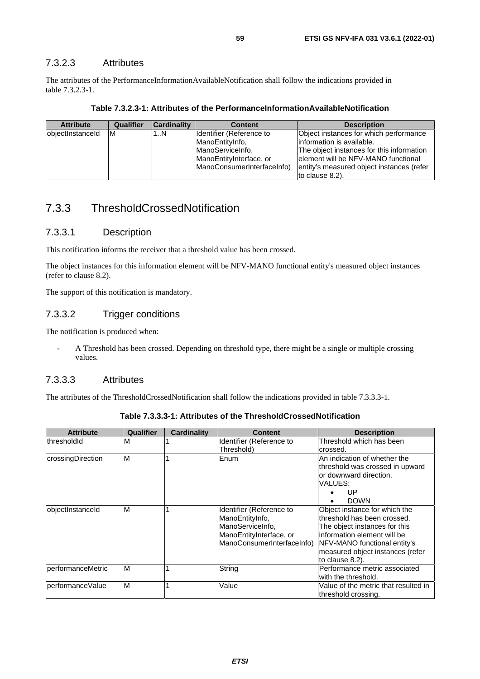### 7.3.2.3 Attributes

The attributes of the PerformanceInformationAvailableNotification shall follow the indications provided in table 7.3.2.3-1.

| Table 7.3.2.3-1: Attributes of the PerformanceInformationAvailableNotification_ |
|---------------------------------------------------------------------------------|
|                                                                                 |

| <b>Attribute</b> | Qualifier | <b>Cardinality</b> | <b>Content</b>             | <b>Description</b>                        |
|------------------|-----------|--------------------|----------------------------|-------------------------------------------|
| objectInstanceId | ΙM        | 1N                 | Identifier (Reference to   | Object instances for which performance    |
|                  |           |                    | ManoEntityInfo,            | linformation is available.                |
|                  |           |                    | ManoServiceInfo.           | The object instances for this information |
|                  |           |                    | ManoEntityInterface, or    | lelement will be NFV-MANO functional      |
|                  |           |                    | ManoConsumerInterfaceInfo) | entity's measured object instances (refer |
|                  |           |                    |                            | to clause 8.2).                           |

# 7.3.3 ThresholdCrossedNotification

### 7.3.3.1 Description

This notification informs the receiver that a threshold value has been crossed.

The object instances for this information element will be NFV-MANO functional entity's measured object instances (refer to clause 8.2).

The support of this notification is mandatory.

### 7.3.3.2 Trigger conditions

The notification is produced when:

A Threshold has been crossed. Depending on threshold type, there might be a single or multiple crossing values.

### 7.3.3.3 Attributes

The attributes of the ThresholdCrossedNotification shall follow the indications provided in table 7.3.3.3-1.

**Attribute Qualifier Cardinality Content Description** thresholdId M 1 Identifier (Reference to Threshold)<br>Enum Threshold which has been crossed. crossingDirection M 1 Enum An indication of whether the threshold was crossed in upward or downward direction. VALUES: • UP • DOWN objectInstanceId M 1 1 Identifier (Reference to ManoEntityInfo, ManoServiceInfo, ManoEntityInterface, or ManoConsumerInterfaceInfo) Object instance for which the threshold has been crossed. The object instances for this information element will be NFV-MANO functional entity's measured object instances (refer to clause 8.2). performanceMetric |M |1 |String |String |Performance metric associated with the threshold. performanceValue M 1 Value Value Value Value value of the metric that resulted in threshold crossing.

**Table 7.3.3.3-1: Attributes of the ThresholdCrossedNotification**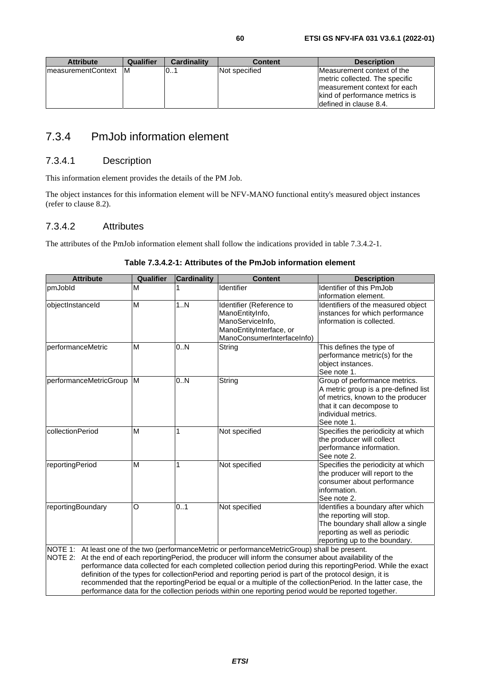| <b>Attribute</b>           | <b>Qualifier</b> | <b>Cardinality</b> | <b>Content</b> | <b>Description</b>                                                                                                                                       |
|----------------------------|------------------|--------------------|----------------|----------------------------------------------------------------------------------------------------------------------------------------------------------|
| <b>ImeasurementContext</b> | IM.              | 01                 | Not specified  | Measurement context of the<br>metric collected. The specific<br>measurement context for each<br>kind of performance metrics is<br>defined in clause 8.4. |

# 7.3.4 PmJob information element

### 7.3.4.1 Description

This information element provides the details of the PM Job.

The object instances for this information element will be NFV-MANO functional entity's measured object instances (refer to clause 8.2).

## 7.3.4.2 Attributes

The attributes of the PmJob information element shall follow the indications provided in table 7.3.4.2-1.

| <b>Attribute</b>       | Qualifier | <b>Cardinality</b> | <b>Content</b>                                                                                                                                                                                                                                                                                                                                                                                                            | <b>Description</b>                                                                                                                                                                                                           |
|------------------------|-----------|--------------------|---------------------------------------------------------------------------------------------------------------------------------------------------------------------------------------------------------------------------------------------------------------------------------------------------------------------------------------------------------------------------------------------------------------------------|------------------------------------------------------------------------------------------------------------------------------------------------------------------------------------------------------------------------------|
| pmJobld                | M         | 1                  | Identifier                                                                                                                                                                                                                                                                                                                                                                                                                | Identifier of this PmJob<br>information element.                                                                                                                                                                             |
| objectInstanceId       | M         | 1.N                | Identifier (Reference to<br>ManoEntityInfo,<br>ManoServiceInfo,<br>ManoEntityInterface, or<br>ManoConsumerInterfaceInfo)                                                                                                                                                                                                                                                                                                  | Identifiers of the measured object<br>instances for which performance<br>information is collected.                                                                                                                           |
| performanceMetric      | M         | 0.N                | String                                                                                                                                                                                                                                                                                                                                                                                                                    | This defines the type of<br>performance metric(s) for the<br>object instances.<br>See note 1.                                                                                                                                |
| performanceMetricGroup | M         | 0.N                | String                                                                                                                                                                                                                                                                                                                                                                                                                    | Group of performance metrics.<br>A metric group is a pre-defined list<br>of metrics, known to the producer<br>that it can decompose to<br>individual metrics.<br>See note 1.                                                 |
| collectionPeriod       | M         | 1                  | Not specified                                                                                                                                                                                                                                                                                                                                                                                                             | Specifies the periodicity at which<br>the producer will collect<br>performance information.<br>See note 2.                                                                                                                   |
| reportingPeriod        | M         | 1                  | Not specified                                                                                                                                                                                                                                                                                                                                                                                                             | Specifies the periodicity at which<br>the producer will report to the<br>consumer about performance<br>information.<br>See note 2.                                                                                           |
| reportingBoundary      | O         | 0.1                | Not specified                                                                                                                                                                                                                                                                                                                                                                                                             | Identifies a boundary after which<br>the reporting will stop.<br>The boundary shall allow a single<br>reporting as well as periodic<br>reporting up to the boundary.                                                         |
| NOTE 2:                |           |                    | NOTE 1: At least one of the two (performanceMetric or performanceMetricGroup) shall be present.<br>At the end of each reporting Period, the producer will inform the consumer about availability of the<br>definition of the types for collectionPeriod and reporting period is part of the protocol design, it is<br>performance data for the collection periods within one reporting period would be reported together. | performance data collected for each completed collection period during this reportingPeriod. While the exact<br>recommended that the reportingPeriod be equal or a multiple of the collectionPeriod. In the latter case, the |

#### **Table 7.3.4.2-1: Attributes of the PmJob information element**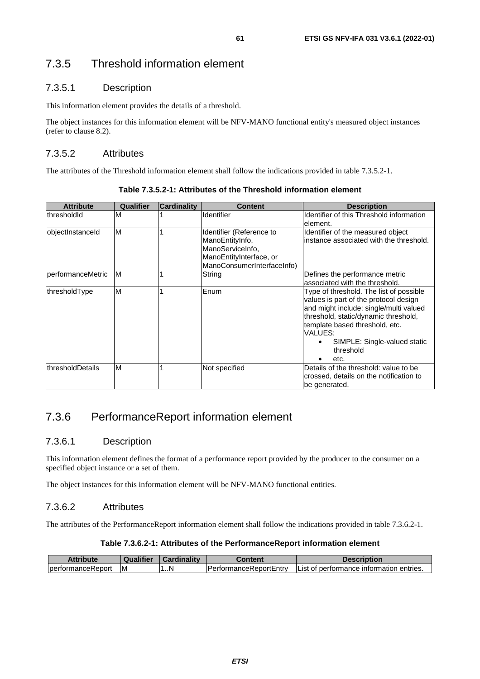## 7.3.5.1 Description

This information element provides the details of a threshold.

The object instances for this information element will be NFV-MANO functional entity's measured object instances (refer to clause 8.2).

## 7.3.5.2 Attributes

The attributes of the Threshold information element shall follow the indications provided in table 7.3.5.2-1.

| <b>Attribute</b>         | Qualifier | <b>Cardinality</b> | <b>Content</b>                                                                                                           | <b>Description</b>                                                                                                                                                                                                                                                   |
|--------------------------|-----------|--------------------|--------------------------------------------------------------------------------------------------------------------------|----------------------------------------------------------------------------------------------------------------------------------------------------------------------------------------------------------------------------------------------------------------------|
| thresholdId              | M         |                    | <b>Identifier</b>                                                                                                        | Identifier of this Threshold information<br>lelement.                                                                                                                                                                                                                |
| objectInstanceId         | M         |                    | Identifier (Reference to<br>ManoEntityInfo,<br>ManoServiceInfo,<br>ManoEntityInterface, or<br>ManoConsumerInterfaceInfo) | Identifier of the measured object<br>instance associated with the threshold.                                                                                                                                                                                         |
| performanceMetric        | M         |                    | String                                                                                                                   | Defines the performance metric<br>associated with the threshold.                                                                                                                                                                                                     |
| thresholdType            | M         |                    | Enum                                                                                                                     | Type of threshold. The list of possible<br>values is part of the protocol design<br>and might include: single/multi valued<br>threshold, static/dynamic threshold,<br>template based threshold, etc.<br>VALUES:<br>SIMPLE: Single-valued static<br>threshold<br>etc. |
| <b>IthresholdDetails</b> | M         |                    | Not specified                                                                                                            | Details of the threshold: value to be<br>crossed, details on the notification to<br>be generated.                                                                                                                                                                    |

**Table 7.3.5.2-1: Attributes of the Threshold information element** 

# 7.3.6 PerformanceReport information element

## 7.3.6.1 Description

This information element defines the format of a performance report provided by the producer to the consumer on a specified object instance or a set of them.

The object instances for this information element will be NFV-MANO functional entities.

### 7.3.6.2 Attributes

The attributes of the PerformanceReport information element shall follow the indications provided in table 7.3.6.2-1.

#### **Table 7.3.6.2-1: Attributes of the PerformanceReport information element**

| Attribute                 | lifier | Cardinality | ;ontent                   | <b>Description</b>                        |
|---------------------------|--------|-------------|---------------------------|-------------------------------------------|
| <b>IperformanceReport</b> | ιM     | .N          | lPerformanceReportEntry " | IList of performance information entries. |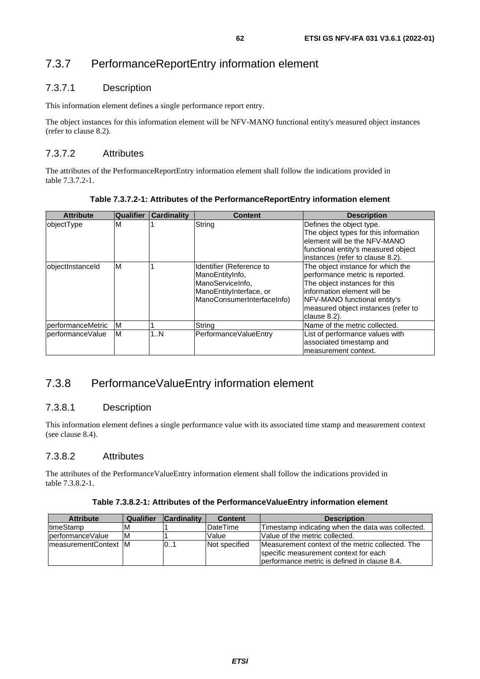## 7.3.7.1 Description

This information element defines a single performance report entry.

The object instances for this information element will be NFV-MANO functional entity's measured object instances (refer to clause 8.2).

### 7.3.7.2 Attributes

The attributes of the PerformanceReportEntry information element shall follow the indications provided in table 7.3.7.2-1.

| <b>Attribute</b>  | <b>Qualifier</b> | <b>Cardinality</b> | <b>Content</b>                                                                                                            | <b>Description</b>                                                                                                                                                                                                          |
|-------------------|------------------|--------------------|---------------------------------------------------------------------------------------------------------------------------|-----------------------------------------------------------------------------------------------------------------------------------------------------------------------------------------------------------------------------|
| objectType        | M                |                    | String                                                                                                                    | Defines the object type.<br>The object types for this information<br>lelement will be the NFV-MANO<br>functional entity's measured object<br>linstances (refer to clause 8.2).                                              |
| lobjectInstanceId | M                |                    | Identifier (Reference to<br> ManoEntityInfo,<br>ManoServiceInfo.<br>ManoEntityInterface, or<br>ManoConsumerInterfaceInfo) | The object instance for which the<br>performance metric is reported.<br>The object instances for this<br>information element will be<br>NFV-MANO functional entity's<br>measured object instances (refer to<br>clause 8.2). |
| performanceMetric | ΙM               |                    | String                                                                                                                    | Name of the metric collected.                                                                                                                                                                                               |
| performanceValue  | M                | 1N                 | PerformanceValueEntry                                                                                                     | List of performance values with<br>associated timestamp and<br>measurement context.                                                                                                                                         |

**Table 7.3.7.2-1: Attributes of the PerformanceReportEntry information element** 

# 7.3.8 PerformanceValueEntry information element

## 7.3.8.1 Description

This information element defines a single performance value with its associated time stamp and measurement context (see clause 8.4).

## 7.3.8.2 Attributes

The attributes of the PerformanceValueEntry information element shall follow the indications provided in table 7.3.8.2-1.

| <b>Attribute</b>      | Qualifier | <b>Cardinality</b> | <b>Content</b> | <b>Description</b>                                                                                                                         |
|-----------------------|-----------|--------------------|----------------|--------------------------------------------------------------------------------------------------------------------------------------------|
| <b>ItimeStamp</b>     | м         |                    | DateTime       | Timestamp indicating when the data was collected.                                                                                          |
| berformanceValue      | ιM        |                    | Value          | Value of the metric collected.                                                                                                             |
| ImeasurementContext M |           | 0.1                | Not specified  | Measurement context of the metric collected. The<br>specific measurement context for each<br>lperformance metric is defined in clause 8.4. |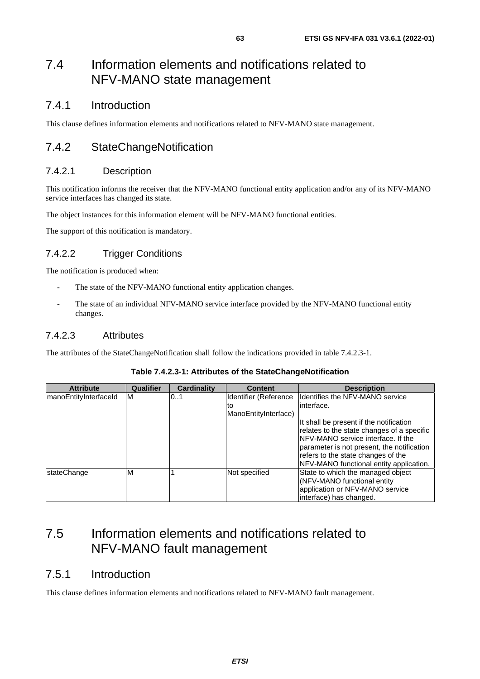# 7.4 Information elements and notifications related to NFV-MANO state management

## 7.4.1 Introduction

This clause defines information elements and notifications related to NFV-MANO state management.

## 7.4.2 StateChangeNotification

## 7.4.2.1 Description

This notification informs the receiver that the NFV-MANO functional entity application and/or any of its NFV-MANO service interfaces has changed its state.

The object instances for this information element will be NFV-MANO functional entities.

The support of this notification is mandatory.

### 7.4.2.2 Trigger Conditions

The notification is produced when:

- The state of the NFV-MANO functional entity application changes.
- The state of an individual NFV-MANO service interface provided by the NFV-MANO functional entity changes.

#### 7.4.2.3 Attributes

The attributes of the StateChangeNotification shall follow the indications provided in table 7.4.2.3-1.

| <b>Attribute</b>      | Qualifier | <b>Cardinality</b> | <b>Content</b>                                      | <b>Description</b>                                                                                                                                                                                                                                                 |
|-----------------------|-----------|--------------------|-----------------------------------------------------|--------------------------------------------------------------------------------------------------------------------------------------------------------------------------------------------------------------------------------------------------------------------|
| manoEntityInterfaceId | M         | 0.1                | Identifier (Reference<br>tΟ<br>ManoEntityInterface) | Ildentifies the NFV-MANO service<br>interface.<br>It shall be present if the notification<br>relates to the state changes of a specific<br>INFV-MANO service interface. If the<br>parameter is not present, the notification<br>refers to the state changes of the |
|                       |           |                    |                                                     | NFV-MANO functional entity application.                                                                                                                                                                                                                            |
| stateChange           | M         |                    | Not specified                                       | State to which the managed object<br>(NFV-MANO functional entity<br>application or NFV-MANO service                                                                                                                                                                |

interface) has changed.

#### **Table 7.4.2.3-1: Attributes of the StateChangeNotification**

# 7.5 Information elements and notifications related to NFV-MANO fault management

## 7.5.1 Introduction

This clause defines information elements and notifications related to NFV-MANO fault management.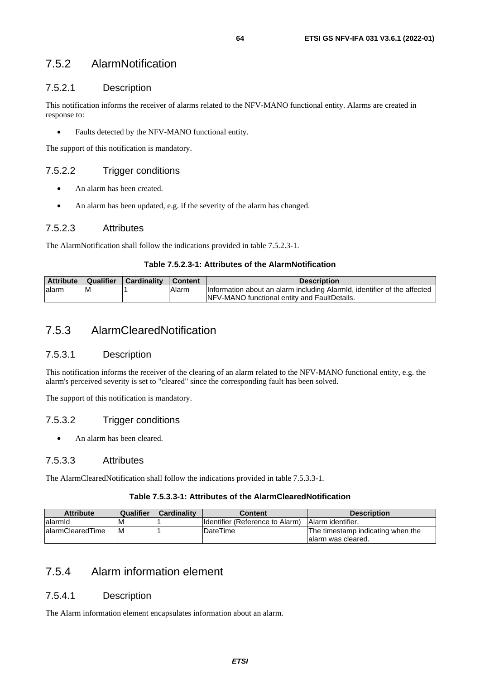# 7.5.2 AlarmNotification

### 7.5.2.1 Description

This notification informs the receiver of alarms related to the NFV-MANO functional entity. Alarms are created in response to:

• Faults detected by the NFV-MANO functional entity.

The support of this notification is mandatory.

### 7.5.2.2 Trigger conditions

- An alarm has been created.
- An alarm has been updated, e.g. if the severity of the alarm has changed.

#### 7.5.2.3 Attributes

The AlarmNotification shall follow the indications provided in table 7.5.2.3-1.

#### **Table 7.5.2.3-1: Attributes of the AlarmNotification**

| <b>Attribute</b> | Qualifier | Cardinality | I Content | <b>Description</b>                                                       |
|------------------|-----------|-------------|-----------|--------------------------------------------------------------------------|
| lalarm           | ΙM        |             | Alarm     | Information about an alarm including AlarmId, identifier of the affected |
|                  |           |             |           | <b>NFV-MANO</b> functional entity and FaultDetails.                      |

## 7.5.3 AlarmClearedNotification

### 7.5.3.1 Description

This notification informs the receiver of the clearing of an alarm related to the NFV-MANO functional entity, e.g. the alarm's perceived severity is set to "cleared" since the corresponding fault has been solved.

The support of this notification is mandatory.

### 7.5.3.2 Trigger conditions

• An alarm has been cleared.

### 7.5.3.3 Attributes

The AlarmClearedNotification shall follow the indications provided in table 7.5.3.3-1.

#### **Table 7.5.3.3-1: Attributes of the AlarmClearedNotification**

| <b>Attribute</b>  | Qualifier | <b>Cardinality</b> | <b>Content</b>                   | <b>Description</b>                                       |
|-------------------|-----------|--------------------|----------------------------------|----------------------------------------------------------|
| lalarmid          | ΙM        |                    | Ildentifier (Reference to Alarm) | <b>Alarm identifier.</b>                                 |
| lalarmClearedTime | ΙM        |                    | DateTime                         | The timestamp indicating when the<br>lalarm was cleared. |

## 7.5.4 Alarm information element

### 7.5.4.1 Description

The Alarm information element encapsulates information about an alarm.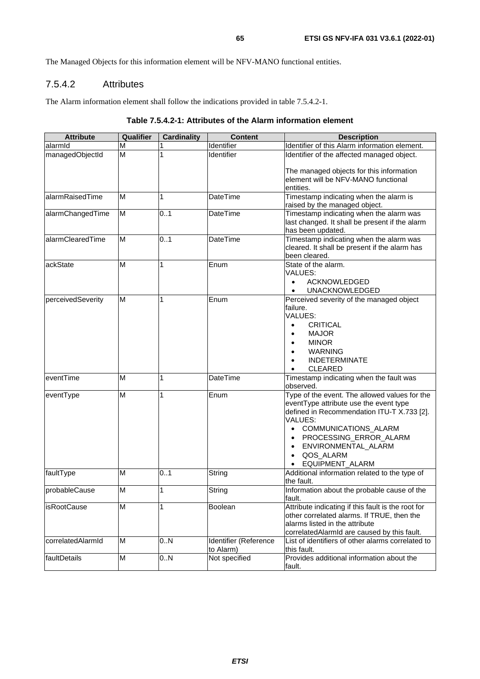The Managed Objects for this information element will be NFV-MANO functional entities.

#### 7.5.4.2 Attributes

The Alarm information element shall follow the indications provided in table 7.5.4.2-1.

| <b>Attribute</b>  | Qualifier | <b>Cardinality</b> | <b>Content</b>                     | <b>Description</b>                                                                                                                                                                                                                                                                  |
|-------------------|-----------|--------------------|------------------------------------|-------------------------------------------------------------------------------------------------------------------------------------------------------------------------------------------------------------------------------------------------------------------------------------|
| alarmid           | м         |                    | Identifier                         | Identifier of this Alarm information element.                                                                                                                                                                                                                                       |
| managedObjectId   | M         |                    | Identifier                         | Identifier of the affected managed object.                                                                                                                                                                                                                                          |
|                   |           |                    |                                    | The managed objects for this information<br>element will be NFV-MANO functional<br>entities.                                                                                                                                                                                        |
| alarmRaisedTime   | M         | 1                  | <b>DateTime</b>                    | Timestamp indicating when the alarm is<br>raised by the managed object.                                                                                                                                                                                                             |
| alarmChangedTime  | M         | 0.1                | <b>DateTime</b>                    | Timestamp indicating when the alarm was<br>last changed. It shall be present if the alarm<br>has been updated.                                                                                                                                                                      |
| alarmClearedTime  | М         | 0.1                | <b>DateTime</b>                    | Timestamp indicating when the alarm was<br>cleared. It shall be present if the alarm has<br>been cleared.                                                                                                                                                                           |
| ackState          | М         | 1                  | Enum                               | State of the alarm.<br>VALUES:<br><b>ACKNOWLEDGED</b><br>$\bullet$<br><b>UNACKNOWLEDGED</b>                                                                                                                                                                                         |
| perceivedSeverity | м         | 1                  | Enum                               | Perceived severity of the managed object<br>failure.<br>VALUES:<br><b>CRITICAL</b><br><b>MAJOR</b><br><b>MINOR</b><br><b>WARNING</b><br><b>INDETERMINATE</b><br><b>CLEARED</b>                                                                                                      |
| eventTime         | M         | 1                  | <b>DateTime</b>                    | Timestamp indicating when the fault was<br>observed.                                                                                                                                                                                                                                |
| eventType         | M         | 1                  | Enum                               | Type of the event. The allowed values for the<br>eventType attribute use the event type<br>defined in Recommendation ITU-T X.733 [2].<br>VALUES:<br>COMMUNICATIONS_ALARM<br>$\bullet$<br>PROCESSING_ERROR_ALARM<br>$\bullet$<br>ENVIRONMENTAL_ALARM<br>QOS_ALARM<br>EQUIPMENT_ALARM |
| faultType         | M         | 0.1                | String                             | Additional information related to the type of<br>the fault.                                                                                                                                                                                                                         |
| probableCause     | M         | $\mathbf 1$        | String                             | Information about the probable cause of the<br>fault.                                                                                                                                                                                                                               |
| isRootCause       | М         |                    | Boolean                            | Attribute indicating if this fault is the root for<br>other correlated alarms. If TRUE, then the<br>alarms listed in the attribute<br>correlatedAlarmId are caused by this fault.                                                                                                   |
| correlatedAlarmId | M         | 0N                 | Identifier (Reference<br>to Alarm) | List of identifiers of other alarms correlated to<br>this fault.                                                                                                                                                                                                                    |
| faultDetails      | М         | 0.N                | Not specified                      | Provides additional information about the<br>fault.                                                                                                                                                                                                                                 |

**Table 7.5.4.2-1: Attributes of the Alarm information element**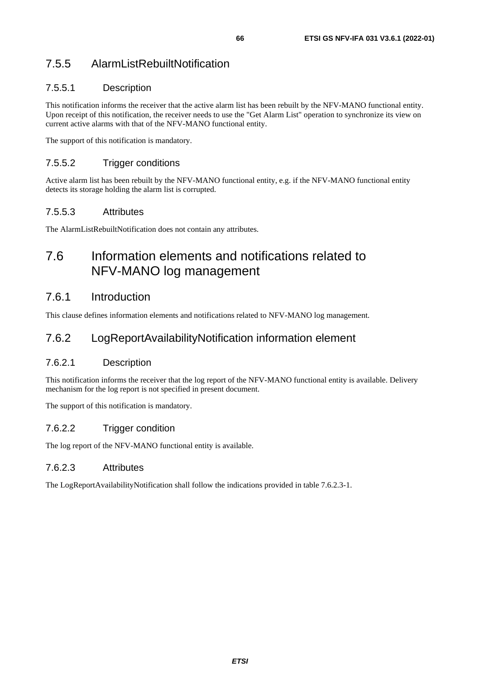# 7.5.5 AlarmListRebuiltNotification

## 7.5.5.1 Description

This notification informs the receiver that the active alarm list has been rebuilt by the NFV-MANO functional entity. Upon receipt of this notification, the receiver needs to use the "Get Alarm List" operation to synchronize its view on current active alarms with that of the NFV-MANO functional entity.

The support of this notification is mandatory.

## 7.5.5.2 Trigger conditions

Active alarm list has been rebuilt by the NFV-MANO functional entity, e.g. if the NFV-MANO functional entity detects its storage holding the alarm list is corrupted.

## 7.5.5.3 Attributes

The AlarmListRebuiltNotification does not contain any attributes.

# 7.6 Information elements and notifications related to NFV-MANO log management

# 7.6.1 Introduction

This clause defines information elements and notifications related to NFV-MANO log management.

# 7.6.2 LogReportAvailabilityNotification information element

## 7.6.2.1 Description

This notification informs the receiver that the log report of the NFV-MANO functional entity is available. Delivery mechanism for the log report is not specified in present document.

The support of this notification is mandatory.

## 7.6.2.2 Trigger condition

The log report of the NFV-MANO functional entity is available.

## 7.6.2.3 Attributes

The LogReportAvailabilityNotification shall follow the indications provided in table 7.6.2.3-1.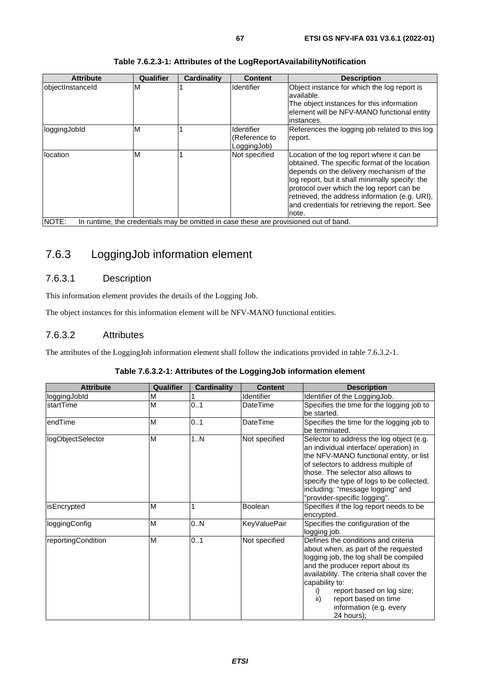| <b>Attribute</b> | Qualifier | <b>Cardinality</b> | <b>Content</b>                             | <b>Description</b>                                                                                                                                                                                                                                                                                                                                   |
|------------------|-----------|--------------------|--------------------------------------------|------------------------------------------------------------------------------------------------------------------------------------------------------------------------------------------------------------------------------------------------------------------------------------------------------------------------------------------------------|
| objectInstanceId | М         |                    | <b>Identifier</b>                          | Object instance for which the log report is<br>available.<br>The object instances for this information<br>element will be NFV-MANO functional entity<br>instances.                                                                                                                                                                                   |
| loggingJobld     | M         |                    | Identifier<br>(Reference to<br>LoggingJob) | References the logging job related to this log<br>report.                                                                                                                                                                                                                                                                                            |
| location         | M         |                    | Not specified                              | Location of the log report where it can be<br>obtained. The specific format of the location<br>depends on the delivery mechanism of the<br>log report, but it shall minimally specify: the<br>protocol over which the log report can be<br>retrieved, the address information (e.g. URI),<br>and credentials for retrieving the report. See<br>note. |
| NOTE:            |           |                    |                                            | In runtime, the credentials may be omitted in case these are provisioned out of band.                                                                                                                                                                                                                                                                |

#### **Table 7.6.2.3-1: Attributes of the LogReportAvailabilityNotification**

# 7.6.3 LoggingJob information element

### 7.6.3.1 Description

This information element provides the details of the Logging Job.

The object instances for this information element will be NFV-MANO functional entities.

## 7.6.3.2 Attributes

The attributes of the LoggingJob information element shall follow the indications provided in table 7.6.3.2-1.

| <b>Attribute</b>   | <b>Qualifier</b> | <b>Cardinality</b> | <b>Content</b>      | <b>Description</b>                                                                                                                                                                                                                                                                                                                      |
|--------------------|------------------|--------------------|---------------------|-----------------------------------------------------------------------------------------------------------------------------------------------------------------------------------------------------------------------------------------------------------------------------------------------------------------------------------------|
| loggingJobld       | M                |                    | Identifier          | Identifier of the LoggingJob.                                                                                                                                                                                                                                                                                                           |
| startTime          | M                | 0.1                | DateTime            | Specifies the time for the logging job to<br>be started.                                                                                                                                                                                                                                                                                |
| endTime            | M                | 0.1                | DateTime            | Specifies the time for the logging job to<br>be terminated.                                                                                                                                                                                                                                                                             |
| logObjectSelector  | M                | 1.N                | Not specified       | Selector to address the log object (e.g.<br>an individual interface/ operation) in<br>the NFV-MANO functional entity, or list<br>of selectors to address multiple of<br>those. The selector also allows to<br>specify the type of logs to be collected,<br>including: "message logging" and<br>"provider-specific logging".             |
| isEncrypted        | M                | 1                  | Boolean             | Specifies if the log report needs to be<br>encrypted.                                                                                                                                                                                                                                                                                   |
| loggingConfig      | M                | 0N                 | <b>KeyValuePair</b> | Specifies the configuration of the<br>logging job.                                                                                                                                                                                                                                                                                      |
| reportingCondition | M                | 0.1                | Not specified       | Defines the conditions and criteria<br>about when, as part of the requested<br>logging job, the log shall be compiled<br>and the producer report about its<br>availability. The criteria shall cover the<br>capability to:<br>report based on log size;<br>i)<br>report based on time<br>ii)<br>information (e.g. every<br>$24$ hours); |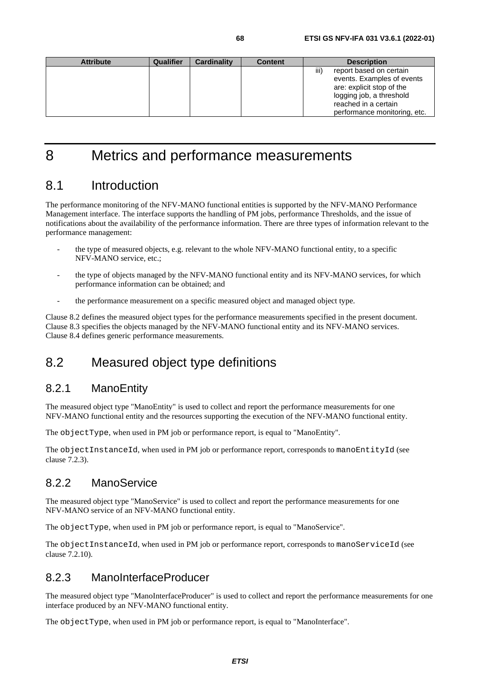| <b>Attribute</b> | Qualifier | Cardinality | <b>Content</b> | <b>Description</b>                                                                                                                                                             |
|------------------|-----------|-------------|----------------|--------------------------------------------------------------------------------------------------------------------------------------------------------------------------------|
|                  |           |             |                | iii)<br>report based on certain<br>events. Examples of events<br>are: explicit stop of the<br>logging job, a threshold<br>reached in a certain<br>performance monitoring, etc. |

8 Metrics and performance measurements

# 8.1 Introduction

The performance monitoring of the NFV-MANO functional entities is supported by the NFV-MANO Performance Management interface. The interface supports the handling of PM jobs, performance Thresholds, and the issue of notifications about the availability of the performance information. There are three types of information relevant to the performance management:

- the type of measured objects, e.g. relevant to the whole NFV-MANO functional entity, to a specific NFV-MANO service, etc.;
- the type of objects managed by the NFV-MANO functional entity and its NFV-MANO services, for which performance information can be obtained; and
- the performance measurement on a specific measured object and managed object type.

Clause 8.2 defines the measured object types for the performance measurements specified in the present document. Clause 8.3 specifies the objects managed by the NFV-MANO functional entity and its NFV-MANO services. Clause 8.4 defines generic performance measurements.

# 8.2 Measured object type definitions

# 8.2.1 ManoEntity

The measured object type "ManoEntity" is used to collect and report the performance measurements for one NFV-MANO functional entity and the resources supporting the execution of the NFV-MANO functional entity.

The objectType, when used in PM job or performance report, is equal to "ManoEntity".

The objectInstanceId, when used in PM job or performance report, corresponds to manoEntityId (see clause 7.2.3).

# 8.2.2 ManoService

The measured object type "ManoService" is used to collect and report the performance measurements for one NFV-MANO service of an NFV-MANO functional entity.

The objectType, when used in PM job or performance report, is equal to "ManoService".

The objectInstanceId, when used in PM job or performance report, corresponds to manoServiceId (see clause 7.2.10).

# 8.2.3 ManoInterfaceProducer

The measured object type "ManoInterfaceProducer" is used to collect and report the performance measurements for one interface produced by an NFV-MANO functional entity.

The objectType, when used in PM job or performance report, is equal to "ManoInterface".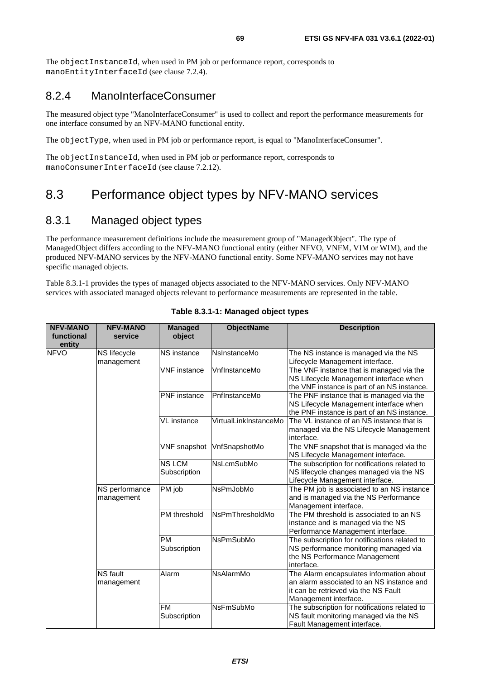The objectInstanceId, when used in PM job or performance report, corresponds to manoEntityInterfaceId (see clause 7.2.4).

## 8.2.4 ManoInterfaceConsumer

The measured object type "ManoInterfaceConsumer" is used to collect and report the performance measurements for one interface consumed by an NFV-MANO functional entity.

The objectType, when used in PM job or performance report, is equal to "ManoInterfaceConsumer".

The objectInstanceId, when used in PM job or performance report, corresponds to manoConsumerInterfaceId (see clause 7.2.12).

# 8.3 Performance object types by NFV-MANO services

## 8.3.1 Managed object types

The performance measurement definitions include the measurement group of "ManagedObject". The type of ManagedObject differs according to the NFV-MANO functional entity (either NFVO, VNFM, VIM or WIM), and the produced NFV-MANO services by the NFV-MANO functional entity. Some NFV-MANO services may not have specific managed objects.

Table 8.3.1-1 provides the types of managed objects associated to the NFV-MANO services. Only NFV-MANO services with associated managed objects relevant to performance measurements are represented in the table.

| <b>NFV-MANO</b><br>functional<br>entity | <b>NFV-MANO</b><br>service    | <b>Managed</b><br>object      | <b>ObjectName</b>     | <b>Description</b>                                                                                                                                     |
|-----------------------------------------|-------------------------------|-------------------------------|-----------------------|--------------------------------------------------------------------------------------------------------------------------------------------------------|
| <b>NFVO</b>                             | NS lifecycle<br>management    | NS instance                   | NsInstanceMo          | The NS instance is managed via the NS<br>Lifecycle Management interface.                                                                               |
|                                         |                               | <b>VNF</b> instance           | VnflnstanceMo         | The VNF instance that is managed via the<br>NS Lifecycle Management interface when<br>the VNF instance is part of an NS instance.                      |
|                                         |                               | <b>PNF</b> instance           | PnflnstanceMo         | The PNF instance that is managed via the<br>NS Lifecycle Management interface when<br>the PNF instance is part of an NS instance.                      |
|                                         |                               | VL instance                   | VirtualLinkInstanceMo | The VL instance of an NS instance that is<br>managed via the NS Lifecycle Management<br>interface.                                                     |
|                                         |                               | <b>VNF</b> snapshot           | VnfSnapshotMo         | The VNF snapshot that is managed via the<br>NS Lifecycle Management interface.                                                                         |
|                                         |                               | <b>NS LCM</b><br>Subscription | NsLcmSubMo            | The subscription for notifications related to<br>NS lifecycle changes managed via the NS<br>Lifecycle Management interface.                            |
|                                         | NS performance<br>management  | PM job                        | <b>NsPmJobMo</b>      | The PM job is associated to an NS instance<br>and is managed via the NS Performance<br>Management interface.                                           |
|                                         |                               | PM threshold                  | NsPmThresholdMo       | The PM threshold is associated to an NS<br>instance and is managed via the NS<br>Performance Management interface.                                     |
|                                         |                               | <b>PM</b><br>Subscription     | <b>NsPmSubMo</b>      | The subscription for notifications related to<br>NS performance monitoring managed via<br>the NS Performance Management<br>interface.                  |
|                                         | <b>NS</b> fault<br>management | Alarm                         | NsAlarmMo             | The Alarm encapsulates information about<br>an alarm associated to an NS instance and<br>it can be retrieved via the NS Fault<br>Management interface. |
|                                         |                               | <b>FM</b><br>Subscription     | <b>NsFmSubMo</b>      | The subscription for notifications related to<br>NS fault monitoring managed via the NS<br>Fault Management interface.                                 |

**Table 8.3.1-1: Managed object types**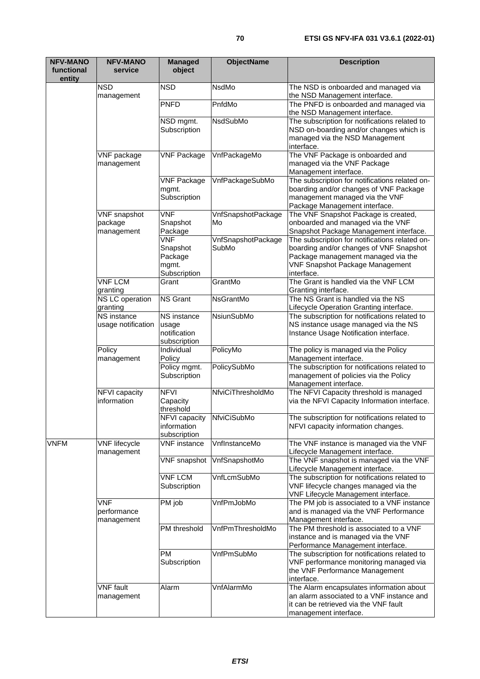| <b>NFV-MANO</b><br>functional<br>entity | <b>NFV-MANO</b><br>service                   | <b>Managed</b><br>object                                    | <b>ObjectName</b>           | <b>Description</b>                                                                                                                                                                      |
|-----------------------------------------|----------------------------------------------|-------------------------------------------------------------|-----------------------------|-----------------------------------------------------------------------------------------------------------------------------------------------------------------------------------------|
|                                         | <b>NSD</b><br>management                     | <b>NSD</b>                                                  | <b>NsdMo</b>                | The NSD is onboarded and managed via<br>the NSD Management interface.                                                                                                                   |
|                                         |                                              | <b>PNFD</b>                                                 | PnfdMo                      | The PNFD is onboarded and managed via<br>the NSD Management interface.                                                                                                                  |
|                                         |                                              | NSD mgmt.<br>Subscription                                   | NsdSubMo                    | The subscription for notifications related to<br>NSD on-boarding and/or changes which is<br>managed via the NSD Management<br>interface.                                                |
|                                         | VNF package<br>management                    | <b>VNF Package</b>                                          | VnfPackageMo                | The VNF Package is onboarded and<br>managed via the VNF Package<br>Management interface.                                                                                                |
|                                         |                                              | <b>VNF Package</b><br>mgmt.<br>Subscription                 | VnfPackageSubMo             | The subscription for notifications related on-<br>boarding and/or changes of VNF Package<br>management managed via the VNF<br>Package Management interface.                             |
|                                         | <b>VNF</b> snapshot<br>package<br>management | VNF<br>Snapshot<br>Package                                  | VnfSnapshotPackage<br>Mo    | The VNF Snapshot Package is created,<br>onboarded and managed via the VNF<br>Snapshot Package Management interface.                                                                     |
|                                         |                                              | <b>VNF</b><br>Snapshot<br>Package<br>mgmt.<br>Subscription  | VnfSnapshotPackage<br>SubMo | The subscription for notifications related on-<br>boarding and/or changes of VNF Snapshot<br>Package management managed via the<br><b>VNF Snapshot Package Management</b><br>interface. |
|                                         | <b>VNF LCM</b><br>granting                   | Grant                                                       | GrantMo                     | The Grant is handled via the VNF LCM<br>Granting interface.                                                                                                                             |
|                                         | NS LC operation<br>granting                  | <b>NS Grant</b>                                             | <b>NsGrantMo</b>            | The NS Grant is handled via the NS<br>Lifecycle Operation Granting interface.                                                                                                           |
|                                         | NS instance<br>usage notification            | <b>NS</b> instance<br>usage<br>notification<br>subscription | <b>NsiunSubMo</b>           | The subscription for notifications related to<br>NS instance usage managed via the NS<br>Instance Usage Notification interface.                                                         |
|                                         | Policy<br>management                         | Individual<br>Policy                                        | PolicyMo                    | The policy is managed via the Policy<br>Management interface.                                                                                                                           |
|                                         |                                              | Policy mgmt.<br>Subscription                                | PolicySubMo                 | The subscription for notifications related to<br>management of policies via the Policy<br>Management interface.                                                                         |
|                                         | <b>NFVI capacity</b><br>information          | <b>NFVI</b><br>Capacity<br>threshold                        | NfviCiThresholdMo           | The NFVI Capacity threshold is managed<br>via the NFVI Capacity Information interface.                                                                                                  |
|                                         |                                              | NFVI capacity<br>information<br>subscription                | NfviCiSubMo                 | The subscription for notifications related to<br>NFVI capacity information changes.                                                                                                     |
| <b>VNFM</b>                             | <b>VNF</b> lifecycle<br>management           | VNF instance                                                | VnflnstanceMo               | The VNF instance is managed via the VNF<br>Lifecycle Management interface.                                                                                                              |
|                                         |                                              | <b>VNF</b> snapshot                                         | VnfSnapshotMo               | The VNF snapshot is managed via the VNF<br>Lifecycle Management interface.                                                                                                              |
|                                         |                                              | <b>VNF LCM</b><br>Subscription                              | VnfLcmSubMo                 | The subscription for notifications related to<br>VNF lifecycle changes managed via the<br>VNF Lifecycle Management interface.                                                           |
|                                         | <b>VNF</b><br>performance<br>management      | PM job                                                      | VnfPmJobMo                  | The PM job is associated to a VNF instance<br>and is managed via the VNF Performance<br>Management interface.                                                                           |
|                                         |                                              | PM threshold                                                | VnfPmThresholdMo            | The PM threshold is associated to a VNF<br>instance and is managed via the VNF<br>Performance Management interface.                                                                     |
|                                         |                                              | PM.<br>Subscription                                         | VnfPmSubMo                  | The subscription for notifications related to<br>VNF performance monitoring managed via<br>the VNF Performance Management<br>interface.                                                 |
|                                         | <b>VNF</b> fault<br>management               | Alarm                                                       | <b>VnfAlarmMo</b>           | The Alarm encapsulates information about<br>an alarm associated to a VNF instance and<br>it can be retrieved via the VNF fault<br>management interface.                                 |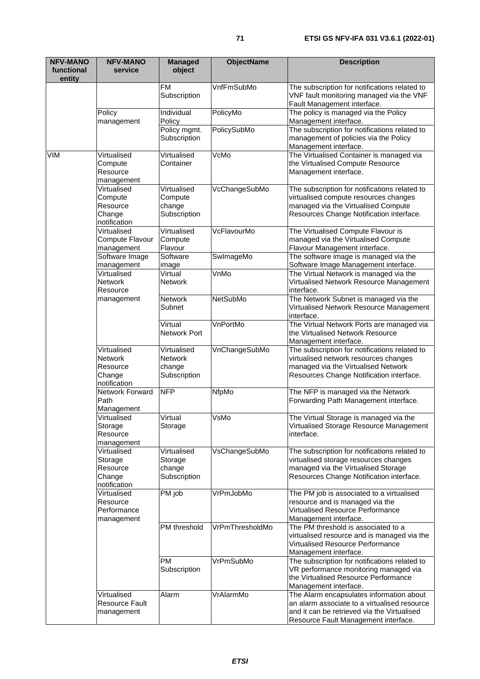| <b>NFV-MANO</b><br>functional<br>entity | <b>NFV-MANO</b><br>service                                          | <b>Managed</b><br>object                         | <b>ObjectName</b> | <b>Description</b>                                                                                                                                                              |
|-----------------------------------------|---------------------------------------------------------------------|--------------------------------------------------|-------------------|---------------------------------------------------------------------------------------------------------------------------------------------------------------------------------|
|                                         |                                                                     | <b>FM</b><br>Subscription                        | VnfFmSubMo        | The subscription for notifications related to<br>VNF fault monitoring managed via the VNF<br>Fault Management interface.                                                        |
|                                         | Policy<br>management                                                | Individual<br>Policy                             | PolicyMo          | The policy is managed via the Policy<br>Management interface.                                                                                                                   |
|                                         |                                                                     | Policy mgmt.<br>Subscription                     | PolicySubMo       | The subscription for notifications related to<br>management of policies via the Policy<br>Management interface.                                                                 |
| <b>VIM</b>                              | Virtualised<br>Compute<br>Resource<br>management                    | Virtualised<br>Container                         | VcMo              | The Virtualised Container is managed via<br>the Virtualised Compute Resource<br>Management interface.                                                                           |
|                                         | Virtualised<br>Compute<br>Resource<br>Change<br>notification        | Virtualised<br>Compute<br>change<br>Subscription | VcChangeSubMo     | The subscription for notifications related to<br>virtualised compute resources changes<br>managed via the Virtualised Compute<br>Resources Change Notification interface.       |
|                                         | Virtualised<br>Compute Flavour<br>management                        | Virtualised<br>Compute<br>Flavour                | VcFlavourMo       | The Virtualised Compute Flavour is<br>managed via the Virtualised Compute<br>Flavour Management interface.                                                                      |
|                                         | Software Image<br>management                                        | Software<br>image                                | SwlmageMo         | The software image is managed via the<br>Software Image Management interface.                                                                                                   |
|                                         | Virtualised<br>Network<br>Resource                                  | Virtual<br>Network                               | VnMo              | The Virtual Network is managed via the<br>Virtualised Network Resource Management<br>interface.                                                                                 |
|                                         | management                                                          | Network<br>Subnet                                | <b>NetSubMo</b>   | The Network Subnet is managed via the<br>Virtualised Network Resource Management<br>interface.                                                                                  |
|                                         |                                                                     | Virtual<br>Network Port                          | VnPortMo          | The Virtual Network Ports are managed via<br>the Virtualised Network Resource<br>Management interface.                                                                          |
|                                         | Virtualised<br><b>Network</b><br>Resource<br>Change<br>notification | Virtualised<br>Network<br>change<br>Subscription | VnChangeSubMo     | The subscription for notifications related to<br>virtualised network resources changes<br>managed via the Virtualised Network<br>Resources Change Notification interface.       |
|                                         | <b>Network Forward</b><br>Path<br>Management                        | <b>NFP</b>                                       | NfpMo             | The NFP is managed via the Network<br>Forwarding Path Management interface.                                                                                                     |
|                                         | Virtualised<br>Storage<br>Resource<br>management                    | Virtual<br>Storage                               | VsMo              | The Virtual Storage is managed via the<br>Virtualised Storage Resource Management<br>interface.                                                                                 |
|                                         | Virtualised<br>Storage<br>Resource<br>Change<br>notification        | Virtualised<br>Storage<br>change<br>Subscription | VsChangeSubMo     | The subscription for notifications related to<br>virtualised storage resources changes<br>managed via the Virtualised Storage<br>Resources Change Notification interface.       |
|                                         | Virtualised<br>Resource<br>Performance<br>management                | PM job                                           | VrPmJobMo         | The PM job is associated to a virtualised<br>resource and is managed via the<br><b>Virtualised Resource Performance</b><br>Management interface.                                |
|                                         |                                                                     | PM threshold                                     | VrPmThresholdMo   | The PM threshold is associated to a<br>virtualised resource and is managed via the<br><b>Virtualised Resource Performance</b><br>Management interface.                          |
|                                         |                                                                     | <b>PM</b><br>Subscription                        | VrPmSubMo         | The subscription for notifications related to<br>VR performance monitoring managed via<br>the Virtualised Resource Performance<br>Management interface.                         |
|                                         | Virtualised<br><b>Resource Fault</b><br>management                  | Alarm                                            | VrAlarmMo         | The Alarm encapsulates information about<br>an alarm associate to a virtualised resource<br>and it can be retrieved via the Virtualised<br>Resource Fault Management interface. |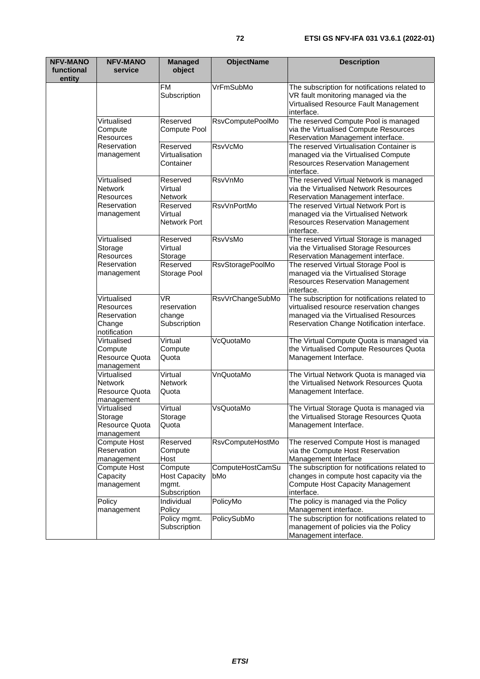| <b>NFV-MANO</b><br>functional<br>entity                 | <b>NFV-MANO</b><br>service                                               | <b>Managed</b><br>object                                 | <b>ObjectName</b>       | <b>Description</b>                                                                                                                                                               |
|---------------------------------------------------------|--------------------------------------------------------------------------|----------------------------------------------------------|-------------------------|----------------------------------------------------------------------------------------------------------------------------------------------------------------------------------|
|                                                         |                                                                          | <b>FM</b><br>Subscription                                | VrFmSubMo               | The subscription for notifications related to<br>VR fault monitoring managed via the<br>Virtualised Resource Fault Management<br>interface.                                      |
|                                                         | Virtualised<br>Compute<br>Resources<br>Reservation<br>management         | Reserved<br>Compute Pool                                 | RsvComputePoolMo        | The reserved Compute Pool is managed<br>via the Virtualised Compute Resources<br>Reservation Management interface.                                                               |
|                                                         |                                                                          | Reserved<br>Virtualisation<br>Container                  | <b>RsvVcMo</b>          | The reserved Virtualisation Container is<br>managed via the Virtualised Compute<br><b>Resources Reservation Management</b><br>interface.                                         |
|                                                         | Virtualised<br><b>Network</b><br>Resources                               | Reserved<br>Virtual<br><b>Network</b>                    | RsvVnMo                 | The reserved Virtual Network is managed<br>via the Virtualised Network Resources<br>Reservation Management interface.                                                            |
|                                                         | Reservation<br>management                                                | Reserved<br>Virtual<br>Network Port                      | <b>RsvVnPortMo</b>      | The reserved Virtual Network Port is<br>managed via the Virtualised Network<br><b>Resources Reservation Management</b><br>interface.                                             |
|                                                         | Virtualised<br>Storage<br><b>Resources</b>                               | Reserved<br>Virtual<br>Storage                           | <b>RsvVsMo</b>          | The reserved Virtual Storage is managed<br>via the Virtualised Storage Resources<br>Reservation Management interface.                                                            |
|                                                         | Reservation<br>management                                                | Reserved<br>Storage Pool                                 | <b>RsvStoragePoolMo</b> | The reserved Virtual Storage Pool is<br>managed via the Virtualised Storage<br>Resources Reservation Management<br>interface.                                                    |
|                                                         | Virtualised<br><b>Resources</b><br>Reservation<br>Change<br>notification | VR.<br>reservation<br>change<br>Subscription             | RsvVrChangeSubMo        | The subscription for notifications related to<br>virtualised resource reservation changes<br>managed via the Virtualised Resources<br>Reservation Change Notification interface. |
|                                                         | Virtualised<br>Compute<br><b>Resource Quota</b><br>management            | Virtual<br>Compute<br>Quota                              | VcQuotaMo               | The Virtual Compute Quota is managed via<br>the Virtualised Compute Resources Quota<br>Management Interface.                                                                     |
| Virtualised<br><b>Network</b><br>Virtualised<br>Storage | Resource Quota<br>management                                             | Virtual<br><b>Network</b><br>Quota                       | VnQuotaMo               | The Virtual Network Quota is managed via<br>the Virtualised Network Resources Quota<br>Management Interface.                                                                     |
|                                                         | Resource Quota<br>management                                             | Virtual<br>Storage<br>Quota                              | VsQuotaMo               | The Virtual Storage Quota is managed via<br>the Virtualised Storage Resources Quota<br>Management Interface.                                                                     |
|                                                         | Compute Host<br>Reservation<br>management                                | Reserved<br>Compute<br>Host                              | <b>RsvComputeHostMo</b> | The reserved Compute Host is managed<br>via the Compute Host Reservation<br>Management Interface                                                                                 |
|                                                         | Compute Host<br>Capacity<br>management                                   | Compute<br><b>Host Capacity</b><br>mgmt.<br>Subscription | ComputeHostCamSu<br>bMo | The subscription for notifications related to<br>changes in compute host capacity via the<br>Compute Host Capacity Management<br>interface.                                      |
|                                                         | Policy<br>management                                                     | Individual<br>Policy                                     | PolicyMo                | The policy is managed via the Policy<br>Management interface.                                                                                                                    |
|                                                         |                                                                          | Policy mgmt.<br>Subscription                             | PolicySubMo             | The subscription for notifications related to<br>management of policies via the Policy<br>Management interface.                                                                  |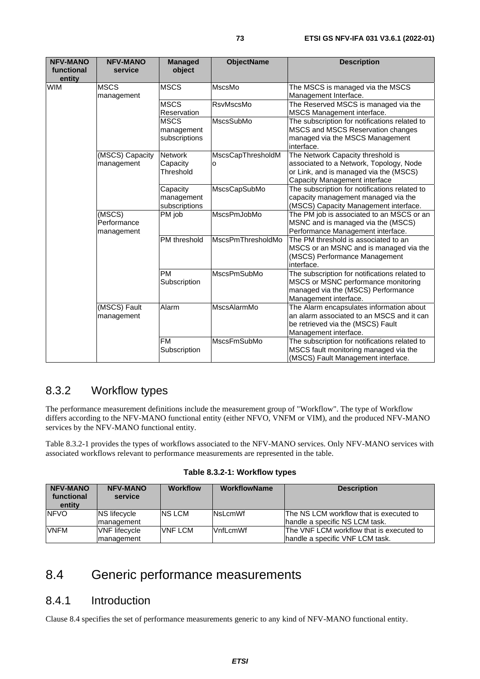| <b>NFV-MANO</b><br>functional<br>entity | <b>NFV-MANO</b><br>service          | <b>Managed</b><br>object                   | <b>ObjectName</b>       | <b>Description</b>                                                                                                                                      |
|-----------------------------------------|-------------------------------------|--------------------------------------------|-------------------------|---------------------------------------------------------------------------------------------------------------------------------------------------------|
| <b>WIM</b>                              | <b>MSCS</b><br>management           | <b>MSCS</b>                                | MscsMo                  | The MSCS is managed via the MSCS<br>Management Interface.                                                                                               |
|                                         |                                     | <b>MSCS</b><br>Reservation                 | <b>RsvMscsMo</b>        | The Reserved MSCS is managed via the<br>MSCS Management interface.                                                                                      |
|                                         |                                     | <b>MSCS</b><br>management<br>subscriptions | MscsSubMo               | The subscription for notifications related to<br>MSCS and MSCS Reservation changes<br>managed via the MSCS Management<br>interface.                     |
|                                         | (MSCS) Capacity<br>management       | <b>Network</b><br>Capacity<br>Threshold    | MscsCapThresholdM<br>l0 | The Network Capacity threshold is<br>associated to a Network, Topology, Node<br>or Link, and is managed via the (MSCS)<br>Capacity Management interface |
|                                         |                                     | Capacity<br>management<br>subscriptions    | MscsCapSubMo            | The subscription for notifications related to<br>capacity management managed via the<br>(MSCS) Capacity Management interface.                           |
|                                         | (MSCS)<br>Performance<br>management | PM job                                     | MscsPmJobMo             | The PM job is associated to an MSCS or an<br>MSNC and is managed via the (MSCS)<br>Performance Management interface.                                    |
|                                         |                                     | PM threshold                               | MscsPmThresholdMo       | The PM threshold is associated to an<br>MSCS or an MSNC and is managed via the<br>(MSCS) Performance Management<br>interface.                           |
|                                         |                                     | <b>PM</b><br>Subscription                  | <b>MscsPmSubMo</b>      | The subscription for notifications related to<br>MSCS or MSNC performance monitoring<br>managed via the (MSCS) Performance<br>Management interface.     |
|                                         | (MSCS) Fault<br>management          | Alarm                                      | <b>MscsAlarmMo</b>      | The Alarm encapsulates information about<br>an alarm associated to an MSCS and it can<br>be retrieved via the (MSCS) Fault<br>Management interface.     |
|                                         |                                     | <b>FM</b><br>Subscription                  | <b>MscsFmSubMo</b>      | The subscription for notifications related to<br>MSCS fault monitoring managed via the<br>(MSCS) Fault Management interface.                            |

# 8.3.2 Workflow types

The performance measurement definitions include the measurement group of "Workflow". The type of Workflow differs according to the NFV-MANO functional entity (either NFVO, VNFM or VIM), and the produced NFV-MANO services by the NFV-MANO functional entity.

Table 8.3.2-1 provides the types of workflows associated to the NFV-MANO services. Only NFV-MANO services with associated workflows relevant to performance measurements are represented in the table.

|  |  | Table 8.3.2-1: Workflow types |  |
|--|--|-------------------------------|--|
|--|--|-------------------------------|--|

| <b>NFV-MANO</b><br>functional<br>entity | <b>NFV-MANO</b><br>service | <b>Workflow</b> | <b>WorkflowName</b> | <b>Description</b>                       |
|-----------------------------------------|----------------------------|-----------------|---------------------|------------------------------------------|
| <b>NFVO</b>                             | <b>NS</b> lifecycle        | <b>NS LCM</b>   | <b>NsLcmWf</b>      | The NS LCM workflow that is executed to  |
|                                         | management                 |                 |                     | handle a specific NS LCM task.           |
| <b>VNFM</b>                             | <b>VNF</b> lifecycle       | <b>VNF LCM</b>  | VnfLcmWf            | The VNF LCM workflow that is executed to |
|                                         | management                 |                 |                     | handle a specific VNF LCM task.          |

# 8.4 Generic performance measurements

# 8.4.1 Introduction

Clause 8.4 specifies the set of performance measurements generic to any kind of NFV-MANO functional entity.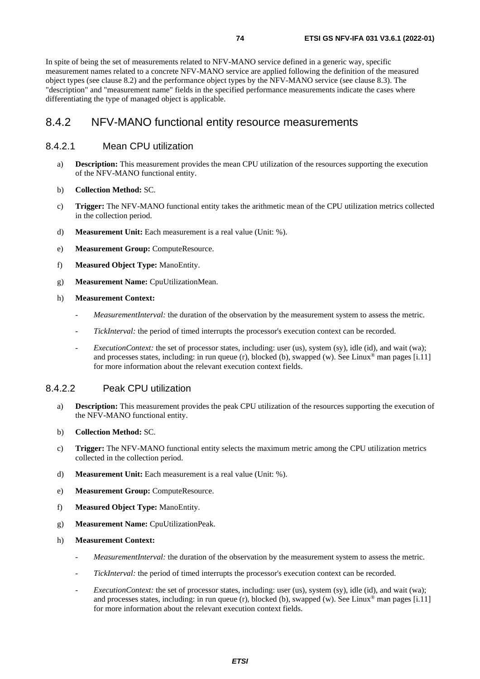In spite of being the set of measurements related to NFV-MANO service defined in a generic way, specific measurement names related to a concrete NFV-MANO service are applied following the definition of the measured object types (see clause 8.2) and the performance object types by the NFV-MANO service (see clause 8.3). The "description" and "measurement name" fields in the specified performance measurements indicate the cases where differentiating the type of managed object is applicable.

# 8.4.2 NFV-MANO functional entity resource measurements

## 8.4.2.1 Mean CPU utilization

- a) **Description:** This measurement provides the mean CPU utilization of the resources supporting the execution of the NFV-MANO functional entity.
- b) **Collection Method:** SC.
- c) **Trigger:** The NFV-MANO functional entity takes the arithmetic mean of the CPU utilization metrics collected in the collection period.
- d) **Measurement Unit:** Each measurement is a real value (Unit: %).
- e) **Measurement Group:** ComputeResource.
- f) **Measured Object Type:** ManoEntity.
- g) **Measurement Name:** CpuUtilizationMean.
- h) **Measurement Context:**
	- *MeasurementInterval:* the duration of the observation by the measurement system to assess the metric.
	- *TickInterval:* the period of timed interrupts the processor's execution context can be recorded.
	- *ExecutionContext:* the set of processor states, including: user (us), system (sy), idle (id), and wait (wa); and processes states, including: in run queue (r), blocked (b), swapped (w). See Linux® man pages [\[i.11](#page-11-0)] for more information about the relevant execution context fields.

### 8.4.2.2 Peak CPU utilization

- a) **Description:** This measurement provides the peak CPU utilization of the resources supporting the execution of the NFV-MANO functional entity.
- b) **Collection Method:** SC.
- c) **Trigger:** The NFV-MANO functional entity selects the maximum metric among the CPU utilization metrics collected in the collection period.
- d) **Measurement Unit:** Each measurement is a real value (Unit: %).
- e) **Measurement Group:** ComputeResource.
- f) **Measured Object Type:** ManoEntity.
- g) **Measurement Name:** CpuUtilizationPeak.
- h) **Measurement Context:**
	- *MeasurementInterval:* the duration of the observation by the measurement system to assess the metric.
	- *TickInterval:* the period of timed interrupts the processor's execution context can be recorded.
	- *ExecutionContext:* the set of processor states, including: user (us), system (sy), idle (id), and wait (wa); and processes states, including: in run queue (r), blocked (b), swapped (w). See Linux<sup>®</sup> man pages [\[i.11](#page-11-0)] for more information about the relevant execution context fields.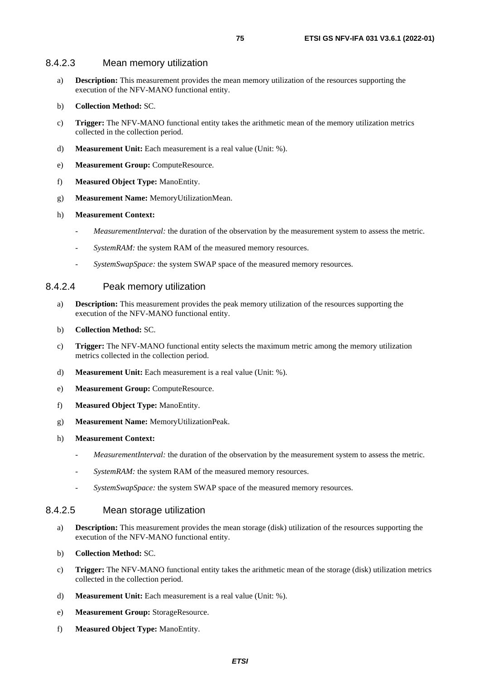### 8.4.2.3 Mean memory utilization

- a) **Description:** This measurement provides the mean memory utilization of the resources supporting the execution of the NFV-MANO functional entity.
- b) **Collection Method:** SC.
- c) **Trigger:** The NFV-MANO functional entity takes the arithmetic mean of the memory utilization metrics collected in the collection period.
- d) **Measurement Unit:** Each measurement is a real value (Unit: %).
- e) **Measurement Group:** ComputeResource.
- f) **Measured Object Type:** ManoEntity.
- g) **Measurement Name:** MemoryUtilizationMean.
- h) **Measurement Context:**
	- *MeasurementInterval:* the duration of the observation by the measurement system to assess the metric.
	- SystemRAM: the system RAM of the measured memory resources.
	- *SystemSwapSpace:* the system SWAP space of the measured memory resources.

## 8.4.2.4 Peak memory utilization

- a) **Description:** This measurement provides the peak memory utilization of the resources supporting the execution of the NFV-MANO functional entity.
- b) **Collection Method:** SC.
- c) **Trigger:** The NFV-MANO functional entity selects the maximum metric among the memory utilization metrics collected in the collection period.
- d) **Measurement Unit:** Each measurement is a real value (Unit: %).
- e) **Measurement Group:** ComputeResource.
- f) **Measured Object Type:** ManoEntity.
- g) **Measurement Name:** MemoryUtilizationPeak.
- h) **Measurement Context:**
	- *MeasurementInterval:* the duration of the observation by the measurement system to assess the metric.
	- SystemRAM: the system RAM of the measured memory resources.
	- *SystemSwapSpace:* the system SWAP space of the measured memory resources.

## 8.4.2.5 Mean storage utilization

- a) **Description:** This measurement provides the mean storage (disk) utilization of the resources supporting the execution of the NFV-MANO functional entity.
- b) **Collection Method:** SC.
- c) **Trigger:** The NFV-MANO functional entity takes the arithmetic mean of the storage (disk) utilization metrics collected in the collection period.
- d) **Measurement Unit:** Each measurement is a real value (Unit: %).
- e) **Measurement Group:** StorageResource.
- f) **Measured Object Type:** ManoEntity.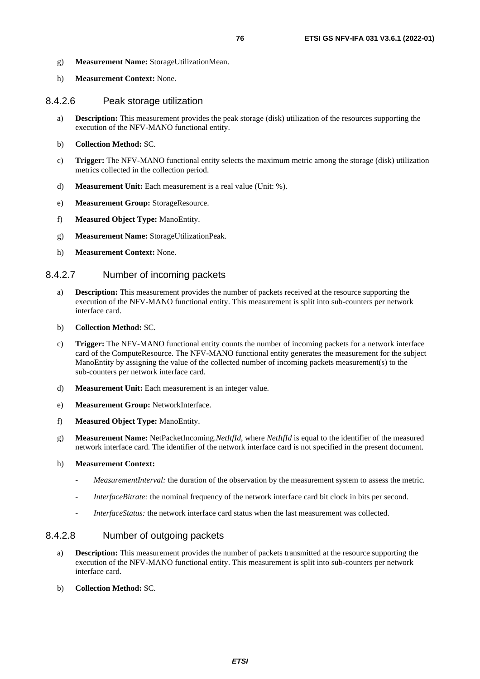- g) **Measurement Name:** StorageUtilizationMean.
- h) **Measurement Context:** None.

#### 8.4.2.6 Peak storage utilization

- a) **Description:** This measurement provides the peak storage (disk) utilization of the resources supporting the execution of the NFV-MANO functional entity.
- b) **Collection Method:** SC.
- c) **Trigger:** The NFV-MANO functional entity selects the maximum metric among the storage (disk) utilization metrics collected in the collection period.
- d) **Measurement Unit:** Each measurement is a real value (Unit: %).
- e) **Measurement Group:** StorageResource.
- f) **Measured Object Type:** ManoEntity.
- g) **Measurement Name:** StorageUtilizationPeak.
- h) **Measurement Context:** None.

### 8.4.2.7 Number of incoming packets

- a) **Description:** This measurement provides the number of packets received at the resource supporting the execution of the NFV-MANO functional entity. This measurement is split into sub-counters per network interface card.
- b) **Collection Method:** SC.
- c) **Trigger:** The NFV-MANO functional entity counts the number of incoming packets for a network interface card of the ComputeResource. The NFV-MANO functional entity generates the measurement for the subject ManoEntity by assigning the value of the collected number of incoming packets measurement(s) to the sub-counters per network interface card.
- d) **Measurement Unit:** Each measurement is an integer value.
- e) **Measurement Group:** NetworkInterface.
- f) **Measured Object Type:** ManoEntity.
- g) **Measurement Name:** NetPacketIncoming.*NetItfId*, where *NetItfId* is equal to the identifier of the measured network interface card. The identifier of the network interface card is not specified in the present document.

#### h) **Measurement Context:**

- MeasurementInterval: the duration of the observation by the measurement system to assess the metric.
- *InterfaceBitrate:* the nominal frequency of the network interface card bit clock in bits per second.
- *InterfaceStatus:* the network interface card status when the last measurement was collected.

## 8.4.2.8 Number of outgoing packets

- a) **Description:** This measurement provides the number of packets transmitted at the resource supporting the execution of the NFV-MANO functional entity. This measurement is split into sub-counters per network interface card.
- b) **Collection Method:** SC.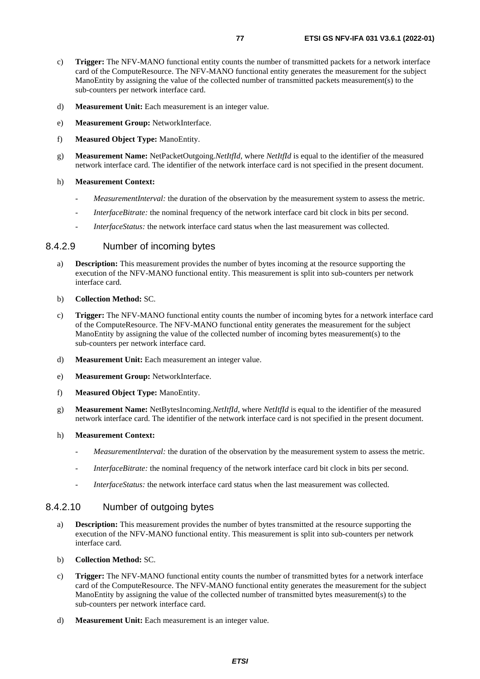- c) **Trigger:** The NFV-MANO functional entity counts the number of transmitted packets for a network interface card of the ComputeResource. The NFV-MANO functional entity generates the measurement for the subject ManoEntity by assigning the value of the collected number of transmitted packets measurement(s) to the sub-counters per network interface card.
- d) **Measurement Unit:** Each measurement is an integer value.
- e) **Measurement Group:** NetworkInterface.
- f) **Measured Object Type:** ManoEntity.
- g) **Measurement Name:** NetPacketOutgoing.*NetItfId*, where *NetItfId* is equal to the identifier of the measured network interface card. The identifier of the network interface card is not specified in the present document.

#### h) **Measurement Context:**

- *MeasurementInterval:* the duration of the observation by the measurement system to assess the metric.
- *InterfaceBitrate:* the nominal frequency of the network interface card bit clock in bits per second.
- *InterfaceStatus:* the network interface card status when the last measurement was collected.

### 8.4.2.9 Number of incoming bytes

- a) **Description:** This measurement provides the number of bytes incoming at the resource supporting the execution of the NFV-MANO functional entity. This measurement is split into sub-counters per network interface card.
- b) **Collection Method:** SC.
- c) **Trigger:** The NFV-MANO functional entity counts the number of incoming bytes for a network interface card of the ComputeResource. The NFV-MANO functional entity generates the measurement for the subject ManoEntity by assigning the value of the collected number of incoming bytes measurement(s) to the sub-counters per network interface card.
- d) **Measurement Unit:** Each measurement an integer value.
- e) **Measurement Group:** NetworkInterface.
- f) **Measured Object Type:** ManoEntity.
- g) **Measurement Name:** NetBytesIncoming.*NetItfId*, where *NetItfId* is equal to the identifier of the measured network interface card. The identifier of the network interface card is not specified in the present document.

#### h) **Measurement Context:**

- *MeasurementInterval:* the duration of the observation by the measurement system to assess the metric.
- *InterfaceBitrate:* the nominal frequency of the network interface card bit clock in bits per second.
- *InterfaceStatus:* the network interface card status when the last measurement was collected.

## 8.4.2.10 Number of outgoing bytes

- a) **Description:** This measurement provides the number of bytes transmitted at the resource supporting the execution of the NFV-MANO functional entity. This measurement is split into sub-counters per network interface card.
- b) **Collection Method:** SC.
- c) **Trigger:** The NFV-MANO functional entity counts the number of transmitted bytes for a network interface card of the ComputeResource. The NFV-MANO functional entity generates the measurement for the subject ManoEntity by assigning the value of the collected number of transmitted bytes measurement(s) to the sub-counters per network interface card.
- d) **Measurement Unit:** Each measurement is an integer value.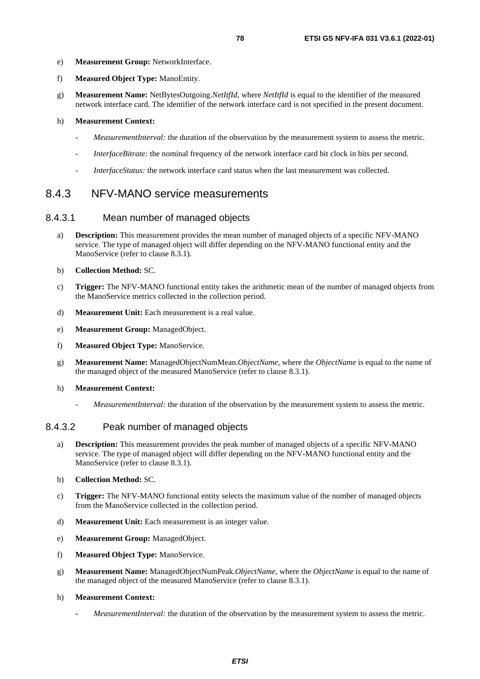- e) **Measurement Group:** NetworkInterface.
- f) **Measured Object Type:** ManoEntity.
- g) **Measurement Name:** NetBytesOutgoing.*NetItfId*, where *NetItfId* is equal to the identifier of the measured network interface card. The identifier of the network interface card is not specified in the present document.

#### h) **Measurement Context:**

- *MeasurementInterval:* the duration of the observation by the measurement system to assess the metric.
- *InterfaceBitrate:* the nominal frequency of the network interface card bit clock in bits per second.
- *InterfaceStatus:* the network interface card status when the last measurement was collected.

## 8.4.3 NFV-MANO service measurements

### 8.4.3.1 Mean number of managed objects

- a) **Description:** This measurement provides the mean number of managed objects of a specific NFV-MANO service. The type of managed object will differ depending on the NFV-MANO functional entity and the ManoService (refer to clause 8.3.1).
- b) **Collection Method:** SC.
- c) **Trigger:** The NFV-MANO functional entity takes the arithmetic mean of the number of managed objects from the ManoService metrics collected in the collection period.
- d) **Measurement Unit:** Each measurement is a real value.
- e) **Measurement Group:** ManagedObject.
- f) **Measured Object Type:** ManoService.
- g) **Measurement Name:** ManagedObjectNumMean.*ObjectName*, where the *ObjectName* is equal to the name of the managed object of the measured ManoService (refer to clause 8.3.1).
- h) **Measurement Context:**
	- *MeasurementInterval:* the duration of the observation by the measurement system to assess the metric.

### 8.4.3.2 Peak number of managed objects

- a) **Description:** This measurement provides the peak number of managed objects of a specific NFV-MANO service. The type of managed object will differ depending on the NFV-MANO functional entity and the ManoService (refer to clause 8.3.1).
- b) **Collection Method:** SC.
- c) **Trigger:** The NFV-MANO functional entity selects the maximum value of the number of managed objects from the ManoService collected in the collection period.
- d) **Measurement Unit:** Each measurement is an integer value.
- e) **Measurement Group:** ManagedObject.
- f) **Measured Object Type:** ManoService.
- g) **Measurement Name:** ManagedObjectNumPeak.*ObjectName*, where the *ObjectName* is equal to the name of the managed object of the measured ManoService (refer to clause 8.3.1).
- h) **Measurement Context:**
	- *MeasurementInterval:* the duration of the observation by the measurement system to assess the metric.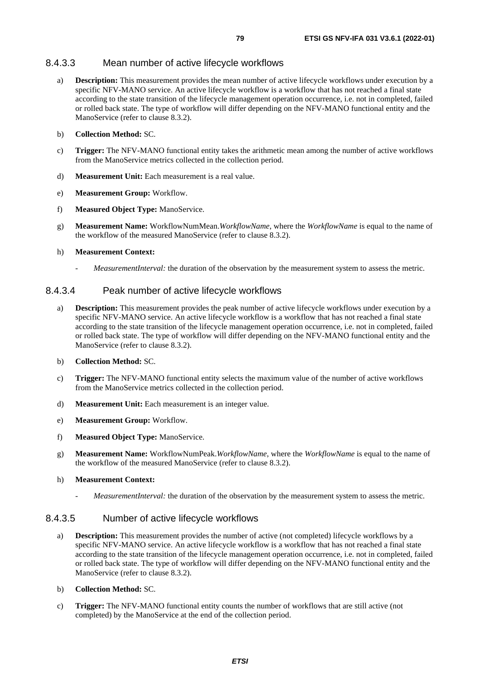## 8.4.3.3 Mean number of active lifecycle workflows

- a) **Description:** This measurement provides the mean number of active lifecycle workflows under execution by a specific NFV-MANO service. An active lifecycle workflow is a workflow that has not reached a final state according to the state transition of the lifecycle management operation occurrence, i.e. not in completed, failed or rolled back state. The type of workflow will differ depending on the NFV-MANO functional entity and the ManoService (refer to clause 8.3.2).
- b) **Collection Method:** SC.
- c) **Trigger:** The NFV-MANO functional entity takes the arithmetic mean among the number of active workflows from the ManoService metrics collected in the collection period.
- d) **Measurement Unit:** Each measurement is a real value.
- e) **Measurement Group:** Workflow.
- f) **Measured Object Type:** ManoService.
- g) **Measurement Name:** WorkflowNumMean.*WorkflowName*, where the *WorkflowName* is equal to the name of the workflow of the measured ManoService (refer to clause 8.3.2).

## h) **Measurement Context:**

*MeasurementInterval:* the duration of the observation by the measurement system to assess the metric.

## 8.4.3.4 Peak number of active lifecycle workflows

- a) **Description:** This measurement provides the peak number of active lifecycle workflows under execution by a specific NFV-MANO service. An active lifecycle workflow is a workflow that has not reached a final state according to the state transition of the lifecycle management operation occurrence, i.e. not in completed, failed or rolled back state. The type of workflow will differ depending on the NFV-MANO functional entity and the ManoService (refer to clause 8.3.2).
- b) **Collection Method:** SC.
- c) **Trigger:** The NFV-MANO functional entity selects the maximum value of the number of active workflows from the ManoService metrics collected in the collection period.
- d) **Measurement Unit:** Each measurement is an integer value.
- e) **Measurement Group:** Workflow.
- f) **Measured Object Type:** ManoService.
- g) **Measurement Name:** WorkflowNumPeak.*WorkflowName*, where the *WorkflowName* is equal to the name of the workflow of the measured ManoService (refer to clause 8.3.2).
- h) **Measurement Context:**
	- *MeasurementInterval:* the duration of the observation by the measurement system to assess the metric.

# 8.4.3.5 Number of active lifecycle workflows

- a) **Description:** This measurement provides the number of active (not completed) lifecycle workflows by a specific NFV-MANO service. An active lifecycle workflow is a workflow that has not reached a final state according to the state transition of the lifecycle management operation occurrence, i.e. not in completed, failed or rolled back state. The type of workflow will differ depending on the NFV-MANO functional entity and the ManoService (refer to clause 8.3.2).
- b) **Collection Method:** SC.
- c) **Trigger:** The NFV-MANO functional entity counts the number of workflows that are still active (not completed) by the ManoService at the end of the collection period.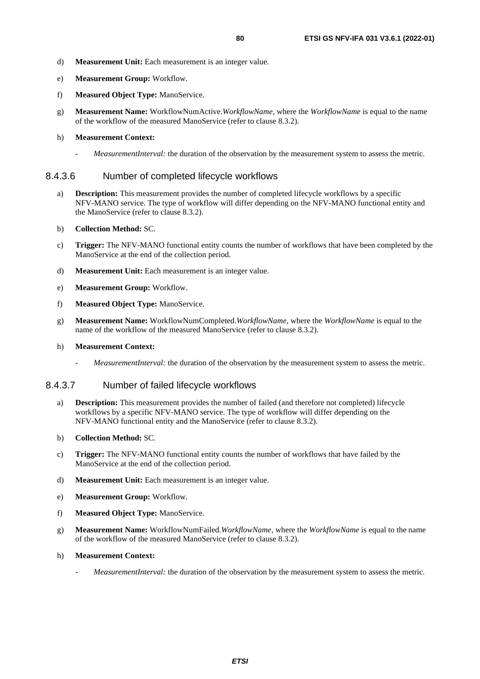- d) **Measurement Unit:** Each measurement is an integer value.
- e) **Measurement Group:** Workflow.
- f) **Measured Object Type:** ManoService.
- g) **Measurement Name:** WorkflowNumActive.*WorkflowName*, where the *WorkflowName* is equal to the name of the workflow of the measured ManoService (refer to clause 8.3.2).

#### h) **Measurement Context:**

*MeasurementInterval:* the duration of the observation by the measurement system to assess the metric.

### 8.4.3.6 Number of completed lifecycle workflows

- a) **Description:** This measurement provides the number of completed lifecycle workflows by a specific NFV-MANO service. The type of workflow will differ depending on the NFV-MANO functional entity and the ManoService (refer to clause 8.3.2).
- b) **Collection Method:** SC.
- c) **Trigger:** The NFV-MANO functional entity counts the number of workflows that have been completed by the ManoService at the end of the collection period.
- d) **Measurement Unit:** Each measurement is an integer value.
- e) **Measurement Group:** Workflow.
- f) **Measured Object Type:** ManoService.
- g) **Measurement Name:** WorkflowNumCompleted.*WorkflowName*, where the *WorkflowName* is equal to the name of the workflow of the measured ManoService (refer to clause 8.3.2).
- h) **Measurement Context:** 
	- *MeasurementInterval:* the duration of the observation by the measurement system to assess the metric.

## 8.4.3.7 Number of failed lifecycle workflows

- a) **Description:** This measurement provides the number of failed (and therefore not completed) lifecycle workflows by a specific NFV-MANO service. The type of workflow will differ depending on the NFV-MANO functional entity and the ManoService (refer to clause 8.3.2).
- b) **Collection Method:** SC.
- c) **Trigger:** The NFV-MANO functional entity counts the number of workflows that have failed by the ManoService at the end of the collection period.
- d) **Measurement Unit:** Each measurement is an integer value.
- e) **Measurement Group:** Workflow.
- f) **Measured Object Type:** ManoService.
- g) **Measurement Name:** WorkflowNumFailed.*WorkflowName*, where the *WorkflowName* is equal to the name of the workflow of the measured ManoService (refer to clause 8.3.2).
- h) **Measurement Context:**
	- *MeasurementInterval:* the duration of the observation by the measurement system to assess the metric.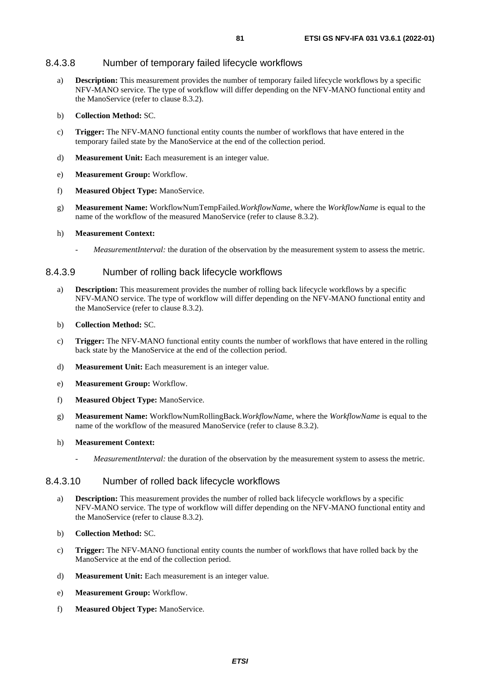### 8.4.3.8 Number of temporary failed lifecycle workflows

a) **Description:** This measurement provides the number of temporary failed lifecycle workflows by a specific NFV-MANO service. The type of workflow will differ depending on the NFV-MANO functional entity and the ManoService (refer to clause 8.3.2).

#### b) **Collection Method:** SC.

- c) **Trigger:** The NFV-MANO functional entity counts the number of workflows that have entered in the temporary failed state by the ManoService at the end of the collection period.
- d) **Measurement Unit:** Each measurement is an integer value.
- e) **Measurement Group:** Workflow.
- f) **Measured Object Type:** ManoService.
- g) **Measurement Name:** WorkflowNumTempFailed.*WorkflowName*, where the *WorkflowName* is equal to the name of the workflow of the measured ManoService (refer to clause 8.3.2).
- h) **Measurement Context:**
	- *MeasurementInterval:* the duration of the observation by the measurement system to assess the metric.

### 8.4.3.9 Number of rolling back lifecycle workflows

- a) **Description:** This measurement provides the number of rolling back lifecycle workflows by a specific NFV-MANO service. The type of workflow will differ depending on the NFV-MANO functional entity and the ManoService (refer to clause 8.3.2).
- b) **Collection Method:** SC.
- c) **Trigger:** The NFV-MANO functional entity counts the number of workflows that have entered in the rolling back state by the ManoService at the end of the collection period.
- d) **Measurement Unit:** Each measurement is an integer value.
- e) **Measurement Group:** Workflow.
- f) **Measured Object Type:** ManoService.
- g) **Measurement Name:** WorkflowNumRollingBack.*WorkflowName*, where the *WorkflowName* is equal to the name of the workflow of the measured ManoService (refer to clause 8.3.2).
- h) **Measurement Context:**
	- *MeasurementInterval:* the duration of the observation by the measurement system to assess the metric.

### 8.4.3.10 Number of rolled back lifecycle workflows

- a) **Description:** This measurement provides the number of rolled back lifecycle workflows by a specific NFV-MANO service. The type of workflow will differ depending on the NFV-MANO functional entity and the ManoService (refer to clause 8.3.2).
- b) **Collection Method:** SC.
- c) **Trigger:** The NFV-MANO functional entity counts the number of workflows that have rolled back by the ManoService at the end of the collection period.
- d) **Measurement Unit:** Each measurement is an integer value.
- e) **Measurement Group:** Workflow.
- f) **Measured Object Type:** ManoService.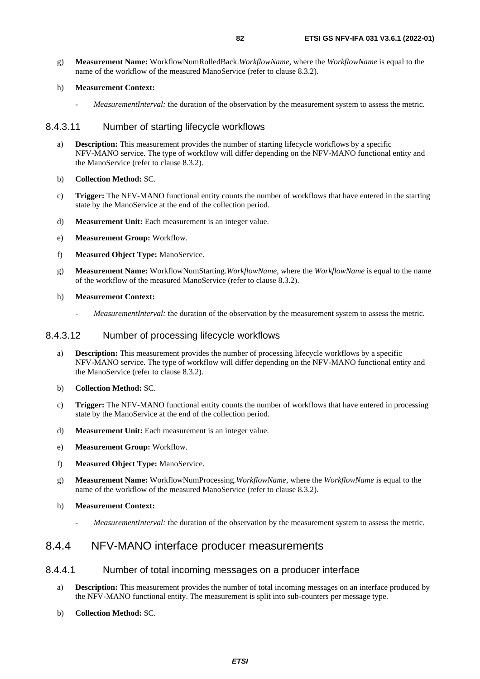g) **Measurement Name:** WorkflowNumRolledBack.*WorkflowName*, where the *WorkflowName* is equal to the name of the workflow of the measured ManoService (refer to clause 8.3.2).

#### h) **Measurement Context:**

*MeasurementInterval:* the duration of the observation by the measurement system to assess the metric.

### 8.4.3.11 Number of starting lifecycle workflows

- a) **Description:** This measurement provides the number of starting lifecycle workflows by a specific NFV-MANO service. The type of workflow will differ depending on the NFV-MANO functional entity and the ManoService (refer to clause 8.3.2).
- b) **Collection Method:** SC.
- c) **Trigger:** The NFV-MANO functional entity counts the number of workflows that have entered in the starting state by the ManoService at the end of the collection period.
- d) **Measurement Unit:** Each measurement is an integer value.
- e) **Measurement Group:** Workflow.
- f) **Measured Object Type:** ManoService.
- g) **Measurement Name:** WorkflowNumStarting.*WorkflowName*, where the *WorkflowName* is equal to the name of the workflow of the measured ManoService (refer to clause 8.3.2).
- h) **Measurement Context:**
	- *MeasurementInterval:* the duration of the observation by the measurement system to assess the metric.

### 8.4.3.12 Number of processing lifecycle workflows

- a) **Description:** This measurement provides the number of processing lifecycle workflows by a specific NFV-MANO service. The type of workflow will differ depending on the NFV-MANO functional entity and the ManoService (refer to clause 8.3.2).
- b) **Collection Method:** SC.
- c) **Trigger:** The NFV-MANO functional entity counts the number of workflows that have entered in processing state by the ManoService at the end of the collection period.
- d) **Measurement Unit:** Each measurement is an integer value.
- e) **Measurement Group:** Workflow.
- f) **Measured Object Type:** ManoService.
- g) **Measurement Name:** WorkflowNumProcessing.*WorkflowName*, where the *WorkflowName* is equal to the name of the workflow of the measured ManoService (refer to clause 8.3.2).
- h) **Measurement Context:**
	- *MeasurementInterval:* the duration of the observation by the measurement system to assess the metric.

## 8.4.4 NFV-MANO interface producer measurements

## 8.4.4.1 Number of total incoming messages on a producer interface

- a) **Description:** This measurement provides the number of total incoming messages on an interface produced by the NFV-MANO functional entity. The measurement is split into sub-counters per message type.
- b) **Collection Method:** SC.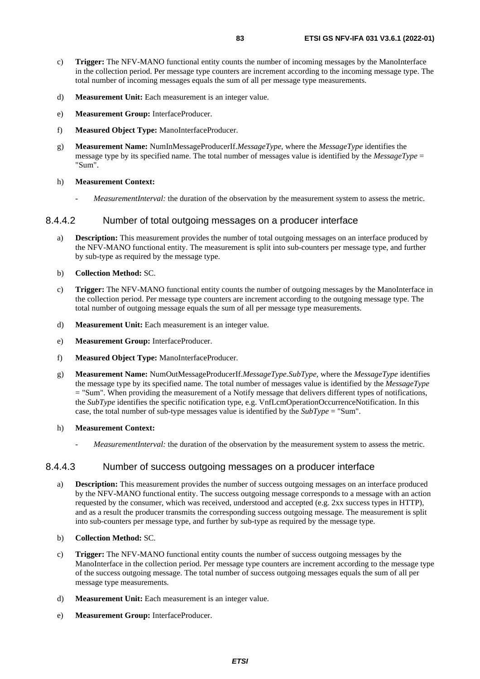- c) **Trigger:** The NFV-MANO functional entity counts the number of incoming messages by the ManoInterface in the collection period. Per message type counters are increment according to the incoming message type. The total number of incoming messages equals the sum of all per message type measurements.
- d) **Measurement Unit:** Each measurement is an integer value.
- e) **Measurement Group:** InterfaceProducer.
- f) **Measured Object Type:** ManoInterfaceProducer.
- g) **Measurement Name:** NumInMessageProducerIf.*MessageType*, where the *MessageType* identifies the message type by its specified name. The total number of messages value is identified by the *MessageType* = "Sum".
- h) **Measurement Context:**
	- *MeasurementInterval:* the duration of the observation by the measurement system to assess the metric.

#### 8.4.4.2 Number of total outgoing messages on a producer interface

- a) **Description:** This measurement provides the number of total outgoing messages on an interface produced by the NFV-MANO functional entity. The measurement is split into sub-counters per message type, and further by sub-type as required by the message type.
- b) **Collection Method:** SC.
- c) **Trigger:** The NFV-MANO functional entity counts the number of outgoing messages by the ManoInterface in the collection period. Per message type counters are increment according to the outgoing message type. The total number of outgoing message equals the sum of all per message type measurements.
- d) **Measurement Unit:** Each measurement is an integer value.
- e) **Measurement Group:** InterfaceProducer.
- f) **Measured Object Type:** ManoInterfaceProducer.
- g) **Measurement Name:** NumOutMessageProducerIf.*MessageType.SubType*, where the *MessageType* identifies the message type by its specified name. The total number of messages value is identified by the *MessageType* = "Sum". When providing the measurement of a Notify message that delivers different types of notifications, the *SubType* identifies the specific notification type, e.g. VnfLcmOperationOccurrenceNotification. In this case, the total number of sub-type messages value is identified by the *SubType* = "Sum".

#### h) **Measurement Context:**

MeasurementInterval: the duration of the observation by the measurement system to assess the metric.

### 8.4.4.3 Number of success outgoing messages on a producer interface

- a) **Description:** This measurement provides the number of success outgoing messages on an interface produced by the NFV-MANO functional entity. The success outgoing message corresponds to a message with an action requested by the consumer, which was received, understood and accepted (e.g. 2xx success types in HTTP), and as a result the producer transmits the corresponding success outgoing message. The measurement is split into sub-counters per message type, and further by sub-type as required by the message type.
- b) **Collection Method:** SC.
- c) **Trigger:** The NFV-MANO functional entity counts the number of success outgoing messages by the ManoInterface in the collection period. Per message type counters are increment according to the message type of the success outgoing message. The total number of success outgoing messages equals the sum of all per message type measurements.
- d) **Measurement Unit:** Each measurement is an integer value.
- e) **Measurement Group:** InterfaceProducer.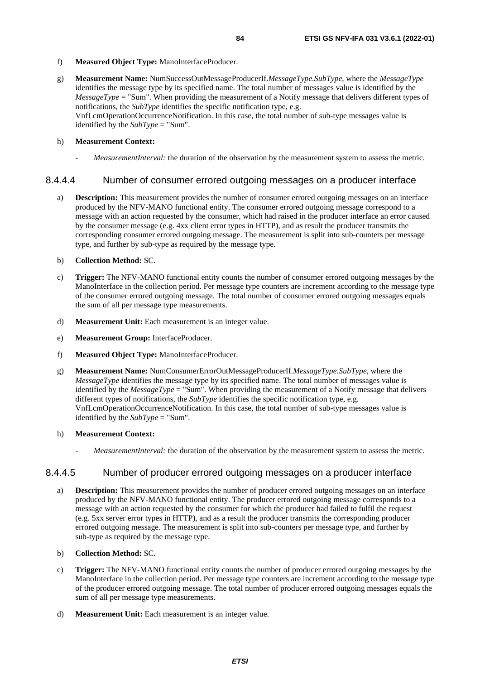- f) **Measured Object Type:** ManoInterfaceProducer.
- g) **Measurement Name:** NumSuccessOutMessageProducerIf.*MessageType.SubType*, where the *MessageType* identifies the message type by its specified name. The total number of messages value is identified by the *MessageType* = "Sum". When providing the measurement of a Notify message that delivers different types of notifications, the *SubType* identifies the specific notification type, e.g. VnfLcmOperationOccurrenceNotification. In this case, the total number of sub-type messages value is identified by the *SubType* = "Sum".

#### h) **Measurement Context:**

*MeasurementInterval:* the duration of the observation by the measurement system to assess the metric.

### 8.4.4.4 Number of consumer errored outgoing messages on a producer interface

- a) **Description:** This measurement provides the number of consumer errored outgoing messages on an interface produced by the NFV-MANO functional entity. The consumer errored outgoing message correspond to a message with an action requested by the consumer, which had raised in the producer interface an error caused by the consumer message (e.g. 4xx client error types in HTTP), and as result the producer transmits the corresponding consumer errored outgoing message. The measurement is split into sub-counters per message type, and further by sub-type as required by the message type.
- b) **Collection Method:** SC.
- c) **Trigger:** The NFV-MANO functional entity counts the number of consumer errored outgoing messages by the ManoInterface in the collection period. Per message type counters are increment according to the message type of the consumer errored outgoing message. The total number of consumer errored outgoing messages equals the sum of all per message type measurements.
- d) **Measurement Unit:** Each measurement is an integer value.
- e) **Measurement Group:** InterfaceProducer.
- f) **Measured Object Type:** ManoInterfaceProducer.
- g) **Measurement Name:** NumConsumerErrorOutMessageProducerIf.*MessageType.SubType*, where the *MessageType* identifies the message type by its specified name. The total number of messages value is identified by the *MessageType* = "Sum". When providing the measurement of a Notify message that delivers different types of notifications, the *SubType* identifies the specific notification type, e.g. VnfLcmOperationOccurrenceNotification. In this case, the total number of sub-type messages value is identified by the *SubType* = "Sum".

#### h) **Measurement Context:**

*MeasurementInterval:* the duration of the observation by the measurement system to assess the metric.

## 8.4.4.5 Number of producer errored outgoing messages on a producer interface

- a) **Description:** This measurement provides the number of producer errored outgoing messages on an interface produced by the NFV-MANO functional entity. The producer errored outgoing message corresponds to a message with an action requested by the consumer for which the producer had failed to fulfil the request (e.g. 5xx server error types in HTTP), and as a result the producer transmits the corresponding producer errored outgoing message. The measurement is split into sub-counters per message type, and further by sub-type as required by the message type.
- b) **Collection Method:** SC.
- c) **Trigger:** The NFV-MANO functional entity counts the number of producer errored outgoing messages by the ManoInterface in the collection period. Per message type counters are increment according to the message type of the producer errored outgoing message. The total number of producer errored outgoing messages equals the sum of all per message type measurements.
- d) **Measurement Unit:** Each measurement is an integer value.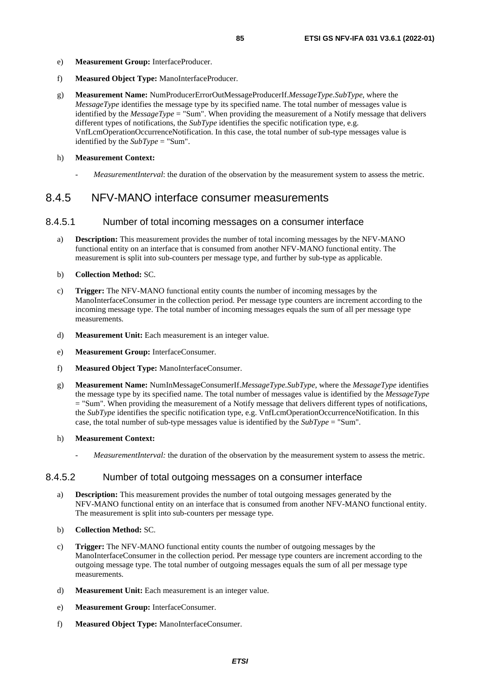- e) **Measurement Group:** InterfaceProducer.
- f) **Measured Object Type:** ManoInterfaceProducer.
- g) **Measurement Name:** NumProducerErrorOutMessageProducerIf.*MessageType.SubType*, where the *MessageType* identifies the message type by its specified name. The total number of messages value is identified by the *MessageType* = "Sum". When providing the measurement of a Notify message that delivers different types of notifications, the *SubType* identifies the specific notification type, e.g. VnfLcmOperationOccurrenceNotification. In this case, the total number of sub-type messages value is identified by the *SubType* = "Sum".

#### h) **Measurement Context:**

*MeasurementInterval*: the duration of the observation by the measurement system to assess the metric.

## 8.4.5 NFV-MANO interface consumer measurements

### 8.4.5.1 Number of total incoming messages on a consumer interface

- a) **Description:** This measurement provides the number of total incoming messages by the NFV-MANO functional entity on an interface that is consumed from another NFV-MANO functional entity. The measurement is split into sub-counters per message type, and further by sub-type as applicable.
- b) **Collection Method:** SC.
- c) **Trigger:** The NFV-MANO functional entity counts the number of incoming messages by the ManoInterfaceConsumer in the collection period. Per message type counters are increment according to the incoming message type. The total number of incoming messages equals the sum of all per message type measurements.
- d) **Measurement Unit:** Each measurement is an integer value.
- e) **Measurement Group:** InterfaceConsumer.
- f) **Measured Object Type:** ManoInterfaceConsumer.
- g) **Measurement Name:** NumInMessageConsumerIf.*MessageType.SubType*, where the *MessageType* identifies the message type by its specified name. The total number of messages value is identified by the *MessageType* = "Sum". When providing the measurement of a Notify message that delivers different types of notifications, the *SubType* identifies the specific notification type, e.g. VnfLcmOperationOccurrenceNotification. In this case, the total number of sub-type messages value is identified by the *SubType* = "Sum".

#### h) **Measurement Context:**

*MeasurementInterval:* the duration of the observation by the measurement system to assess the metric.

### 8.4.5.2 Number of total outgoing messages on a consumer interface

- a) **Description:** This measurement provides the number of total outgoing messages generated by the NFV-MANO functional entity on an interface that is consumed from another NFV-MANO functional entity. The measurement is split into sub-counters per message type.
- b) **Collection Method:** SC.
- c) **Trigger:** The NFV-MANO functional entity counts the number of outgoing messages by the ManoInterfaceConsumer in the collection period. Per message type counters are increment according to the outgoing message type. The total number of outgoing messages equals the sum of all per message type measurements.
- d) **Measurement Unit:** Each measurement is an integer value.
- e) **Measurement Group:** InterfaceConsumer.
- f) **Measured Object Type:** ManoInterfaceConsumer.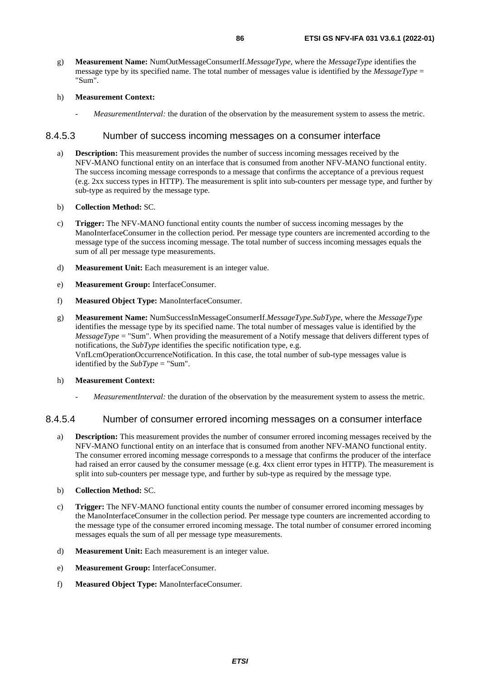g) **Measurement Name:** NumOutMessageConsumerIf.*MessageType*, where the *MessageType* identifies the message type by its specified name. The total number of messages value is identified by the *MessageType* = "Sum".

#### h) **Measurement Context:**

*MeasurementInterval:* the duration of the observation by the measurement system to assess the metric.

### 8.4.5.3 Number of success incoming messages on a consumer interface

a) **Description:** This measurement provides the number of success incoming messages received by the NFV-MANO functional entity on an interface that is consumed from another NFV-MANO functional entity. The success incoming message corresponds to a message that confirms the acceptance of a previous request (e.g. 2xx success types in HTTP). The measurement is split into sub-counters per message type, and further by sub-type as required by the message type.

#### b) **Collection Method:** SC.

- c) **Trigger:** The NFV-MANO functional entity counts the number of success incoming messages by the ManoInterfaceConsumer in the collection period. Per message type counters are incremented according to the message type of the success incoming message. The total number of success incoming messages equals the sum of all per message type measurements.
- d) **Measurement Unit:** Each measurement is an integer value.
- e) **Measurement Group:** InterfaceConsumer.
- f) **Measured Object Type:** ManoInterfaceConsumer.
- g) **Measurement Name:** NumSuccessInMessageConsumerIf.*MessageType.SubType*, where the *MessageType* identifies the message type by its specified name. The total number of messages value is identified by the *MessageType* = "Sum". When providing the measurement of a Notify message that delivers different types of notifications, the *SubType* identifies the specific notification type, e.g. VnfLcmOperationOccurrenceNotification. In this case, the total number of sub-type messages value is identified by the *SubType* = "Sum".

#### h) **Measurement Context:**

*MeasurementInterval:* the duration of the observation by the measurement system to assess the metric.

### 8.4.5.4 Number of consumer errored incoming messages on a consumer interface

a) **Description:** This measurement provides the number of consumer errored incoming messages received by the NFV-MANO functional entity on an interface that is consumed from another NFV-MANO functional entity. The consumer errored incoming message corresponds to a message that confirms the producer of the interface had raised an error caused by the consumer message (e.g. 4xx client error types in HTTP). The measurement is split into sub-counters per message type, and further by sub-type as required by the message type.

#### b) **Collection Method:** SC.

- c) **Trigger:** The NFV-MANO functional entity counts the number of consumer errored incoming messages by the ManoInterfaceConsumer in the collection period. Per message type counters are incremented according to the message type of the consumer errored incoming message. The total number of consumer errored incoming messages equals the sum of all per message type measurements.
- d) **Measurement Unit:** Each measurement is an integer value.
- e) **Measurement Group:** InterfaceConsumer.
- f) **Measured Object Type:** ManoInterfaceConsumer.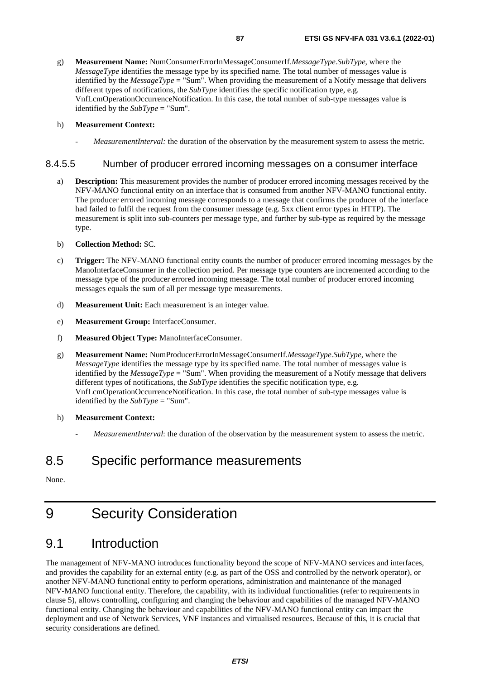g) **Measurement Name:** NumConsumerErrorInMessageConsumerIf.*MessageType.SubType*, where the *MessageType* identifies the message type by its specified name. The total number of messages value is identified by the *MessageType* = "Sum". When providing the measurement of a Notify message that delivers different types of notifications, the *SubType* identifies the specific notification type, e.g. VnfLcmOperationOccurrenceNotification. In this case, the total number of sub-type messages value is identified by the *SubType* = "Sum".

#### h) **Measurement Context:**

*MeasurementInterval:* the duration of the observation by the measurement system to assess the metric.

## 8.4.5.5 Number of producer errored incoming messages on a consumer interface

a) **Description:** This measurement provides the number of producer errored incoming messages received by the NFV-MANO functional entity on an interface that is consumed from another NFV-MANO functional entity. The producer errored incoming message corresponds to a message that confirms the producer of the interface had failed to fulfil the request from the consumer message (e.g. 5xx client error types in HTTP). The measurement is split into sub-counters per message type, and further by sub-type as required by the message type.

#### b) **Collection Method:** SC.

- c) **Trigger:** The NFV-MANO functional entity counts the number of producer errored incoming messages by the ManoInterfaceConsumer in the collection period. Per message type counters are incremented according to the message type of the producer errored incoming message. The total number of producer errored incoming messages equals the sum of all per message type measurements.
- d) **Measurement Unit:** Each measurement is an integer value.
- e) **Measurement Group:** InterfaceConsumer.
- f) **Measured Object Type:** ManoInterfaceConsumer.
- g) **Measurement Name:** NumProducerErrorInMessageConsumerIf.*MessageType.SubType*, where the *MessageType* identifies the message type by its specified name. The total number of messages value is identified by the *MessageType* = "Sum". When providing the measurement of a Notify message that delivers different types of notifications, the *SubType* identifies the specific notification type, e.g. VnfLcmOperationOccurrenceNotification. In this case, the total number of sub-type messages value is identified by the *SubType* = "Sum".

#### h) **Measurement Context:**

*MeasurementInterval*: the duration of the observation by the measurement system to assess the metric.

# 8.5 Specific performance measurements

None.

# 9 Security Consideration

# 9.1 Introduction

The management of NFV-MANO introduces functionality beyond the scope of NFV-MANO services and interfaces, and provides the capability for an external entity (e.g. as part of the OSS and controlled by the network operator), or another NFV-MANO functional entity to perform operations, administration and maintenance of the managed NFV-MANO functional entity. Therefore, the capability, with its individual functionalities (refer to requirements in clause 5), allows controlling, configuring and changing the behaviour and capabilities of the managed NFV-MANO functional entity. Changing the behaviour and capabilities of the NFV-MANO functional entity can impact the deployment and use of Network Services, VNF instances and virtualised resources. Because of this, it is crucial that security considerations are defined.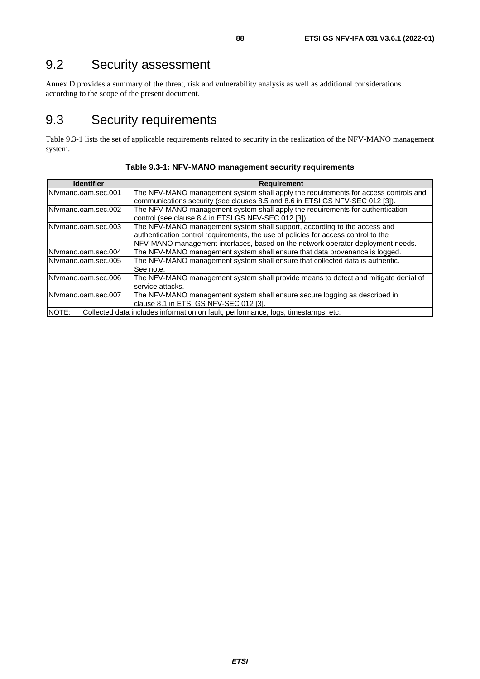# 9.2 Security assessment

Annex D provides a summary of the threat, risk and vulnerability analysis as well as additional considerations according to the scope of the present document.

# 9.3 Security requirements

Table 9.3-1 lists the set of applicable requirements related to security in the realization of the NFV-MANO management system.

| <b>Identifier</b>                                                                                 | <b>Requirement</b>                                                                                                                                                                                                                                 |  |
|---------------------------------------------------------------------------------------------------|----------------------------------------------------------------------------------------------------------------------------------------------------------------------------------------------------------------------------------------------------|--|
| Nfymano.oam.sec.001                                                                               | The NFV-MANO management system shall apply the requirements for access controls and<br>communications security (see clauses 8.5 and 8.6 in ETSI GS NFV-SEC 012 [3]).                                                                               |  |
| Nfymano.oam.sec.002                                                                               | The NFV-MANO management system shall apply the requirements for authentication<br>control (see clause 8.4 in ETSI GS NFV-SEC 012 [3]).                                                                                                             |  |
| Nfymano.oam.sec.003                                                                               | The NFV-MANO management system shall support, according to the access and<br>authentication control requirements, the use of policies for access control to the<br>NFV-MANO management interfaces, based on the network operator deployment needs. |  |
| Nfymano.oam.sec.004                                                                               | The NFV-MANO management system shall ensure that data provenance is logged.                                                                                                                                                                        |  |
| Nfymano.oam.sec.005                                                                               | The NFV-MANO management system shall ensure that collected data is authentic.<br>See note.                                                                                                                                                         |  |
| Nfymano.oam.sec.006                                                                               | The NFV-MANO management system shall provide means to detect and mitigate denial of<br>service attacks.                                                                                                                                            |  |
| Nfymano.oam.sec.007                                                                               | The NFV-MANO management system shall ensure secure logging as described in<br>clause 8.1 in ETSI GS NFV-SEC 012 [3].                                                                                                                               |  |
| <b>NOTE:</b><br>Collected data includes information on fault, performance, logs, timestamps, etc. |                                                                                                                                                                                                                                                    |  |

**Table 9.3-1: NFV-MANO management security requirements**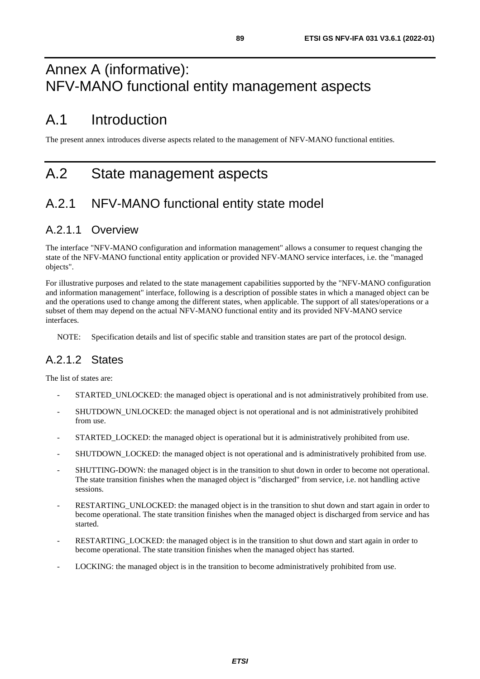# Annex A (informative): NFV-MANO functional entity management aspects

# A.1 Introduction

The present annex introduces diverse aspects related to the management of NFV-MANO functional entities.

# A.2 State management aspects

# A.2.1 NFV-MANO functional entity state model

## A.2.1.1 Overview

The interface "NFV-MANO configuration and information management" allows a consumer to request changing the state of the NFV-MANO functional entity application or provided NFV-MANO service interfaces, i.e. the "managed objects".

For illustrative purposes and related to the state management capabilities supported by the "NFV-MANO configuration and information management" interface, following is a description of possible states in which a managed object can be and the operations used to change among the different states, when applicable. The support of all states/operations or a subset of them may depend on the actual NFV-MANO functional entity and its provided NFV-MANO service interfaces.

NOTE: Specification details and list of specific stable and transition states are part of the protocol design.

# A.2.1.2 States

The list of states are:

- STARTED\_UNLOCKED: the managed object is operational and is not administratively prohibited from use.
- SHUTDOWN\_UNLOCKED: the managed object is not operational and is not administratively prohibited from use.
- STARTED\_LOCKED: the managed object is operational but it is administratively prohibited from use.
- SHUTDOWN\_LOCKED: the managed object is not operational and is administratively prohibited from use.
- SHUTTING-DOWN: the managed object is in the transition to shut down in order to become not operational. The state transition finishes when the managed object is "discharged" from service, i.e. not handling active sessions.
- RESTARTING UNLOCKED: the managed object is in the transition to shut down and start again in order to become operational. The state transition finishes when the managed object is discharged from service and has started.
- RESTARTING LOCKED: the managed object is in the transition to shut down and start again in order to become operational. The state transition finishes when the managed object has started.
- LOCKING: the managed object is in the transition to become administratively prohibited from use.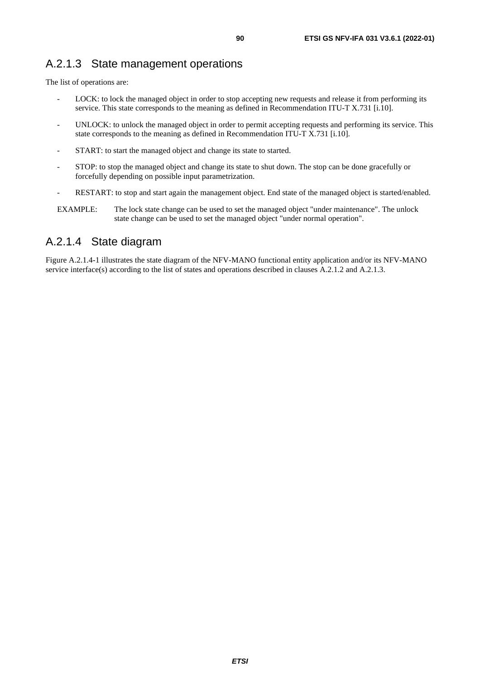# A.2.1.3 State management operations

The list of operations are:

- LOCK: to lock the managed object in order to stop accepting new requests and release it from performing its service. This state corresponds to the meaning as defined in Recommendation ITU-T X.731 [[i.10\]](#page-11-0).
- UNLOCK: to unlock the managed object in order to permit accepting requests and performing its service. This state corresponds to the meaning as defined in Recommendation ITU-T X.731 [[i.10](#page-11-0)].
- START: to start the managed object and change its state to started.
- STOP: to stop the managed object and change its state to shut down. The stop can be done gracefully or forcefully depending on possible input parametrization.
- RESTART: to stop and start again the management object. End state of the managed object is started/enabled.
- EXAMPLE: The lock state change can be used to set the managed object "under maintenance". The unlock state change can be used to set the managed object "under normal operation".

# A.2.1.4 State diagram

Figure A.2.1.4-1 illustrates the state diagram of the NFV-MANO functional entity application and/or its NFV-MANO service interface(s) according to the list of states and operations described in clauses A.2.1.2 and A.2.1.3.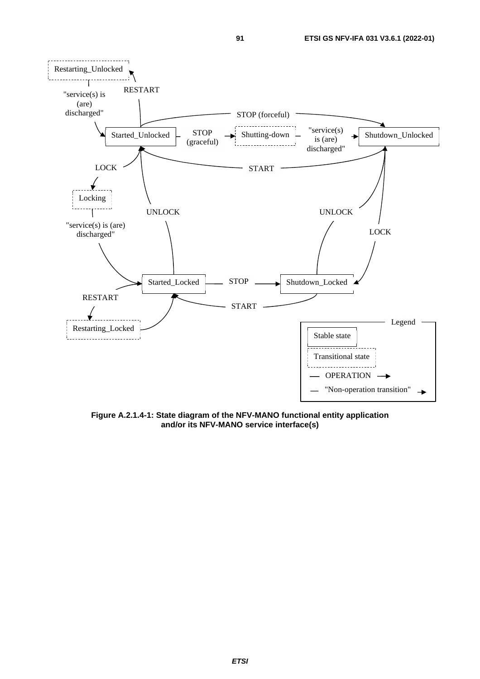

**Figure A.2.1.4-1: State diagram of the NFV-MANO functional entity application and/or its NFV-MANO service interface(s)**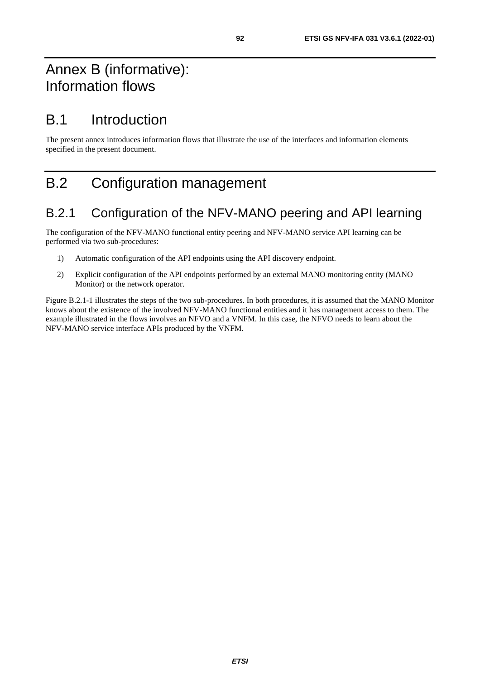# Annex B (informative): Information flows

# B.1 Introduction

The present annex introduces information flows that illustrate the use of the interfaces and information elements specified in the present document.

# B.2 Configuration management

# B.2.1 Configuration of the NFV-MANO peering and API learning

The configuration of the NFV-MANO functional entity peering and NFV-MANO service API learning can be performed via two sub-procedures:

- 1) Automatic configuration of the API endpoints using the API discovery endpoint.
- 2) Explicit configuration of the API endpoints performed by an external MANO monitoring entity (MANO Monitor) or the network operator.

Figure B.2.1-1 illustrates the steps of the two sub-procedures. In both procedures, it is assumed that the MANO Monitor knows about the existence of the involved NFV-MANO functional entities and it has management access to them. The example illustrated in the flows involves an NFVO and a VNFM. In this case, the NFVO needs to learn about the NFV-MANO service interface APIs produced by the VNFM.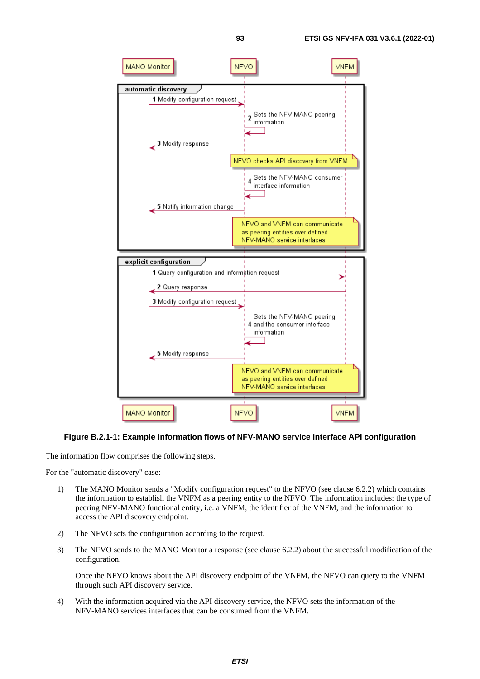

#### **Figure B.2.1-1: Example information flows of NFV-MANO service interface API configuration**

The information flow comprises the following steps.

For the "automatic discovery" case:

- 1) The MANO Monitor sends a "Modify configuration request" to the NFVO (see clause 6.2.2) which contains the information to establish the VNFM as a peering entity to the NFVO. The information includes: the type of peering NFV-MANO functional entity, i.e. a VNFM, the identifier of the VNFM, and the information to access the API discovery endpoint.
- 2) The NFVO sets the configuration according to the request.
- 3) The NFVO sends to the MANO Monitor a response (see clause 6.2.2) about the successful modification of the configuration.

 Once the NFVO knows about the API discovery endpoint of the VNFM, the NFVO can query to the VNFM through such API discovery service.

4) With the information acquired via the API discovery service, the NFVO sets the information of the NFV-MANO services interfaces that can be consumed from the VNFM.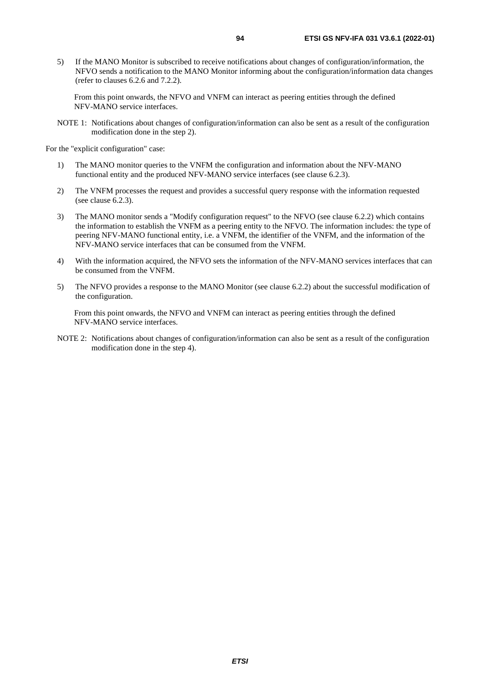5) If the MANO Monitor is subscribed to receive notifications about changes of configuration/information, the NFVO sends a notification to the MANO Monitor informing about the configuration/information data changes (refer to clauses 6.2.6 and 7.2.2).

 From this point onwards, the NFVO and VNFM can interact as peering entities through the defined NFV-MANO service interfaces.

NOTE 1: Notifications about changes of configuration/information can also be sent as a result of the configuration modification done in the step 2).

For the "explicit configuration" case:

- 1) The MANO monitor queries to the VNFM the configuration and information about the NFV-MANO functional entity and the produced NFV-MANO service interfaces (see clause 6.2.3).
- 2) The VNFM processes the request and provides a successful query response with the information requested (see clause 6.2.3).
- 3) The MANO monitor sends a "Modify configuration request" to the NFVO (see clause 6.2.2) which contains the information to establish the VNFM as a peering entity to the NFVO. The information includes: the type of peering NFV-MANO functional entity, i.e. a VNFM, the identifier of the VNFM, and the information of the NFV-MANO service interfaces that can be consumed from the VNFM.
- 4) With the information acquired, the NFVO sets the information of the NFV-MANO services interfaces that can be consumed from the VNFM.
- 5) The NFVO provides a response to the MANO Monitor (see clause 6.2.2) about the successful modification of the configuration.

 From this point onwards, the NFVO and VNFM can interact as peering entities through the defined NFV-MANO service interfaces.

NOTE 2: Notifications about changes of configuration/information can also be sent as a result of the configuration modification done in the step 4).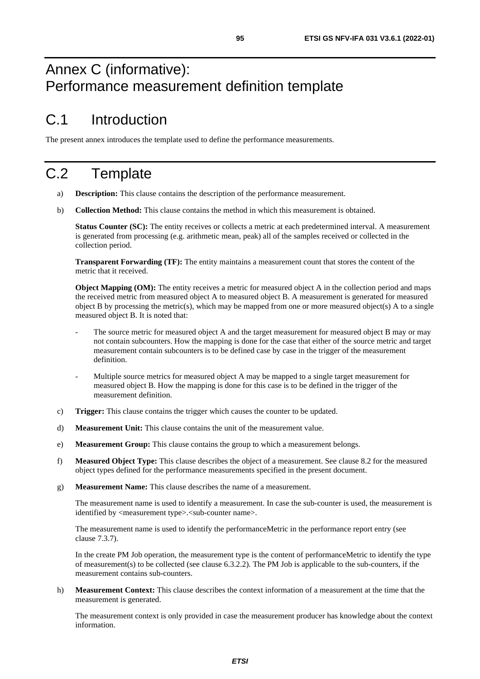# Annex C (informative): Performance measurement definition template

# C.1 Introduction

The present annex introduces the template used to define the performance measurements.

# C.2 Template

- a) **Description:** This clause contains the description of the performance measurement.
- b) **Collection Method:** This clause contains the method in which this measurement is obtained.

**Status Counter (SC):** The entity receives or collects a metric at each predetermined interval. A measurement is generated from processing (e.g. arithmetic mean, peak) all of the samples received or collected in the collection period.

**Transparent Forwarding (TF):** The entity maintains a measurement count that stores the content of the metric that it received.

**Object Mapping (OM):** The entity receives a metric for measured object A in the collection period and maps the received metric from measured object A to measured object B. A measurement is generated for measured object B by processing the metric(s), which may be mapped from one or more measured object(s) A to a single measured object B. It is noted that:

- The source metric for measured object A and the target measurement for measured object B may or may not contain subcounters. How the mapping is done for the case that either of the source metric and target measurement contain subcounters is to be defined case by case in the trigger of the measurement definition.
- Multiple source metrics for measured object A may be mapped to a single target measurement for measured object B. How the mapping is done for this case is to be defined in the trigger of the measurement definition.
- c) **Trigger:** This clause contains the trigger which causes the counter to be updated.
- d) **Measurement Unit:** This clause contains the unit of the measurement value.
- e) **Measurement Group:** This clause contains the group to which a measurement belongs.
- f) **Measured Object Type:** This clause describes the object of a measurement. See clause 8.2 for the measured object types defined for the performance measurements specified in the present document.
- g) **Measurement Name:** This clause describes the name of a measurement.

 The measurement name is used to identify a measurement. In case the sub-counter is used, the measurement is identified by <measurement type>.<sub-counter name>.

The measurement name is used to identify the performanceMetric in the performance report entry (see clause 7.3.7).

 In the create PM Job operation, the measurement type is the content of performanceMetric to identify the type of measurement(s) to be collected (see clause 6.3.2.2). The PM Job is applicable to the sub-counters, if the measurement contains sub-counters.

h) **Measurement Context:** This clause describes the context information of a measurement at the time that the measurement is generated.

 The measurement context is only provided in case the measurement producer has knowledge about the context information.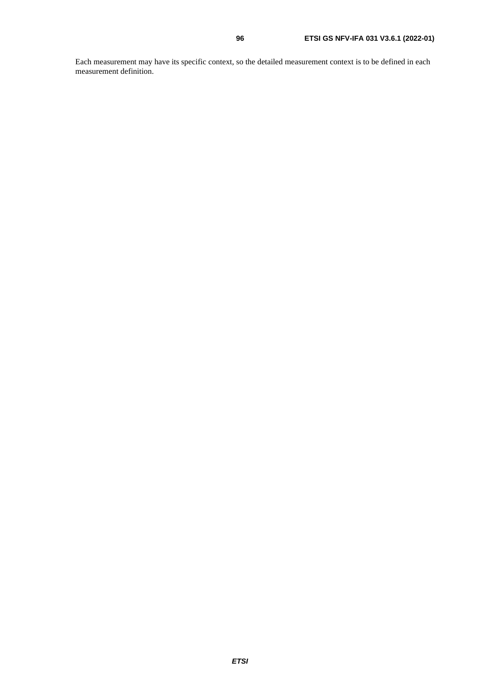Each measurement may have its specific context, so the detailed measurement context is to be defined in each measurement definition.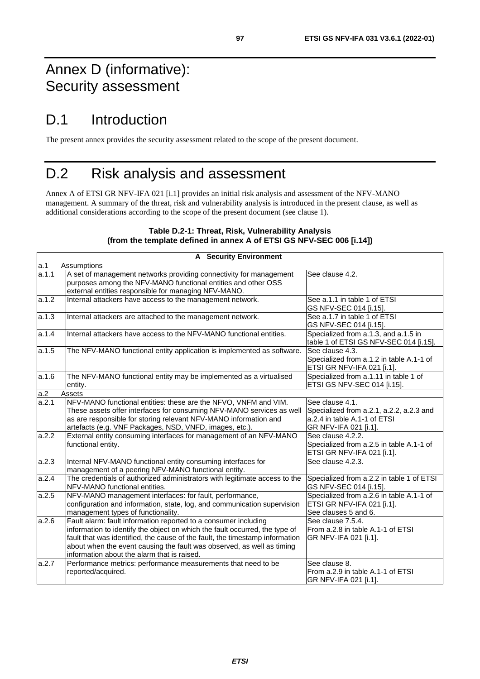# Annex D (informative): Security assessment

# D.1 Introduction

The present annex provides the security assessment related to the scope of the present document.

# D.2 Risk analysis and assessment

Annex A of ETSI GR NFV-IFA 021 [\[i.1](#page-10-0)] provides an initial risk analysis and assessment of the NFV-MANO management. A summary of the threat, risk and vulnerability analysis is introduced in the present clause, as well as additional considerations according to the scope of the present document (see clause 1).

### **Table D.2-1: Threat, Risk, Vulnerability Analysis (from the template defined in annex A of ETSI GS NFV-SEC 006 [\[i.14](#page-11-0)])**

|       | <b>A</b> Security Environment                                                                                                                                                                                                                                                                                                                           |                                                                                                |  |  |  |
|-------|---------------------------------------------------------------------------------------------------------------------------------------------------------------------------------------------------------------------------------------------------------------------------------------------------------------------------------------------------------|------------------------------------------------------------------------------------------------|--|--|--|
| a.1   | Assumptions                                                                                                                                                                                                                                                                                                                                             |                                                                                                |  |  |  |
| a.1.1 | A set of management networks providing connectivity for management<br>purposes among the NFV-MANO functional entities and other OSS<br>external entities responsible for managing NFV-MANO.                                                                                                                                                             | See clause 4.2.                                                                                |  |  |  |
| a.1.2 | Internal attackers have access to the management network.                                                                                                                                                                                                                                                                                               | See a.1.1 in table 1 of ETSI<br>GS NFV-SEC 014 [i.15].                                         |  |  |  |
| a.1.3 | Internal attackers are attached to the management network.                                                                                                                                                                                                                                                                                              | See a.1.7 in table 1 of ETSI<br>GS NFV-SEC 014 [i.15].                                         |  |  |  |
| a.1.4 | Internal attackers have access to the NFV-MANO functional entities.                                                                                                                                                                                                                                                                                     | Specialized from a.1.3, and a.1.5 in<br>table 1 of ETSI GS NFV-SEC 014 [i.15].                 |  |  |  |
| a.1.5 | The NFV-MANO functional entity application is implemented as software.                                                                                                                                                                                                                                                                                  | See clause 4.3.<br>Specialized from a.1.2 in table A.1-1 of<br>ETSI GR NFV-IFA 021 [i.1].      |  |  |  |
| a.1.6 | The NFV-MANO functional entity may be implemented as a virtualised<br>entity.                                                                                                                                                                                                                                                                           | Specialized from a.1.11 in table 1 of<br>ETSI GS NFV-SEC 014 [i.15].                           |  |  |  |
| a.2   | Assets                                                                                                                                                                                                                                                                                                                                                  |                                                                                                |  |  |  |
| a.2.1 | NFV-MANO functional entities: these are the NFVO, VNFM and VIM.                                                                                                                                                                                                                                                                                         | See clause 4.1.                                                                                |  |  |  |
|       | These assets offer interfaces for consuming NFV-MANO services as well                                                                                                                                                                                                                                                                                   | Specialized from a.2.1, a.2.2, a.2.3 and                                                       |  |  |  |
|       | as are responsible for storing relevant NFV-MANO information and                                                                                                                                                                                                                                                                                        | a.2.4 in table A.1-1 of ETSI                                                                   |  |  |  |
|       | artefacts (e.g. VNF Packages, NSD, VNFD, images, etc.).                                                                                                                                                                                                                                                                                                 | GR NFV-IFA 021 [i.1].                                                                          |  |  |  |
| a.2.2 | External entity consuming interfaces for management of an NFV-MANO                                                                                                                                                                                                                                                                                      | See clause 4.2.2.                                                                              |  |  |  |
|       | functional entity.                                                                                                                                                                                                                                                                                                                                      | Specialized from a.2.5 in table A.1-1 of<br>ETSI GR NFV-IFA 021 [i.1].                         |  |  |  |
| a.2.3 | Internal NFV-MANO functional entity consuming interfaces for<br>management of a peering NFV-MANO functional entity.                                                                                                                                                                                                                                     | See clause 4.2.3.                                                                              |  |  |  |
| a.2.4 | The credentials of authorized administrators with legitimate access to the<br>NFV-MANO functional entities.                                                                                                                                                                                                                                             | Specialized from a.2.2 in table 1 of ETSI<br>GS NFV-SEC 014 [i.15].                            |  |  |  |
| a.2.5 | NFV-MANO management interfaces: for fault, performance,<br>configuration and information, state, log, and communication supervision<br>management types of functionality.                                                                                                                                                                               | Specialized from a.2.6 in table A.1-1 of<br>ETSI GR NFV-IFA 021 [i.1].<br>See clauses 5 and 6. |  |  |  |
| a.2.6 | Fault alarm: fault information reported to a consumer including<br>information to identify the object on which the fault occurred, the type of<br>fault that was identified, the cause of the fault, the timestamp information<br>about when the event causing the fault was observed, as well as timing<br>information about the alarm that is raised. | See clause 7.5.4.<br>From a.2.8 in table A.1-1 of ETSI<br>GR NFV-IFA 021 [i.1].                |  |  |  |
| a.2.7 | Performance metrics: performance measurements that need to be<br>reported/acquired.                                                                                                                                                                                                                                                                     | See clause 8.<br>From a.2.9 in table A.1-1 of ETSI<br>GR NFV-IFA 021 [i.1].                    |  |  |  |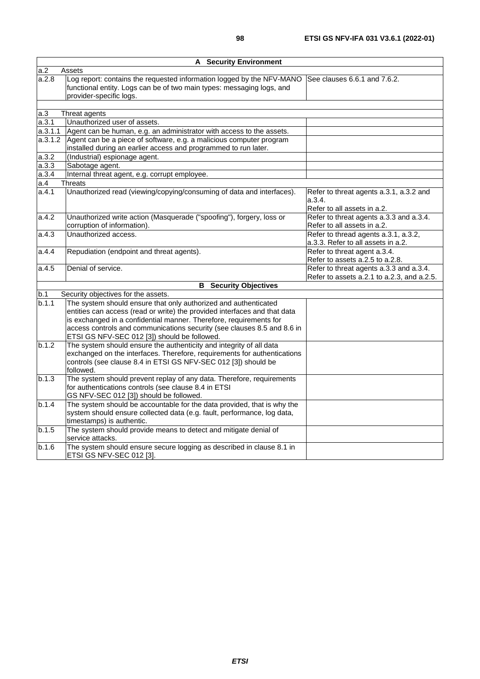|                    | <b>A</b> Security Environment                                                                                                                                                                                                                                                                                                                 |                                                                                       |
|--------------------|-----------------------------------------------------------------------------------------------------------------------------------------------------------------------------------------------------------------------------------------------------------------------------------------------------------------------------------------------|---------------------------------------------------------------------------------------|
| a.2                | Assets                                                                                                                                                                                                                                                                                                                                        |                                                                                       |
| a.2.8              | Log report: contains the requested information logged by the NFV-MANO<br>functional entity. Logs can be of two main types: messaging logs, and<br>provider-specific logs.                                                                                                                                                                     | See clauses 6.6.1 and 7.6.2.                                                          |
|                    |                                                                                                                                                                                                                                                                                                                                               |                                                                                       |
| a.3                | Threat agents                                                                                                                                                                                                                                                                                                                                 |                                                                                       |
| a.3.1              | Unauthorized user of assets.                                                                                                                                                                                                                                                                                                                  |                                                                                       |
| a.3.1.1            | Agent can be human, e.g. an administrator with access to the assets.                                                                                                                                                                                                                                                                          |                                                                                       |
| a.3.1.2            | Agent can be a piece of software, e.g. a malicious computer program<br>installed during an earlier access and programmed to run later.                                                                                                                                                                                                        |                                                                                       |
| a.3.2              | (Industrial) espionage agent.                                                                                                                                                                                                                                                                                                                 |                                                                                       |
| a.3.3              | Sabotage agent.                                                                                                                                                                                                                                                                                                                               |                                                                                       |
| a.3.4              | Internal threat agent, e.g. corrupt employee.                                                                                                                                                                                                                                                                                                 |                                                                                       |
| a.4                | <b>Threats</b>                                                                                                                                                                                                                                                                                                                                |                                                                                       |
| a.4.1              | Unauthorized read (viewing/copying/consuming of data and interfaces).                                                                                                                                                                                                                                                                         | Refer to threat agents a.3.1, a.3.2 and<br>a.3.4.<br>Refer to all assets in a.2.      |
| a.4.2              | Unauthorized write action (Masquerade ("spoofing"), forgery, loss or<br>corruption of information).                                                                                                                                                                                                                                           | Refer to threat agents a.3.3 and a.3.4.<br>Refer to all assets in a.2.                |
| a.4.3              | Unauthorized access.                                                                                                                                                                                                                                                                                                                          | Refer to thread agents a.3.1, a.3.2,<br>a.3.3. Refer to all assets in a.2.            |
| a.4.4              | Repudiation (endpoint and threat agents).                                                                                                                                                                                                                                                                                                     | Refer to threat agent a.3.4.<br>Refer to assets a.2.5 to a.2.8.                       |
| a.4.5              | Denial of service.                                                                                                                                                                                                                                                                                                                            | Refer to threat agents a.3.3 and a.3.4.<br>Refer to assets a.2.1 to a.2.3, and a.2.5. |
|                    | В<br><b>Security Objectives</b>                                                                                                                                                                                                                                                                                                               |                                                                                       |
| b.1                | Security objectives for the assets.                                                                                                                                                                                                                                                                                                           |                                                                                       |
| $\overline{b.1.1}$ | The system should ensure that only authorized and authenticated<br>entities can access (read or write) the provided interfaces and that data<br>is exchanged in a confidential manner. Therefore, requirements for<br>access controls and communications security (see clauses 8.5 and 8.6 in<br>ETSI GS NFV-SEC 012 [3]) should be followed. |                                                                                       |
| b.1.2              | The system should ensure the authenticity and integrity of all data<br>exchanged on the interfaces. Therefore, requirements for authentications<br>controls (see clause 8.4 in ETSI GS NFV-SEC 012 [3]) should be<br>followed.                                                                                                                |                                                                                       |
| b.1.3              | The system should prevent replay of any data. Therefore, requirements<br>for authentications controls (see clause 8.4 in ETSI<br>GS NFV-SEC 012 [3]) should be followed.                                                                                                                                                                      |                                                                                       |
| b.1.4              | The system should be accountable for the data provided, that is why the<br>system should ensure collected data (e.g. fault, performance, log data,<br>timestamps) is authentic.                                                                                                                                                               |                                                                                       |
| b.1.5              | The system should provide means to detect and mitigate denial of<br>service attacks.                                                                                                                                                                                                                                                          |                                                                                       |
| b.1.6              | The system should ensure secure logging as described in clause 8.1 in<br>ETSI GS NFV-SEC 012 [3].                                                                                                                                                                                                                                             |                                                                                       |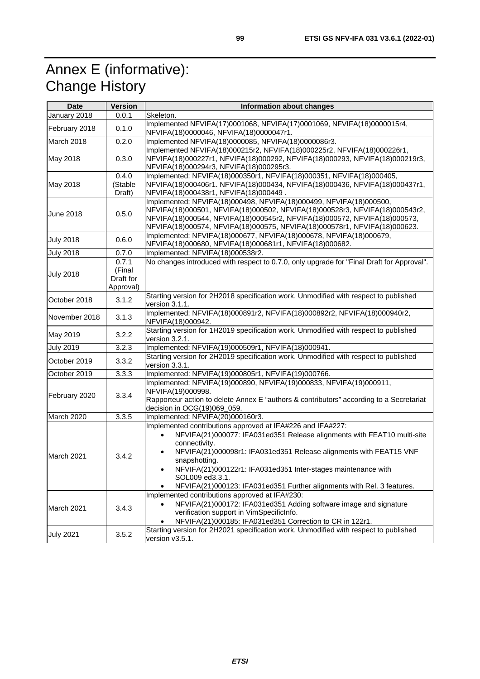# Annex E (informative): **Change History**

| <b>Date</b>      | <b>Version</b>                            | Information about changes                                                                                                                                                                                                                                                                                                                                                                                                                          |  |
|------------------|-------------------------------------------|----------------------------------------------------------------------------------------------------------------------------------------------------------------------------------------------------------------------------------------------------------------------------------------------------------------------------------------------------------------------------------------------------------------------------------------------------|--|
| January 2018     | 0.0.1                                     | Skeleton.                                                                                                                                                                                                                                                                                                                                                                                                                                          |  |
| February 2018    | 0.1.0                                     | Implemented NFVIFA(17)0001068, NFVIFA(17)0001069, NFVIFA(18)0000015r4,<br>NFVIFA(18)0000046, NFVIFA(18)0000047r1.                                                                                                                                                                                                                                                                                                                                  |  |
| March 2018       | 0.2.0                                     | Implemented NFVIFA(18)0000085, NFVIFA(18)0000086r3.                                                                                                                                                                                                                                                                                                                                                                                                |  |
| May 2018         | 0.3.0                                     | Implemented NFVIFA(18)000215r2, NFVIFA(18)000225r2, NFVIFA(18)000226r1,<br>NFVIFA(18)000227r1, NFVIFA(18)000292, NFVIFA(18)000293, NFVIFA(18)000219r3,<br>NFVIFA(18)000294r3, NFVIFA(18)000295r3.                                                                                                                                                                                                                                                  |  |
| May 2018         | 0.4.0<br>(Stable<br>Draft)                | Implemented: NFVIFA(18)000350r1, NFVIFA(18)000351, NFVIFA(18)000405,<br>NFVIFA(18)000406r1. NFVIFA(18)000434, NFVIFA(18)000436, NFVIFA(18)000437r1,<br>NFVIFA(18)000438r1, NFVIFA(18)000449.                                                                                                                                                                                                                                                       |  |
| June 2018        | 0.5.0                                     | Implemented: NFVIFA(18)000498, NFVIFA(18)000499, NFVIFA(18)000500,<br>NFVIFA(18)000501, NFVIFA(18)000502, NFVIFA(18)000528r3, NFVIFA(18)000543r2,<br>NFVIFA(18)000544, NFVIFA(18)000545r2, NFVIFA(18)000572, NFVIFA(18)000573,<br>NFVIFA(18)000574, NFVIFA(18)000575, NFVIFA(18)000578r1, NFVIFA(18)000623.                                                                                                                                        |  |
| <b>July 2018</b> | 0.6.0                                     | Implemented: NFVIFA(18)000677, NFVIFA(18)000678, NFVIFA(18)000679,<br>NFVIFA(18)000680, NFVIFA(18)000681r1, NFVIFA(18)000682.                                                                                                                                                                                                                                                                                                                      |  |
| <b>July 2018</b> | 0.7.0                                     | Implemented: NFVIFA(18)000538r2.                                                                                                                                                                                                                                                                                                                                                                                                                   |  |
| <b>July 2018</b> | 0.7.1<br>(Final<br>Draft for<br>Approval) | No changes introduced with respect to 0.7.0, only upgrade for "Final Draft for Approval".                                                                                                                                                                                                                                                                                                                                                          |  |
| October 2018     | 3.1.2                                     | Starting version for 2H2018 specification work. Unmodified with respect to published<br>version 3.1.1.                                                                                                                                                                                                                                                                                                                                             |  |
| November 2018    | 3.1.3                                     | Implemented: NFVIFA(18)000891r2, NFVIFA(18)000892r2, NFVIFA(18)000940r2,<br>NFVIFA(18)000942.                                                                                                                                                                                                                                                                                                                                                      |  |
| May 2019         | 3.2.2                                     | Starting version for 1H2019 specification work. Unmodified with respect to published<br>version 3.2.1.                                                                                                                                                                                                                                                                                                                                             |  |
| <b>July 2019</b> | 3.2.3                                     | Implemented: NFVIFA(19)000509r1, NFVIFA(18)000941.                                                                                                                                                                                                                                                                                                                                                                                                 |  |
| October 2019     | 3.3.2                                     | Starting version for 2H2019 specification work. Unmodified with respect to published<br>version 3.3.1.                                                                                                                                                                                                                                                                                                                                             |  |
| October 2019     | 3.3.3                                     | Implemented: NFVIFA(19)000805r1, NFVIFA(19)000766.                                                                                                                                                                                                                                                                                                                                                                                                 |  |
| February 2020    | 3.3.4                                     | Implemented: NFVIFA(19)000890, NFVIFA(19)000833, NFVIFA(19)000911,<br>NFVIFA(19)000998.<br>Rapporteur action to delete Annex E "authors & contributors" according to a Secretariat<br>decision in OCG(19)069_059.                                                                                                                                                                                                                                  |  |
| March 2020       | 3.3.5                                     | Implemented: NFVIFA(20)000160r3.                                                                                                                                                                                                                                                                                                                                                                                                                   |  |
| March 2021       | 3.4.2                                     | Implemented contributions approved at IFA#226 and IFA#227:<br>NFVIFA(21)000077: IFA031ed351 Release alignments with FEAT10 multi-site<br>connectivity.<br>NFVIFA(21)000098r1: IFA031ed351 Release alignments with FEAT15 VNF<br>$\bullet$<br>snapshotting.<br>NFVIFA(21)000122r1: IFA031ed351 Inter-stages maintenance with<br>$\bullet$<br>SOL009 ed3.3.1.<br>NFVIFA(21)000123: IFA031ed351 Further alignments with Rel. 3 features.<br>$\bullet$ |  |
| March 2021       | 3.4.3                                     | Implemented contributions approved at IFA#230:<br>NFVIFA(21)000172: IFA031ed351 Adding software image and signature<br>verification support in VimSpecificInfo.<br>NFVIFA(21)000185: IFA031ed351 Correction to CR in 122r1.                                                                                                                                                                                                                        |  |
| <b>July 2021</b> | 3.5.2                                     | Starting version for 2H2021 specification work. Unmodified with respect to published<br>version v3.5.1.                                                                                                                                                                                                                                                                                                                                            |  |